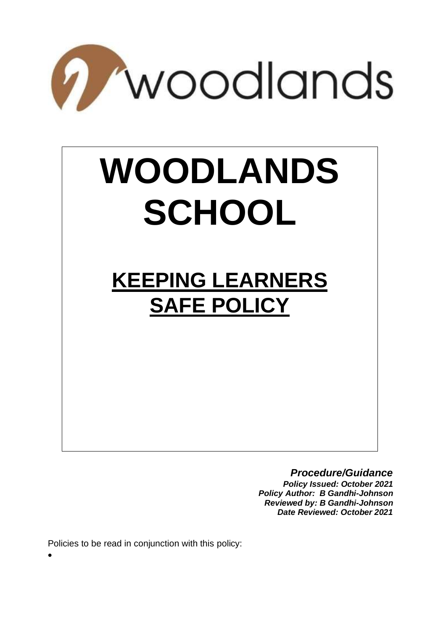

# **WOODLANDS SCHOOL**

# **KEEPING LEARNERS SAFE POLICY**

#### *Procedure/Guidance*

*Policy Issued: October 2021 Policy Author: B Gandhi-Johnson Reviewed by: B Gandhi-Johnson Date Reviewed: October 2021* 

Policies to be read in conjunction with this policy:

•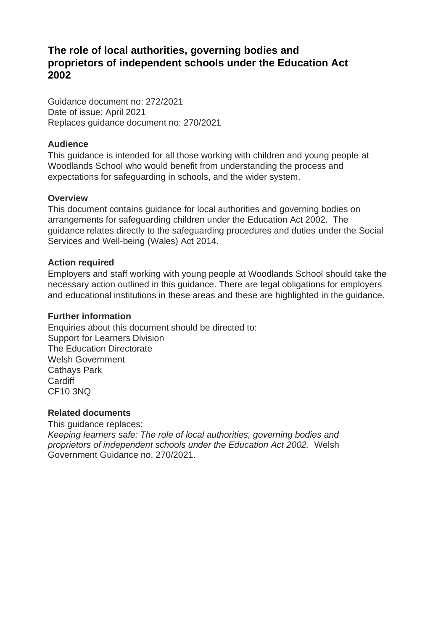# **The role of local authorities, governing bodies and proprietors of independent schools under the Education Act 2002**

Guidance document no: 272/2021 Date of issue: April 2021 Replaces guidance document no: 270/2021

#### **Audience**

This guidance is intended for all those working with children and young people at Woodlands School who would benefit from understanding the process and expectations for safeguarding in schools, and the wider system.

#### **Overview**

This document contains guidance for local authorities and governing bodies on arrangements for safeguarding children under the Education Act 2002. The guidance relates directly to the safeguarding procedures and duties under the Social Services and Well-being (Wales) Act 2014.

#### **Action required**

Employers and staff working with young people at Woodlands School should take the necessary action outlined in this guidance. There are legal obligations for employers and educational institutions in these areas and these are highlighted in the guidance.

#### **Further information**

Enquiries about this document should be directed to: Support for Learners Division The Education Directorate Welsh Government Cathays Park **Cardiff** CF10 3NQ

#### **Related documents**

This guidance replaces: *Keeping learners safe: The role of local authorities, governing bodies and proprietors of independent schools under the Education Act 2002.* Welsh Government Guidance no. 270/2021.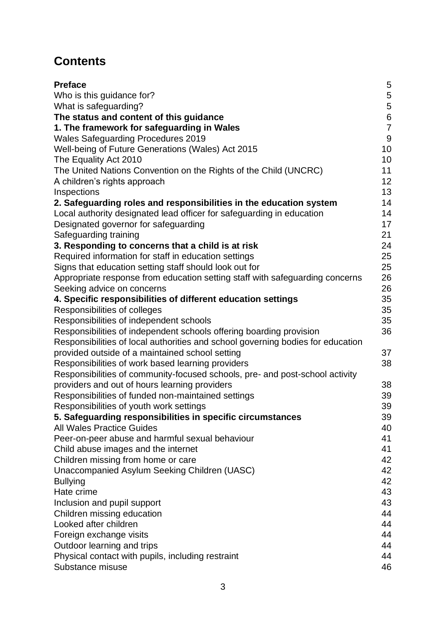# **Contents**

| <b>Preface</b>                                                                  | 5              |
|---------------------------------------------------------------------------------|----------------|
| Who is this guidance for?                                                       | $\sqrt{5}$     |
| What is safeguarding?                                                           | $\mathbf 5$    |
| The status and content of this guidance                                         | $\,6$          |
| 1. The framework for safeguarding in Wales                                      | $\overline{7}$ |
| <b>Wales Safeguarding Procedures 2019</b>                                       | $9\,$          |
| Well-being of Future Generations (Wales) Act 2015                               | 10             |
| The Equality Act 2010                                                           | 10             |
| The United Nations Convention on the Rights of the Child (UNCRC)                | 11             |
| A children's rights approach                                                    | 12             |
| Inspections                                                                     | 13             |
| 2. Safeguarding roles and responsibilities in the education system              | 14             |
| Local authority designated lead officer for safeguarding in education           | 14             |
| Designated governor for safeguarding                                            | 17             |
| Safeguarding training                                                           | 21             |
| 3. Responding to concerns that a child is at risk                               | 24             |
| Required information for staff in education settings                            | 25             |
| Signs that education setting staff should look out for                          | 25             |
| Appropriate response from education setting staff with safeguarding concerns    | 26             |
| Seeking advice on concerns                                                      | 26             |
| 4. Specific responsibilities of different education settings                    | 35             |
| Responsibilities of colleges                                                    | 35             |
| Responsibilities of independent schools                                         | 35             |
| Responsibilities of independent schools offering boarding provision             | 36             |
| Responsibilities of local authorities and school governing bodies for education |                |
| provided outside of a maintained school setting                                 | 37             |
| Responsibilities of work based learning providers                               | 38             |
| Responsibilities of community-focused schools, pre- and post-school activity    |                |
| providers and out of hours learning providers                                   | 38             |
| Responsibilities of funded non-maintained settings                              | 39             |
| Responsibilities of youth work settings                                         | 39             |
| 5. Safeguarding responsibilities in specific circumstances                      | 39             |
| <b>All Wales Practice Guides</b>                                                | 40             |
| Peer-on-peer abuse and harmful sexual behaviour                                 | 41             |
| Child abuse images and the internet                                             | 41             |
| Children missing from home or care                                              | 42             |
| Unaccompanied Asylum Seeking Children (UASC)                                    | 42             |
| <b>Bullying</b>                                                                 | 42             |
| Hate crime                                                                      | 43             |
| Inclusion and pupil support                                                     | 43             |
| Children missing education                                                      | 44             |
| Looked after children                                                           | 44             |
| Foreign exchange visits                                                         | 44             |
| Outdoor learning and trips                                                      | 44             |
| Physical contact with pupils, including restraint                               | 44             |
| Substance misuse                                                                | 46             |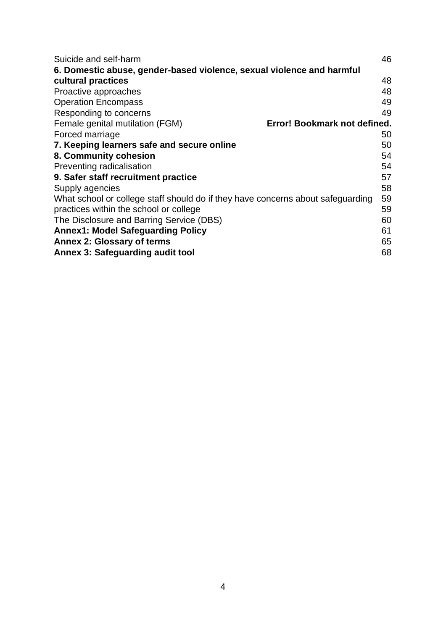<span id="page-3-0"></span>

| Suicide and self-harm                                                           | 46 |
|---------------------------------------------------------------------------------|----|
| 6. Domestic abuse, gender-based violence, sexual violence and harmful           |    |
| cultural practices                                                              | 48 |
| Proactive approaches                                                            | 48 |
| <b>Operation Encompass</b>                                                      | 49 |
| Responding to concerns                                                          | 49 |
| Female genital mutilation (FGM)<br>Error! Bookmark not defined.                 |    |
| Forced marriage                                                                 | 50 |
| 7. Keeping learners safe and secure online                                      | 50 |
| 8. Community cohesion                                                           | 54 |
| Preventing radicalisation                                                       | 54 |
| 9. Safer staff recruitment practice                                             | 57 |
| Supply agencies                                                                 | 58 |
| What school or college staff should do if they have concerns about safeguarding | 59 |
| practices within the school or college                                          | 59 |
| The Disclosure and Barring Service (DBS)                                        | 60 |
| <b>Annex1: Model Safeguarding Policy</b>                                        | 61 |
| <b>Annex 2: Glossary of terms</b>                                               | 65 |
| <b>Annex 3: Safeguarding audit tool</b>                                         | 68 |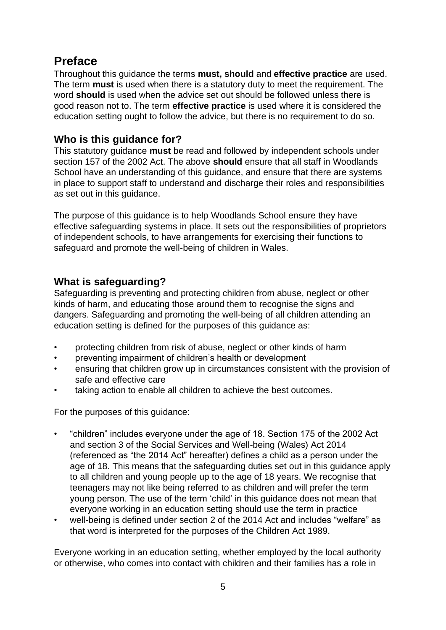# **Preface**

Throughout this guidance the terms **must, should** and **effective practice** are used. The term **must** is used when there is a statutory duty to meet the requirement. The word **should** is used when the advice set out should be followed unless there is good reason not to. The term **effective practice** is used where it is considered the education setting ought to follow the advice, but there is no requirement to do so.

#### <span id="page-4-0"></span>**Who is this guidance for?**

This statutory guidance **must** be read and followed by independent schools under section 157 of the 2002 Act. The above **should** ensure that all staff in Woodlands School have an understanding of this guidance, and ensure that there are systems in place to support staff to understand and discharge their roles and responsibilities as set out in this guidance.

The purpose of this guidance is to help Woodlands School ensure they have effective safeguarding systems in place. It sets out the responsibilities of proprietors of independent schools, to have arrangements for exercising their functions to safeguard and promote the well-being of children in Wales.

#### <span id="page-4-1"></span>**What is safeguarding?**

Safeguarding is preventing and protecting children from abuse, neglect or other kinds of harm, and educating those around them to recognise the signs and dangers. Safeguarding and promoting the well-being of all children attending an education setting is defined for the purposes of this guidance as:

- protecting children from risk of abuse, neglect or other kinds of harm
- preventing impairment of children's health or development
- ensuring that children grow up in circumstances consistent with the provision of safe and effective care
- taking action to enable all children to achieve the best outcomes.

For the purposes of this guidance:

- "children" includes everyone under the age of 18. Section 175 of the 2002 Act and section 3 of the Social Services and Well-being (Wales) Act 2014 (referenced as "the 2014 Act" hereafter) defines a child as a person under the age of 18. This means that the safeguarding duties set out in this guidance apply to all children and young people up to the age of 18 years. We recognise that teenagers may not like being referred to as children and will prefer the term young person. The use of the term 'child' in this guidance does not mean that everyone working in an education setting should use the term in practice
- well-being is defined under section 2 of the 2014 Act and includes "welfare" as that word is interpreted for the purposes of the Children Act 1989.

Everyone working in an education setting, whether employed by the local authority or otherwise, who comes into contact with children and their families has a role in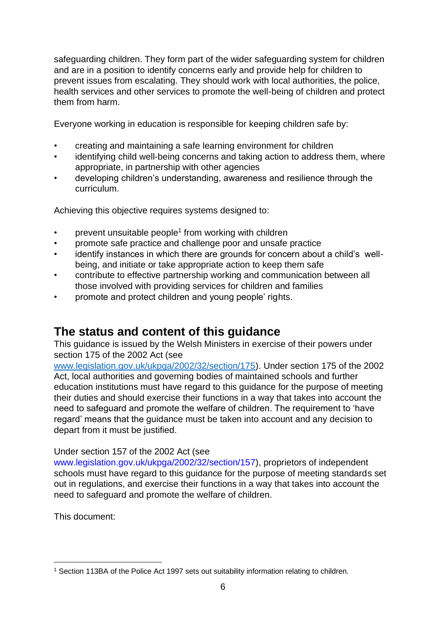safeguarding children. They form part of the wider safeguarding system for children and are in a position to identify concerns early and provide help for children to prevent issues from escalating. They should work with local authorities, the police, health services and other services to promote the well-being of children and protect them from harm.

Everyone working in education is responsible for keeping children safe by:

- creating and maintaining a safe learning environment for children
- identifying child well-being concerns and taking action to address them, where appropriate, in partnership with other agencies
- developing children's understanding, awareness and resilience through the curriculum.

Achieving this objective requires systems designed to:

- prevent unsuitable people<sup>1</sup> from working with children
- promote safe practice and challenge poor and unsafe practice
- identify instances in which there are grounds for concern about a child's wellbeing, and initiate or take appropriate action to keep them safe
- contribute to effective partnership working and communication between all those involved with providing services for children and families
- promote and protect children and young people' rights.

# <span id="page-5-0"></span>**The status and content of this guidance**

This guidance is issued by the Welsh Ministers in exercise of their powers under section 175 of the 2002 Act (see

[www.legislation.gov.uk/ukpga/2002/32/section/175](http://www.legislation.gov.uk/ukpga/2002/32/section/175)[\).](https://www.legislation.gov.uk/ukpga/2002/32/section/175) Under section 175 of the 2002 Act, local authorities and governing bodies of maintained schools and further education institutions must have regard to this guidance for the purpose of meeting their duties and should exercise their functions in a way that takes into account the need to safeguard and promote the welfare of children. The requirement to 'have regard' means that the guidance must be taken into account and any decision to depart from it must be justified.

#### Under section 157 of the 2002 Act (see

[www.legislation.gov.uk/ukpga/2002/32/section/157\),](https://www.legislation.gov.uk/ukpga/2002/32/section/157) proprietors of independent schools must have regard to this guidance for the purpose of meeting standards set out in regulations, and exercise their functions in a way that takes into account the need to safeguard and promote the welfare of children.

This document:

<sup>1</sup> Section 113BA of the Police Act 1997 sets out suitability information relating to children.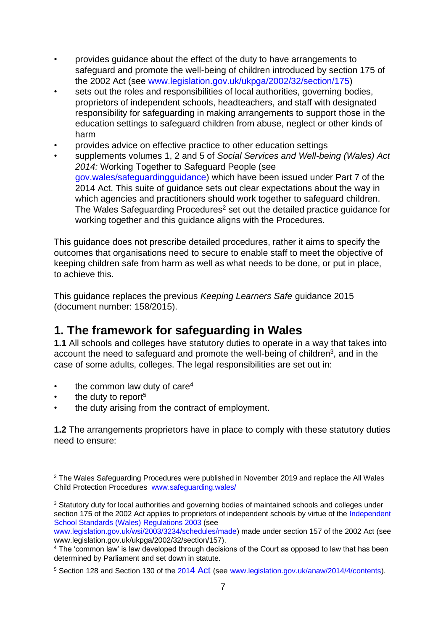- provides guidance about the effect of the duty to have arrangements to safeguard and promote the well-being of children introduced by section 175 of the 2002 Act (see [www.legislation.gov.uk/ukpga/2002/32/section/175\)](https://www.legislation.gov.uk/ukpga/2002/32/section/175)
- sets out the roles and responsibilities of local authorities, governing bodies, proprietors of independent schools, headteachers, and staff with designated responsibility for safeguarding in making arrangements to support those in the education settings to safeguard children from abuse, neglect or other kinds of harm
- provides advice on effective practice to other education settings
- supplements volumes 1, 2 and 5 of *Social Services and Well-being (Wales) Act 2014:* Working Together to Safeguard People (see [gov.wales/safeguardingguidance\)](https://gov.wales/safeguarding-guidance) which have been issued under Part 7 of the 2014 Act. This suite of guidance sets out clear expectations about the way in which agencies and practitioners should work together to safeguard children. The Wales Safeguarding Procedures<sup>2</sup> set out the detailed practice guidance for working together and this guidance aligns with the Procedures.

This guidance does not prescribe detailed procedures, rather it aims to specify the outcomes that organisations need to secure to enable staff to meet the objective of keeping children safe from harm as well as what needs to be done, or put in place, to achieve this.

This guidance replaces the previous *Keeping Learners Safe* guidance 2015 (document number: 158/2015).

# <span id="page-6-0"></span>**1. The framework for safeguarding in Wales**

**1.1** All schools and colleges have statutory duties to operate in a way that takes into account the need to safeguard and promote the well-being of children<sup>3</sup>, and in the case of some adults, colleges. The legal responsibilities are set out in:

- the common law duty of care $4$
- the duty to report<sup>5</sup>
- the duty arising from the contract of employment.

**1.2** The arrangements proprietors have in place to comply with these statutory duties need to ensure:

<sup>&</sup>lt;sup>2</sup> The Wales Safeguarding Procedures were published in November 2019 and replace the All Wales Child Protection Procedures [www.safeguarding.wales/](https://www.safeguarding.wales/)

<sup>&</sup>lt;sup>3</sup> Statutory duty for local authorities and governing bodies of maintained schools and colleges under s[e](http://www.legislation.gov.uk/wsi/2003/3234/schedules/made)ction 175 of the 2002 Act applies to proprietors of independent schools by virtue of the Independent [School Standards \(Wales\) Regulations 2003](http://www.legislation.gov.uk/wsi/2003/3234/schedules/made) [\(](http://www.legislation.gov.uk/wsi/2003/3234/schedules/made)see

[www.legislation.gov.uk/wsi/2003/3234/schedules/made\)](https://www.legislation.gov.uk/wsi/2003/3234/schedules/made) made under section 157 of the 2002 Act (see [www.legislation.gov.uk/ukpga/2002/32/section/157\).](https://www.legislation.gov.uk/ukpga/2002/32/section/157)

<sup>&</sup>lt;sup>4</sup> The 'common law' is law developed through decisions of the Court as opposed to law that has been determined by Parliament and set down in statute.

<sup>5</sup> Section 128 and Section 130 of th[e](http://www.legislation.gov.uk/anaw/2014/4/contents) [201](http://www.legislation.gov.uk/anaw/2014/4/contents)[4 Act](http://www.legislation.gov.uk/anaw/2014/4/contents) (se[e](https://www.legislation.gov.uk/anaw/2014/4/contents) [www.legislation.gov.uk/anaw/2014/4/contents\).](https://www.legislation.gov.uk/anaw/2014/4/contents)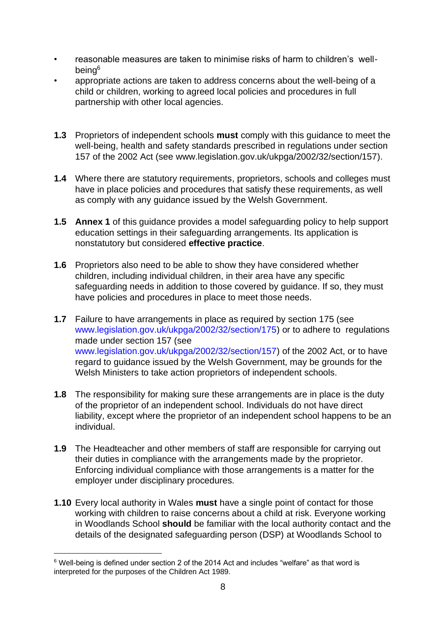- reasonable measures are taken to minimise risks of harm to children's wellbeing<sup>6</sup>
- appropriate actions are taken to address concerns about the well-being of a child or children, working to agreed local policies and procedures in full partnership with other local agencies.
- **1.3** Proprietors of independent schools **must** comply with this guidance to meet the well-being, health and safety standards prescribed in regulations under section 157 of the 2002 Act (see [www.legislation.gov.uk/ukpga/2002/32/section/157\).](https://www.legislation.gov.uk/ukpga/2002/32/section/157)
- **1.4** Where there are statutory requirements, proprietors, schools and colleges must have in place policies and procedures that satisfy these requirements, as well as comply with any guidance issued by the Welsh Government.
- **1.5 Annex 1** of this guidance provides a model safeguarding policy to help support education settings in their safeguarding arrangements. Its application is nonstatutory but considered **effective practice**.
- **1.6** Proprietors also need to be able to show they have considered whether children, including individual children, in their area have any specific safeguarding needs in addition to those covered by guidance. If so, they must have policies and procedures in place to meet those needs.
- **1.7** Failure to have arrangements in place as required by section 175 (see [www.legislation.gov.uk/ukpga/2002/32/section/175\)](https://www.legislation.gov.uk/ukpga/2002/32/section/175) or to adhere to regulations made under section 157 (see [www.legislation.gov.uk/ukpga/2002/32/section/157\)](https://www.legislation.gov.uk/ukpga/2002/32/section/157) of the 2002 Act, or to have regard to guidance issued by the Welsh Government, may be grounds for the Welsh Ministers to take action proprietors of independent schools.
- **1.8** The responsibility for making sure these arrangements are in place is the duty of the proprietor of an independent school. Individuals do not have direct liability, except where the proprietor of an independent school happens to be an individual.
- **1.9** The Headteacher and other members of staff are responsible for carrying out their duties in compliance with the arrangements made by the proprietor. Enforcing individual compliance with those arrangements is a matter for the employer under disciplinary procedures.
- **1.10** Every local authority in Wales **must** have a single point of contact for those working with children to raise concerns about a child at risk. Everyone working in Woodlands School **should** be familiar with the local authority contact and the details of the designated safeguarding person (DSP) at Woodlands School to

<sup>6</sup> Well-being is defined under section 2 of the 2014 Act and includes "welfare" as that word is interpreted for the purposes of the Children Act 1989.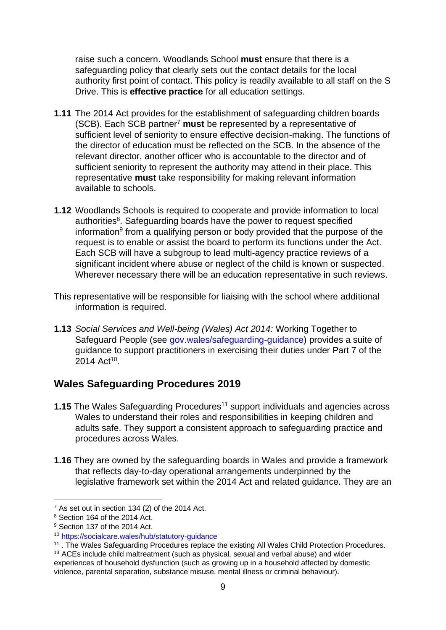raise such a concern. Woodlands School **must** ensure that there is a safeguarding policy that clearly sets out the contact details for the local authority first point of contact. This policy is readily available to all staff on the S Drive. This is **effective practice** for all education settings.

- **1.11** The 2014 Act provides for the establishment of safeguarding children boards (SCB). Each SCB partner<sup>7</sup> **must** be represented by a representative of sufficient level of seniority to ensure effective decision-making. The functions of the director of education must be reflected on the SCB. In the absence of the relevant director, another officer who is accountable to the director and of sufficient seniority to represent the authority may attend in their place. This representative **must** take responsibility for making relevant information available to schools.
- **1.12** Woodlands Schools is required to cooperate and provide information to local authorities<sup>8</sup>. Safeguarding boards have the power to request specified information<sup>9</sup> from a qualifying person or body provided that the purpose of the request is to enable or assist the board to perform its functions under the Act. Each SCB will have a subgroup to lead multi-agency practice reviews of a significant incident where abuse or neglect of the child is known or suspected. Wherever necessary there will be an education representative in such reviews.
- This representative will be responsible for liaising with the school where additional information is required.
- **1.13** *Social Services and Well-being (Wales) Act 2014:* Working Together to Safeguard People (see [gov.wales/safeguarding-guidance\)](https://gov.wales/safeguarding-guidance) provides a suite of guidance to support practitioners in exercising their duties under Part 7 of the 2014 Act<sup>10</sup>.

# <span id="page-8-0"></span>**Wales Safeguarding Procedures 2019**

- **1.15** The Wales Safeguarding Procedures<sup>11</sup> support individuals and agencies across Wales to understand their roles and responsibilities in keeping children and adults safe. They support a consistent approach to safeguarding practice and procedures across Wales.
- **1.16** They are owned by the safeguarding boards in Wales and provide a framework that reflects day-to-day operational arrangements underpinned by the legislative framework set within the 2014 Act and related guidance. They are an

 $<sup>7</sup>$  As set out in section 134 (2) of the 2014 Act.</sup>

<sup>8</sup> Section 164 of the 2014 Act.

<sup>&</sup>lt;sup>9</sup> Section 137 of the 2014 Act.

<sup>10</sup> <https://socialcare.wales/hub/statutory-guidance>

<sup>&</sup>lt;sup>11</sup>. The Wales Safeguarding Procedures replace the existing All Wales Child Protection Procedures.

<sup>&</sup>lt;sup>13</sup> ACEs include child maltreatment (such as physical, sexual and verbal abuse) and wider experiences of household dysfunction (such as growing up in a household affected by domestic violence, parental separation, substance misuse, mental illness or criminal behaviour).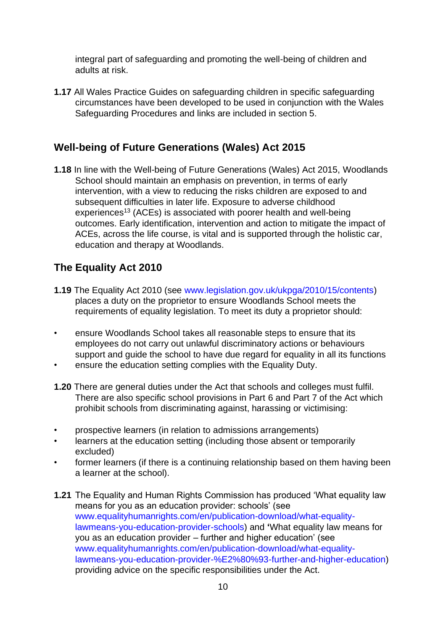integral part of safeguarding and promoting the well-being of children and adults at risk.

**1.17** All Wales Practice Guides on safeguarding children in specific safeguarding circumstances have been developed to be used in conjunction with the Wales Safeguarding Procedures and links are included in section 5.

# <span id="page-9-0"></span>**Well-being of Future Generations (Wales) Act 2015**

**1.18** In line with the Well-being of Future Generations (Wales) Act 2015, Woodlands School should maintain an emphasis on prevention, in terms of early intervention, with a view to reducing the risks children are exposed to and subsequent difficulties in later life. Exposure to adverse childhood experiences<sup>13</sup> (ACEs) is associated with poorer health and well-being outcomes. Early identification, intervention and action to mitigate the impact of ACEs, across the life course, is vital and is supported through the holistic car, education and therapy at Woodlands.

# <span id="page-9-1"></span>**[The Equality Act 2010](http://www.legislation.gov.uk/ukpga/2010/15/contents)**

- **1.19** The Equality Act 2010 (see [www.legislation.gov.uk/ukpga/2010/15/contents\)](https://www.legislation.gov.uk/ukpga/2010/15/contents) places a duty on the proprietor to ensure Woodlands School meets the requirements of equality legislation. To meet its duty a proprietor should:
- ensure Woodlands School takes all reasonable steps to ensure that its employees do not carry out unlawful discriminatory actions or behaviours support and guide the school to have due regard for equality in all its functions
- ensure the education setting complies with the Equality Duty.
- **1.20** There are general duties under the Act that schools and colleges must fulfil. There are also specific school provisions in Part 6 and Part 7 of the Act which prohibit schools from discriminating against, harassing or victimising:
- prospective learners (in relation to admissions arrangements)
- learners at the education setting (including those absent or temporarily excluded)
- former learners (if there is a continuing relationship based on them having been a learner at the school).
- **1.21** The Equality and Human Rights Commission has produced 'What equality law means for you as an education provider: schools' (see [www.equalityhumanrights.com/en/publication-download/what-equality](https://www.equalityhumanrights.com/en/publication-download/what-equality-law-means-you-education-provider-schools)[lawmeans-you-education-provider-schools\)](https://www.equalityhumanrights.com/en/publication-download/what-equality-law-means-you-education-provider-schools) and **'**What equality law means for you as an education provider – further and higher education' (see [www.equalityhumanrights.com/en/publication-download/what-equality](https://www.equalityhumanrights.com/en/publication-download/what-equality-law-means-you-education-provider-%E2%80%93-further-and-higher-education)[lawmeans-you-education-provider-%E2%80%93-further-and-higher-education\)](https://www.equalityhumanrights.com/en/publication-download/what-equality-law-means-you-education-provider-%E2%80%93-further-and-higher-education) providing advice on the specific responsibilities under the Act.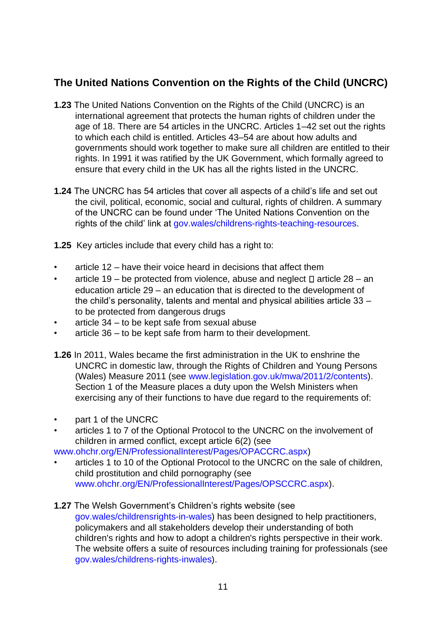# <span id="page-10-0"></span>**The United Nations Convention on the Rights of the Child (UNCRC)**

- **1.23** The United Nations Convention on the Rights of the Child (UNCRC) is an international agreement that protects the human rights of children under the age of 18. There are 54 articles in the UNCRC. Articles 1–42 set out the rights to which each child is entitled. Articles 43–54 are about how adults and governments should work together to make sure all children are entitled to their rights. In 1991 it was ratified by the UK Government, which formally agreed to ensure that every child in the UK has all the rights listed in the UNCRC.
- **1.24** The UNCRC has 54 articles that cover all aspects of a child's life and set out the civil, political, economic, social and cultural, rights of children. A summary of the UNCRC can be found under 'The United Nations Convention on the rights of the child' link at [gov.wales/childrens-rights-teaching-resources.](https://gov.wales/childrens-rights-teaching-resources)
- **1.25** Key articles include that every child has a right to:
- article 12 have their voice heard in decisions that affect them
- article 19 be protected from violence, abuse and neglect  $\Box$  article 28 an education article 29 – an education that is directed to the development of the child's personality, talents and mental and physical abilities article 33 – to be protected from dangerous drugs
- article  $34 -$  to be kept safe from sexual abuse
- article 36 to be kept safe from harm to their development.
- **1.26** In 2011, Wales became the first administration in the UK to enshrine the UNCRC in domestic law, through the Rights of Children and Young Persons (Wales) Measure 2011 (se[e](http://www.legislation.gov.uk/mwa/2011/2/contents) [www.legislation.gov.uk/mwa/2011/2/contents\).](http://www.legislation.gov.uk/mwa/2011/2/contents) Section 1 of the Measure places a duty upon the Welsh Ministers when exercising any of their functions to have due regard to the requirements of:
- part 1 of the UNCRC
- articles 1 to 7 of the Optional Protocol to the UNCRC on the involvement of children in armed conflict, except article 6(2) (see

[www.ohchr.org/EN/ProfessionalInterest/Pages/OPACCRC.aspx\)](https://www.ohchr.org/EN/ProfessionalInterest/Pages/OPACCRC.aspx) 

• articles 1 to 10 of the Optional Protocol to the UNCRC on the sale of children, child prostitution and child pornography (see [www.ohchr.org/EN/ProfessionalInterest/Pages/OPSCCRC.aspx\).](https://www.ohchr.org/EN/ProfessionalInterest/Pages/OPSCCRC.aspx)

#### **1.27** The Welsh Government's Children's rights website (see

[gov.wales/childrensrights-in-wales\)](https://gov.wales/childrens-rights-in-wales) has been designed to help practitioners, policymakers and all stakeholders develop their understanding of both children's rights and how to adopt a children's rights perspective in their work. The website offers a suite of resources including training for professionals (se[e](https://gov.wales/childrens-rights-in-wales) [gov.wales/childrens-rights-inwales\).](https://gov.wales/childrens-rights-in-wales)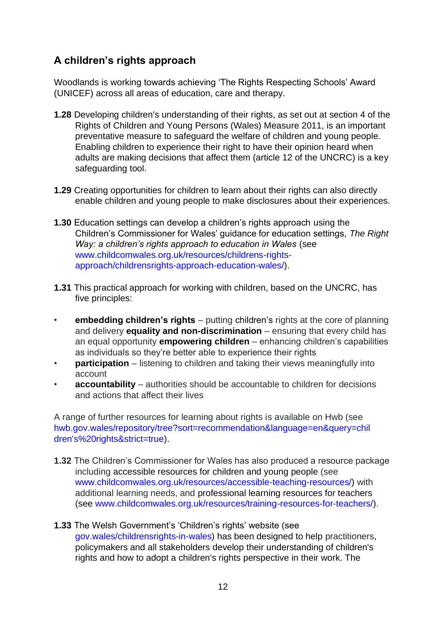# <span id="page-11-0"></span>**A children's rights approach**

Woodlands is working towards achieving 'The Rights Respecting Schools' Award (UNICEF) across all areas of education, care and therapy.

- **1.28** Developing children's understanding of their rights, as set out at section 4 of the Rights of Children and Young Persons (Wales) Measure 2011, is an important preventative measure to safeguard the welfare of children and young people. Enabling children to experience their right to have their opinion heard when adults are making decisions that affect them (article 12 of the UNCRC) is a key safeguarding tool.
- **1.29** Creating opportunities for children to learn about their rights can also directly enable children and young people to make disclosures about their experiences.
- **1.30** Education settings can develop a children's rights approach using the Children's Commissioner for Wales' guidance for education settings, *The Right Way: a children's rights approach to education in Wales* (see [www.childcomwales.org.uk/resources/childrens-rights](https://www.childcomwales.org.uk/resources/childrens-rights-approach/childrens-rights-approach-education-wales/)[approach/childrensrights-approach-education-wales/\).](https://www.childcomwales.org.uk/resources/childrens-rights-approach/childrens-rights-approach-education-wales/)
- **1.31** This practical approach for working with children, based on the UNCRC, has five principles:
- **embedding children's rights** putting children's rights at the core of planning and delivery **equality and non-discrimination** – ensuring that every child has an equal opportunity **empowering children** – enhancing children's capabilities as individuals so they're better able to experience their rights
- **participation** listening to children and taking their views meaningfully into account
- **accountability** authorities should be accountable to children for decisions and actions that affect their lives

A range of further resources for learning about rights is available on Hwb (see [hwb.gov.wales/repository/tree?sort=recommendation&language=en&query=chil](https://eur01.safelinks.protection.outlook.com/?url=https%3A%2F%2Fhwb.gov.wales%2Frepository%2Ftree%3Fsort%3Drecommendation%26language%3Den%26query%3Dchildren%27s%2520rights%26strict%3Dtrue&data=02%7C01%7CKaryn.Pittick%40gov.wales%7C1b31d38b5be44a9d571308d86e93aeae%7Ca2cc36c592804ae78887d06dab89216b%7C0%7C0%7C637380927846904742&sdata=nkJ8ql95kevKfLOfMRunARk8fFkzyi6UIwTqjYJ1Ymk%3D&reserved=0)  [dren's%20rights&strict=true\).](https://eur01.safelinks.protection.outlook.com/?url=https%3A%2F%2Fhwb.gov.wales%2Frepository%2Ftree%3Fsort%3Drecommendation%26language%3Den%26query%3Dchildren%27s%2520rights%26strict%3Dtrue&data=02%7C01%7CKaryn.Pittick%40gov.wales%7C1b31d38b5be44a9d571308d86e93aeae%7Ca2cc36c592804ae78887d06dab89216b%7C0%7C0%7C637380927846904742&sdata=nkJ8ql95kevKfLOfMRunARk8fFkzyi6UIwTqjYJ1Ymk%3D&reserved=0)

- **1.32** The Children's Commissioner for Wales has also produced a resource package including accessible resources for children and young people (see [www.childcomwales.org.uk/resources/accessible-teaching-resources/\)](https://www.childcomwales.org.uk/resources/accessible-teaching-resources/) with additional learning needs, and professional learning resources for teachers (se[e](https://www.childcomwales.org.uk/resources/training-resources-for-teachers/) [www.childcomwales.org.uk/resources/training-resources-for-teachers/\).](https://www.childcomwales.org.uk/resources/training-resources-for-teachers/)
- **1.33** The Welsh Government's 'Children's rights' website (see [gov.wales/childrensrights-in-wales\)](https://gov.wales/childrens-rights-in-wales) has been designed to help practitioners, policymakers and all stakeholders develop their understanding of children's rights and how to adopt a children's rights perspective in their work. The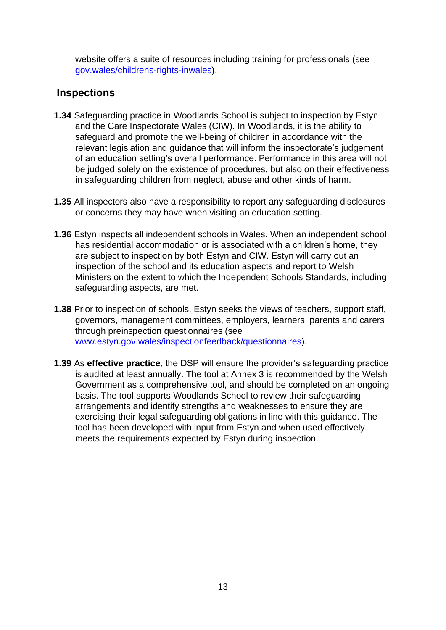website offers a suite of resources including training for professionals (see [gov.wales/childrens-rights-inwales\).](https://gov.wales/childrens-rights-in-wales)

#### <span id="page-12-0"></span>**Inspections**

- **1.34** Safeguarding practice in Woodlands School is subject to inspection by Estyn and the Care Inspectorate Wales (CIW). In Woodlands, it is the ability to safeguard and promote the well-being of children in accordance with the relevant legislation and guidance that will inform the inspectorate's judgement of an education setting's overall performance. Performance in this area will not be judged solely on the existence of procedures, but also on their effectiveness in safeguarding children from neglect, abuse and other kinds of harm.
- **1.35** All inspectors also have a responsibility to report any safeguarding disclosures or concerns they may have when visiting an education setting.
- **1.36** Estyn inspects all independent schools in Wales. When an independent school has residential accommodation or is associated with a children's home, they are subject to inspection by both Estyn and CIW. Estyn will carry out an inspection of the school and its education aspects and report to Welsh Ministers on the extent to which the Independent Schools Standards, including safeguarding aspects, are met.
- **1.38** Prior to inspection of schools, Estyn seeks the views of teachers, support staff, governors, management committees, employers, learners, parents and carers through preinspection questionnaires (se[e](https://www.estyn.gov.wales/inspection-feedback/questionnaires) [www.estyn.gov.wales/inspectionfeedback/questionnaires\).](https://www.estyn.gov.wales/inspection-feedback/questionnaires)
- **1.39** As **effective practice**, the DSP will ensure the provider's safeguarding practice is audited at least annually. The tool at Annex 3 is recommended by the Welsh Government as a comprehensive tool, and should be completed on an ongoing basis. The tool supports Woodlands School to review their safeguarding arrangements and identify strengths and weaknesses to ensure they are exercising their legal safeguarding obligations in line with this guidance. The tool has been developed with input from Estyn and when used effectively meets the requirements expected by Estyn during inspection.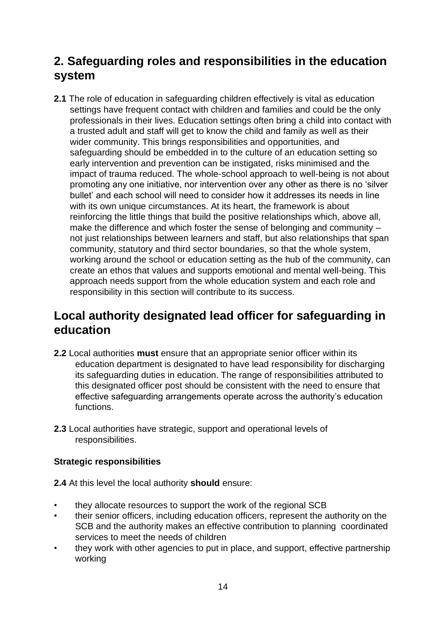# <span id="page-13-0"></span>**2. Safeguarding roles and responsibilities in the education system**

**2.1** The role of education in safeguarding children effectively is vital as education settings have frequent contact with children and families and could be the only professionals in their lives. Education settings often bring a child into contact with a trusted adult and staff will get to know the child and family as well as their wider community. This brings responsibilities and opportunities, and safeguarding should be embedded in to the culture of an education setting so early intervention and prevention can be instigated, risks minimised and the impact of trauma reduced. The whole-school approach to well-being is not about promoting any one initiative, nor intervention over any other as there is no 'silver bullet' and each school will need to consider how it addresses its needs in line with its own unique circumstances. At its heart, the framework is about reinforcing the little things that build the positive relationships which, above all, make the difference and which foster the sense of belonging and community – not just relationships between learners and staff, but also relationships that span community, statutory and third sector boundaries, so that the whole system, working around the school or education setting as the hub of the community, can create an ethos that values and supports emotional and mental well-being. This approach needs support from the whole education system and each role and responsibility in this section will contribute to its success.

# <span id="page-13-1"></span>**Local authority designated lead officer for safeguarding in education**

- **2.2** Local authorities **must** ensure that an appropriate senior officer within its education department is designated to have lead responsibility for discharging its safeguarding duties in education. The range of responsibilities attributed to this designated officer post should be consistent with the need to ensure that effective safeguarding arrangements operate across the authority's education functions.
- **2.3** Local authorities have strategic, support and operational levels of responsibilities.

#### **Strategic responsibilities**

**2.4** At this level the local authority **should** ensure:

- they allocate resources to support the work of the regional SCB
- their senior officers, including education officers, represent the authority on the SCB and the authority makes an effective contribution to planning coordinated services to meet the needs of children
- they work with other agencies to put in place, and support, effective partnership working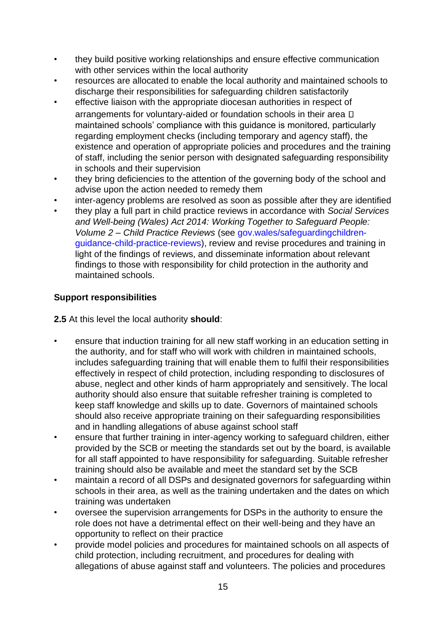- they build positive working relationships and ensure effective communication with other services within the local authority
- resources are allocated to enable the local authority and maintained schools to discharge their responsibilities for safeguarding children satisfactorily
- effective liaison with the appropriate diocesan authorities in respect of arrangements for voluntary-aided or foundation schools in their area  $\square$ maintained schools' compliance with this guidance is monitored, particularly regarding employment checks (including temporary and agency staff), the existence and operation of appropriate policies and procedures and the training of staff, including the senior person with designated safeguarding responsibility in schools and their supervision
- they bring deficiencies to the attention of the governing body of the school and advise upon the action needed to remedy them
- inter-agency problems are resolved as soon as possible after they are identified
- they play a full part in child practice reviews in accordance with *Social Services and Well-being (Wales) Act 2014: Working Together to Safeguard People: Volume 2 – Child Practice Reviews* (se[e](https://gov.wales/safeguarding-children-guidance-child-practice-reviews) [gov.wales/safeguardingchildren](https://gov.wales/safeguarding-children-guidance-child-practice-reviews)[guidance-child-practice-reviews\),](https://gov.wales/safeguarding-children-guidance-child-practice-reviews) review and revise procedures and training in light of the findings of reviews, and disseminate information about relevant findings to those with responsibility for child protection in the authority and maintained schools.

#### **Support responsibilities**

**2.5** At this level the local authority **should**:

- ensure that induction training for all new staff working in an education setting in the authority, and for staff who will work with children in maintained schools, includes safeguarding training that will enable them to fulfil their responsibilities effectively in respect of child protection, including responding to disclosures of abuse, neglect and other kinds of harm appropriately and sensitively. The local authority should also ensure that suitable refresher training is completed to keep staff knowledge and skills up to date. Governors of maintained schools should also receive appropriate training on their safeguarding responsibilities and in handling allegations of abuse against school staff
- ensure that further training in inter-agency working to safeguard children, either provided by the SCB or meeting the standards set out by the board, is available for all staff appointed to have responsibility for safeguarding. Suitable refresher training should also be available and meet the standard set by the SCB
- maintain a record of all DSPs and designated governors for safeguarding within schools in their area, as well as the training undertaken and the dates on which training was undertaken
- oversee the supervision arrangements for DSPs in the authority to ensure the role does not have a detrimental effect on their well-being and they have an opportunity to reflect on their practice
- provide model policies and procedures for maintained schools on all aspects of child protection, including recruitment, and procedures for dealing with allegations of abuse against staff and volunteers. The policies and procedures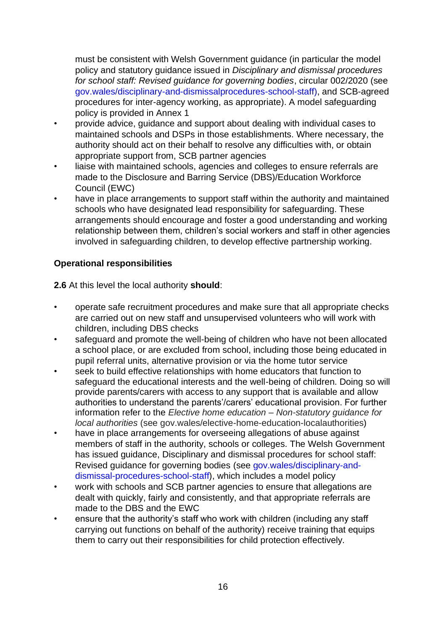must be consistent with Welsh Government guidance (in particular the model policy and statutory guidance issued in *Disciplinary and dismissal procedures for school staff: Revised guidance for governing bodies*, circular 002/2020 (se[e](https://gov.wales/disciplinary-and-dismissal-procedures-school-staff) [gov.wales/disciplinary-and-dismissalprocedures-school-staff\),](https://gov.wales/disciplinary-and-dismissal-procedures-school-staff) and SCB-agreed procedures for inter-agency working, as appropriate). A model safeguarding policy is provided in Annex 1

- provide advice, guidance and support about dealing with individual cases to maintained schools and DSPs in those establishments. Where necessary, the authority should act on their behalf to resolve any difficulties with, or obtain appropriate support from, SCB partner agencies
- liaise with maintained schools, agencies and colleges to ensure referrals are made to the Disclosure and Barring Service (DBS)/Education Workforce Council (EWC)
- have in place arrangements to support staff within the authority and maintained schools who have designated lead responsibility for safeguarding. These arrangements should encourage and foster a good understanding and working relationship between them, children's social workers and staff in other agencies involved in safeguarding children, to develop effective partnership working.

#### **Operational responsibilities**

**2.6** At this level the local authority **should**:

- operate safe recruitment procedures and make sure that all appropriate checks are carried out on new staff and unsupervised volunteers who will work with children, including DBS checks
- safeguard and promote the well-being of children who have not been allocated a school place, or are excluded from school, including those being educated in pupil referral units, alternative provision or via the home tutor service
- seek to build effective relationships with home educators that function to safeguard the educational interests and the well-being of children. Doing so will provide parents/carers with access to any support that is available and allow authorities to understand the parents'/carers' educational provision. For further information refer to the *Elective home education – Non-statutory guidance for local authorities* (see [gov.wales/elective-home-education-localauthorities\)](https://gov.wales/elective-home-education-local-authorities)
- have in place arrangements for overseeing allegations of abuse against members of staff in the authority, schools or colleges. The Welsh Government has issued guidance[,](https://gov.wales/disciplinary-and-dismissal-procedures-school-staff) [Disciplinary and dismissal procedures for school staff:](https://gov.wales/disciplinary-and-dismissal-procedures-school-staff)  [Revised guidance for governing bodies](https://gov.wales/disciplinary-and-dismissal-procedures-school-staff) (see [gov.wales/disciplinary-and](https://gov.wales/disciplinary-and-dismissal-procedures-school-staff)[dismissal-procedures-school-staff\),](https://gov.wales/disciplinary-and-dismissal-procedures-school-staff) which includes a model policy
- work with schools and SCB partner agencies to ensure that allegations are dealt with quickly, fairly and consistently, and that appropriate referrals are made to the DBS and the EWC
- ensure that the authority's staff who work with children (including any staff carrying out functions on behalf of the authority) receive training that equips them to carry out their responsibilities for child protection effectively.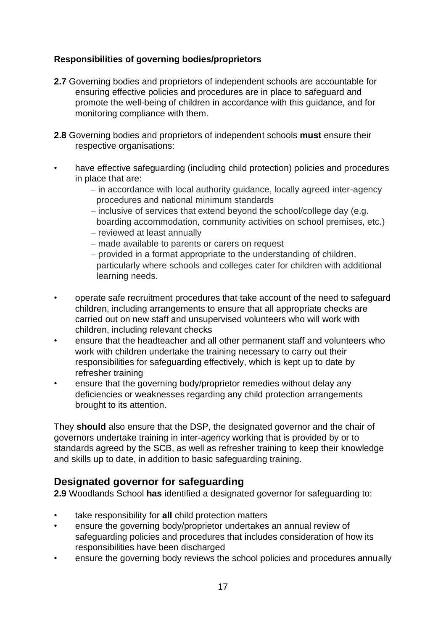#### **Responsibilities of governing bodies/proprietors**

- **2.7** Governing bodies and proprietors of independent schools are accountable for ensuring effective policies and procedures are in place to safeguard and promote the well-being of children in accordance with this guidance, and for monitoring compliance with them.
- **2.8** Governing bodies and proprietors of independent schools **must** ensure their respective organisations:
- have effective safeguarding (including child protection) policies and procedures in place that are:
	- ‒ in accordance with local authority guidance, locally agreed inter-agency procedures and national minimum standards
	- ‒ inclusive of services that extend beyond the school/college day (e.g. boarding accommodation, community activities on school premises, etc.)
	- ‒ reviewed at least annually
	- ‒ made available to parents or carers on request
	- ‒ provided in a format appropriate to the understanding of children, particularly where schools and colleges cater for children with additional learning needs.
- operate safe recruitment procedures that take account of the need to safeguard children, including arrangements to ensure that all appropriate checks are carried out on new staff and unsupervised volunteers who will work with children, including relevant checks
- ensure that the headteacher and all other permanent staff and volunteers who work with children undertake the training necessary to carry out their responsibilities for safeguarding effectively, which is kept up to date by refresher training
- ensure that the governing body/proprietor remedies without delay any deficiencies or weaknesses regarding any child protection arrangements brought to its attention.

They **should** also ensure that the DSP, the designated governor and the chair of governors undertake training in inter-agency working that is provided by or to standards agreed by the SCB, as well as refresher training to keep their knowledge and skills up to date, in addition to basic safeguarding training.

# <span id="page-16-0"></span>**Designated governor for safeguarding**

**2.9** Woodlands School **has** identified a designated governor for safeguarding to:

- take responsibility for **all** child protection matters
- ensure the governing body/proprietor undertakes an annual review of safeguarding policies and procedures that includes consideration of how its responsibilities have been discharged
- ensure the governing body reviews the school policies and procedures annually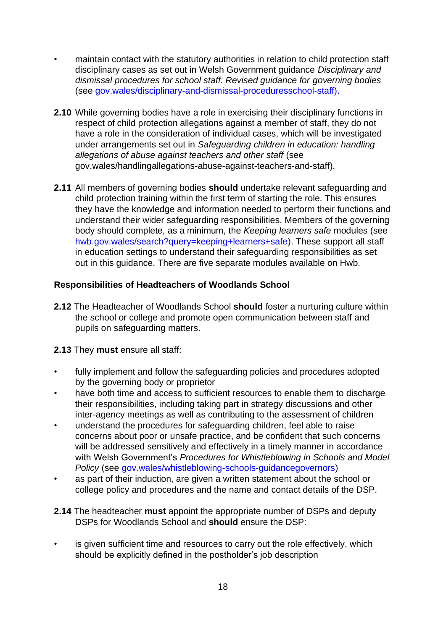- maintain contact with the statutory authorities in relation to child protection staff disciplinary cases as set out in Welsh Government guidance *[Disciplinary and](https://gov.wales/disciplinary-and-dismissal-procedures-school-staff)  [dismissal procedures for school staff: Revised guidance for governing bodies](https://gov.wales/disciplinary-and-dismissal-procedures-school-staff)* (se[e](https://gov.wales/disciplinary-and-dismissal-procedures-school-staff) [gov.wales/disciplinary-and-dismissal-proceduresschool-staff\).](https://gov.wales/disciplinary-and-dismissal-procedures-school-staff)
- **2.10** While governing bodies have a role in exercising their disciplinary functions in respect of child protection allegations against a member of staff, they do not have a role in the consideration of individual cases, which will be investigated under arrangements set out in *Safeguarding children in education: handling allegations of abuse against teachers and other staff* (see [gov.wales/handlingallegations-abuse-against-teachers-and-staff\).](https://gov.wales/handling-allegations-abuse-against-teachers-and-staff)
- **2.11** All members of governing bodies **should** undertake relevant safeguarding and child protection training within the first term of starting the role. This ensures they have the knowledge and information needed to perform their functions and understand their wider safeguarding responsibilities. Members of the governing body should complete, as a minimum, the *Keeping learners safe* modules (see [hwb.gov.wales/search?query=keeping+learners+safe\).](https://hwb.gov.wales/search?query=keeping+learners+safe) These support all staff in education settings to understand their safeguarding responsibilities as set out in this guidance. [There](https://learning.hwb.wales.gov.uk/playlists/view/a2bc11a2-d008-4dc4-856b-7e02287d56c0/en#page1) are five separate modules available on Hwb.

#### **Responsibilities of Headteachers of Woodlands School**

**2.12** The Headteacher of Woodlands School **should** foster a nurturing culture within the school or college and promote open communication between staff and pupils on safeguarding matters.

#### **2.13** They **must** ensure all staff:

- fully implement and follow the safeguarding policies and procedures adopted by the governing body or proprietor
- have both time and access to sufficient resources to enable them to discharge their responsibilities, including taking part in strategy discussions and other inter-agency meetings as well as contributing to the assessment of children
- understand the procedures for safeguarding children, feel able to raise concerns about poor or unsafe practice, and be confident that such concerns will be addressed sensitively and effectively in a timely manner in accordance with Welsh Government's *Procedures for Whistleblowing in Schools and Model Policy* (see [gov.wales/whistleblowing-schools-guidancegovernors\)](https://gov.wales/whistleblowing-schools-guidance-governors)
- as part of their induction, are given a written statement about the school or college policy and procedures and the name and contact details of the DSP.
- **2.14** The headteacher **must** appoint the appropriate number of DSPs and deputy DSPs for Woodlands School and **should** ensure the DSP:
- is given sufficient time and resources to carry out the role effectively, which should be explicitly defined in the postholder's job description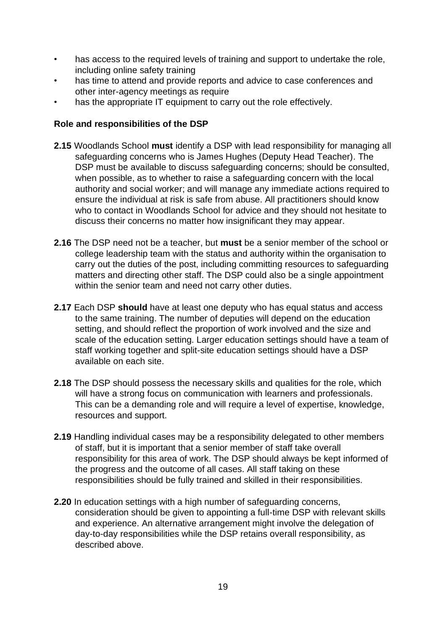- has access to the required levels of training and support to undertake the role, including online safety training
- has time to attend and provide reports and advice to case conferences and other inter-agency meetings as require
- has the appropriate IT equipment to carry out the role effectively.

#### **Role and responsibilities of the DSP**

- **2.15** Woodlands School **must** identify a DSP with lead responsibility for managing all safeguarding concerns who is James Hughes (Deputy Head Teacher). The DSP must be available to discuss safeguarding concerns; should be consulted, when possible, as to whether to raise a safeguarding concern with the local authority and social worker; and will manage any immediate actions required to ensure the individual at risk is safe from abuse. All practitioners should know who to contact in Woodlands School for advice and they should not hesitate to discuss their concerns no matter how insignificant they may appear.
- **2.16** The DSP need not be a teacher, but **must** be a senior member of the school or college leadership team with the status and authority within the organisation to carry out the duties of the post, including committing resources to safeguarding matters and directing other staff. The DSP could also be a single appointment within the senior team and need not carry other duties.
- **2.17** Each DSP **should** have at least one deputy who has equal status and access to the same training. The number of deputies will depend on the education setting, and should reflect the proportion of work involved and the size and scale of the education setting. Larger education settings should have a team of staff working together and split-site education settings should have a DSP available on each site.
- **2.18** The DSP should possess the necessary skills and qualities for the role, which will have a strong focus on communication with learners and professionals. This can be a demanding role and will require a level of expertise, knowledge, resources and support.
- **2.19** Handling individual cases may be a responsibility delegated to other members of staff, but it is important that a senior member of staff take overall responsibility for this area of work. The DSP should always be kept informed of the progress and the outcome of all cases. All staff taking on these responsibilities should be fully trained and skilled in their responsibilities.
- **2.20** In education settings with a high number of safeguarding concerns, consideration should be given to appointing a full-time DSP with relevant skills and experience. An alternative arrangement might involve the delegation of day-to-day responsibilities while the DSP retains overall responsibility, as described above.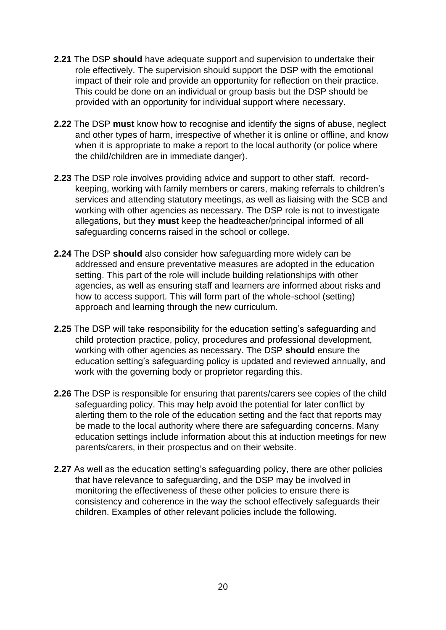- **2.21** The DSP **should** have adequate support and supervision to undertake their role effectively. The supervision should support the DSP with the emotional impact of their role and provide an opportunity for reflection on their practice. This could be done on an individual or group basis but the DSP should be provided with an opportunity for individual support where necessary.
- **2.22** The DSP **must** know how to recognise and identify the signs of abuse, neglect and other types of harm, irrespective of whether it is online or offline, and know when it is appropriate to make a report to the local authority (or police where the child/children are in immediate danger).
- **2.23** The DSP role involves providing advice and support to other staff, recordkeeping, working with family members or carers, making referrals to children's services and attending statutory meetings, as well as liaising with the SCB and working with other agencies as necessary. The DSP role is not to investigate allegations, but they **must** keep the headteacher/principal informed of all safeguarding concerns raised in the school or college.
- **2.24** The DSP **should** also consider how safeguarding more widely can be addressed and ensure preventative measures are adopted in the education setting. This part of the role will include building relationships with other agencies, as well as ensuring staff and learners are informed about risks and how to access support. This will form part of the whole-school (setting) approach and learning through the new curriculum.
- **2.25** The DSP will take responsibility for the education setting's safeguarding and child protection practice, policy, procedures and professional development, working with other agencies as necessary. The DSP **should** ensure the education setting's safeguarding policy is updated and reviewed annually, and work with the governing body or proprietor regarding this.
- **2.26** The DSP is responsible for ensuring that parents/carers see copies of the child safeguarding policy. This may help avoid the potential for later conflict by alerting them to the role of the education setting and the fact that reports may be made to the local authority where there are safeguarding concerns. Many education settings include information about this at induction meetings for new parents/carers, in their prospectus and on their website.
- **2.27** As well as the education setting's safeguarding policy, there are other policies that have relevance to safeguarding, and the DSP may be involved in monitoring the effectiveness of these other policies to ensure there is consistency and coherence in the way the school effectively safeguards their children. Examples of other relevant policies include the following.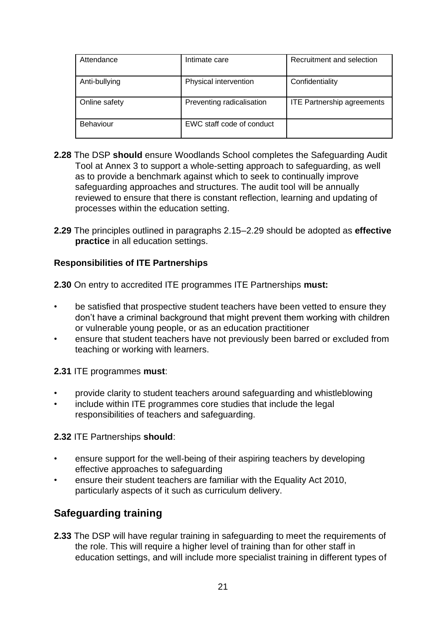| Attendance    | Intimate care             | Recruitment and selection         |
|---------------|---------------------------|-----------------------------------|
| Anti-bullying | Physical intervention     | Confidentiality                   |
| Online safety | Preventing radicalisation | <b>ITE Partnership agreements</b> |
| Behaviour     | EWC staff code of conduct |                                   |

- **2.28** The DSP **should** ensure Woodlands School completes the Safeguarding Audit Tool at Annex 3 to support a whole-setting approach to safeguarding, as well as to provide a benchmark against which to seek to continually improve safeguarding approaches and structures. The audit tool will be annually reviewed to ensure that there is constant reflection, learning and updating of processes within the education setting.
- **2.29** The principles outlined in paragraphs 2.15–2.29 should be adopted as **effective practice** in all education settings.

#### **Responsibilities of ITE Partnerships**

**2.30** On entry to accredited ITE programmes ITE Partnerships **must:**

- be satisfied that prospective student teachers have been vetted to ensure they don't have a criminal background that might prevent them working with children or vulnerable young people, or as an education practitioner
- ensure that student teachers have not previously been barred or excluded from teaching or working with learners.

#### **2.31** ITE programmes **must**:

- provide clarity to student teachers around safeguarding and whistleblowing
- include within ITE programmes core studies that include the legal responsibilities of teachers and safeguarding.

#### **2.32** ITE Partnerships **should**:

- ensure support for the well-being of their aspiring teachers by developing effective approaches to safeguarding
- ensure their student teachers are familiar with the Equality Act 2010, particularly aspects of it such as curriculum delivery.

# <span id="page-20-0"></span>**Safeguarding training**

**2.33** The DSP will have regular training in safeguarding to meet the requirements of the role. This will require a higher level of training than for other staff in education settings, and will include more specialist training in different types of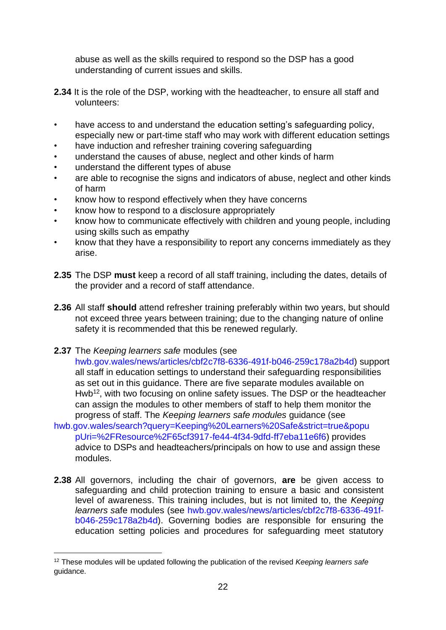abuse as well as the skills required to respond so the DSP has a good understanding of current issues and skills.

- **2.34** It is the role of the DSP, working with the headteacher, to ensure all staff and volunteers:
- have access to and understand the education setting's safeguarding policy, especially new or part-time staff who may work with different education settings
- have induction and refresher training covering safeguarding
- understand the causes of abuse, neglect and other kinds of harm
- understand the different types of abuse
- are able to recognise the signs and indicators of abuse, neglect and other kinds of harm
- know how to respond effectively when they have concerns
- know how to respond to a disclosure appropriately
- know how to communicate effectively with children and young people, including using skills such as empathy
- know that they have a responsibility to report any concerns immediately as they arise.
- **2.35** The DSP **must** keep a record of all staff training, including the dates, details of the provider and a record of staff attendance.
- **2.36** All staff **should** attend refresher training preferably within two years, but should not exceed three years between training; due to the changing nature of online safety it is recommended that this be renewed regularly.
- **2.37** The *Keeping learners safe* modules (see

[hwb.gov.wales/news/articles/cbf2c7f8-6336-491f-b046-259c178a2b4d\)](https://hwb.gov.wales/news/articles/cbf2c7f8-6336-491f-b046-259c178a2b4d) support all staff in education settings to understand their safeguarding responsibilities as set out in this guidance. [There](https://learning.hwb.wales.gov.uk/playlists/view/a2bc11a2-d008-4dc4-856b-7e02287d56c0/en#page1) [a](https://learning.hwb.wales.gov.uk/playlists/view/a2bc11a2-d008-4dc4-856b-7e02287d56c0/en#page1)re five separate modules available on Hwb<sup>12</sup>, with two focusing on online safety issues. The DSP or the headteacher can assign the modules to other members of staff to help them monitor the progress of staff. The *Keeping learners safe modules* guidance (see

- [hwb.gov.wales/search?query=Keeping%20Learners%20Safe&strict=true&popu](https://eur01.safelinks.protection.outlook.com/?url=https%3A%2F%2Fhwb.gov.wales%2Fsearch%3Fquery%3DKeeping%2520Learners%2520Safe%26strict%3Dtrue%26popupUri%3D%252FResource%252F65cf3917-fe44-4f34-9dfd-ff7eba11e6f6&data=02%7C01%7CAndrew.Brown%40gov.wales%7C564b8743adb94999331908d85e0b22f5%7Ca2cc36c592804ae78887d06dab89216b%7C0%7C0%7C637362749205207081&sdata=XCfAdAwILMLmfKOMH3H0wOyOrKXLZqA5yhSNeq90ObU%3D&reserved=0)  [pUri=%2FResource%2F65cf3917-fe44-4f34-9dfd-ff7eba11e6f6\)](https://eur01.safelinks.protection.outlook.com/?url=https%3A%2F%2Fhwb.gov.wales%2Fsearch%3Fquery%3DKeeping%2520Learners%2520Safe%26strict%3Dtrue%26popupUri%3D%252FResource%252F65cf3917-fe44-4f34-9dfd-ff7eba11e6f6&data=02%7C01%7CAndrew.Brown%40gov.wales%7C564b8743adb94999331908d85e0b22f5%7Ca2cc36c592804ae78887d06dab89216b%7C0%7C0%7C637362749205207081&sdata=XCfAdAwILMLmfKOMH3H0wOyOrKXLZqA5yhSNeq90ObU%3D&reserved=0) provides advice to DSPs and headteachers/principals on how to use and assign these modules.
- **2.38** All governors, including the chair of governors, **are** be given access to safeguarding and child protection training to ensure a basic and consistent level of awareness. This training includes, but is not limited to, the *Keeping learners s*afe modules (see [hwb.gov.wales/news/articles/cbf2c7f8-6336-491f](https://hwb.gov.wales/news/articles/cbf2c7f8-6336-491f-b046-259c178a2b4d)[b046-259c178a2b4d\).](https://hwb.gov.wales/news/articles/cbf2c7f8-6336-491f-b046-259c178a2b4d) Governing bodies are responsible for ensuring the education setting policies and procedures for safeguarding meet statutory

<sup>12</sup> These modules will be updated following the publication of the revised *Keeping learners safe* guidance.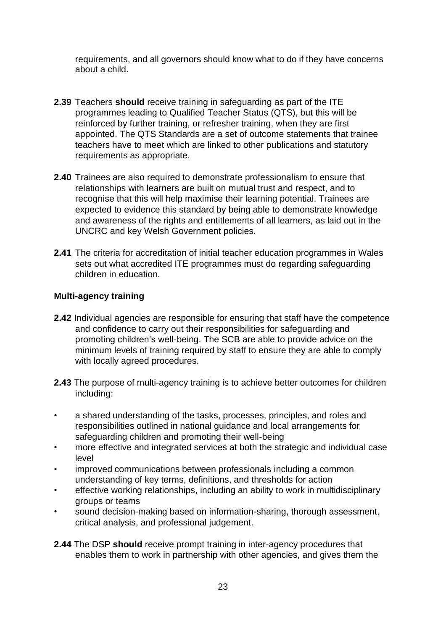requirements, and all governors should know what to do if they have concerns about a child.

- **2.39** Teachers **should** receive training in safeguarding as part of the ITE programmes leading to Qualified Teacher Status (QTS), but this will be reinforced by further training, or refresher training, when they are first appointed. The QTS Standards are a set of outcome statements that trainee teachers have to meet which are linked to other publications and statutory requirements as appropriate.
- **2.40** Trainees are also required to demonstrate professionalism to ensure that relationships with learners are built on mutual trust and respect, and to recognise that this will help maximise their learning potential. Trainees are expected to evidence this standard by being able to demonstrate knowledge and awareness of the rights and entitlements of all learners, as laid out in the UNCRC and key Welsh Government policies.
- **2.41** The criteria for accreditation of initial teacher education programmes in Wales sets out what accredited ITE programmes must do regarding safeguarding children in education.

#### **Multi-agency training**

- **2.42** Individual agencies are responsible for ensuring that staff have the competence and confidence to carry out their responsibilities for safeguarding and promoting children's well-being. The SCB are able to provide advice on the minimum levels of training required by staff to ensure they are able to comply with locally agreed procedures.
- **2.43** The purpose of multi-agency training is to achieve better outcomes for children including:
- a shared understanding of the tasks, processes, principles, and roles and responsibilities outlined in national guidance and local arrangements for safeguarding children and promoting their well-being
- more effective and integrated services at both the strategic and individual case level
- improved communications between professionals including a common understanding of key terms, definitions, and thresholds for action
- effective working relationships, including an ability to work in multidisciplinary groups or teams
- sound decision-making based on information-sharing, thorough assessment, critical analysis, and professional judgement.
- **2.44** The DSP **should** receive prompt training in inter-agency procedures that enables them to work in partnership with other agencies, and gives them the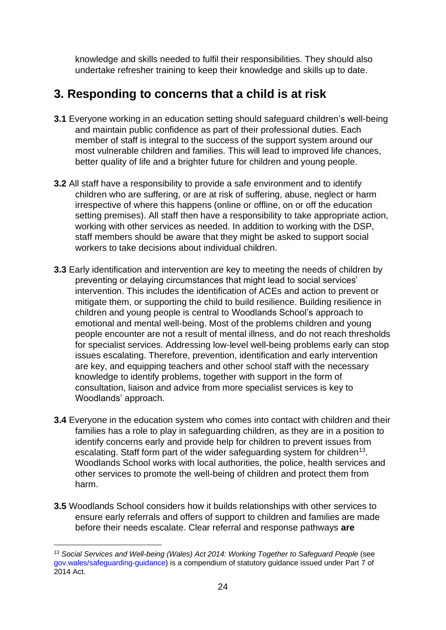knowledge and skills needed to fulfil their responsibilities. They should also undertake refresher training to keep their knowledge and skills up to date.

# <span id="page-23-0"></span>**3. Responding to concerns that a child is at risk**

- **3.1** Everyone working in an education setting should safeguard children's well-being and maintain public confidence as part of their professional duties. Each member of staff is integral to the success of the support system around our most vulnerable children and families. This will lead to improved life chances, better quality of life and a brighter future for children and young people.
- **3.2** All staff have a responsibility to provide a safe environment and to identify children who are suffering, or are at risk of suffering, abuse, neglect or harm irrespective of where this happens (online or offline, on or off the education setting premises). All staff then have a responsibility to take appropriate action, working with other services as needed. In addition to working with the DSP, staff members should be aware that they might be asked to support social workers to take decisions about individual children.
- **3.3** Early identification and intervention are key to meeting the needs of children by preventing or delaying circumstances that might lead to social services' intervention. This includes the identification of ACEs and action to prevent or mitigate them, or supporting the child to build resilience. Building resilience in children and young people is central to Woodlands School's approach to emotional and mental well-being. Most of the problems children and young people encounter are not a result of mental illness, and do not reach thresholds for specialist services. Addressing low-level well-being problems early can stop issues escalating. Therefore, prevention, identification and early intervention are key, and equipping teachers and other school staff with the necessary knowledge to identify problems, together with support in the form of consultation, liaison and advice from more specialist services is key to Woodlands' approach.
- **3.4** Everyone in the education system who comes into contact with children and their families has a role to play in safeguarding children, as they are in a position to identify concerns early and provide help for children to prevent issues from escalating. Staff form part of the wider safeguarding system for children<sup>13</sup>. Woodlands School works with local authorities, the police, health services and other services to promote the well-being of children and protect them from harm.
- **3.5** Woodlands School considers how it builds relationships with other services to ensure early referrals and offers of support to children and families are made before their needs escalate. Clear referral and response pathways **are**

<sup>13</sup> *Social Services and Well-being (Wales) Act 2014[:](https://socialcare.wales/hub/statutory-guidance) [Working Together to Safeguard People](https://socialcare.wales/hub/statutory-guidance)* (see [gov.wales/safeguarding-guidance\)](https://gov.wales/safeguarding-guidance) is a compendium of statutory guidance issued under Part 7 of 2014 Act.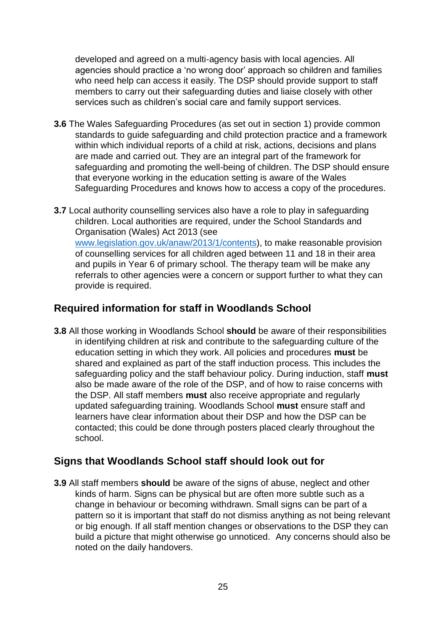developed and agreed on a multi-agency basis with local agencies. All agencies should practice a 'no wrong door' approach so children and families who need help can access it easily. The DSP should provide support to staff members to carry out their safeguarding duties and liaise closely with other services such as children's social care and family support services.

- **3.6** The Wales Safeguarding Procedures (as set out in section 1) provide common standards to guide safeguarding and child protection practice and a framework within which individual reports of a child at risk, actions, decisions and plans are made and carried out. They are an integral part of the framework for safeguarding and promoting the well-being of children. The DSP should ensure that everyone working in the education setting is aware of the Wales Safeguarding Procedures and knows how to access a copy of the procedures.
- **3.7** Local authority counselling services also have a role to play in safeguarding children. Local authorities are required, under the School Standards and Organisation (Wales) Act 2013 (see [www.legislation.gov.uk/anaw/2013/1/contents](http://www.legislation.gov.uk/anaw/2013/1/contents)[\),](https://www.legislation.gov.uk/anaw/2013/1/contents) to make reasonable provision of counselling services for all children aged between 11 and 18 in their area and pupils in Year 6 of primary school. The therapy team will be make any referrals to other agencies were a concern or support further to what they can provide is required.

#### <span id="page-24-0"></span>**Required information for staff in Woodlands School**

**3.8** All those working in Woodlands School **should** be aware of their responsibilities in identifying children at risk and contribute to the safeguarding culture of the education setting in which they work. All policies and procedures **must** be shared and explained as part of the staff induction process. This includes the safeguarding policy and the staff behaviour policy. During induction, staff **must** also be made aware of the role of the DSP, and of how to raise concerns with the DSP. All staff members **must** also receive appropriate and regularly updated safeguarding training. Woodlands School **must** ensure staff and learners have clear information about their DSP and how the DSP can be contacted; this could be done through posters placed clearly throughout the school.

#### <span id="page-24-1"></span>**Signs that Woodlands School staff should look out for**

**3.9** All staff members **should** be aware of the signs of abuse, neglect and other kinds of harm. Signs can be physical but are often more subtle such as a change in behaviour or becoming withdrawn. Small signs can be part of a pattern so it is important that staff do not dismiss anything as not being relevant or big enough. If all staff mention changes or observations to the DSP they can build a picture that might otherwise go unnoticed. Any concerns should also be noted on the daily handovers.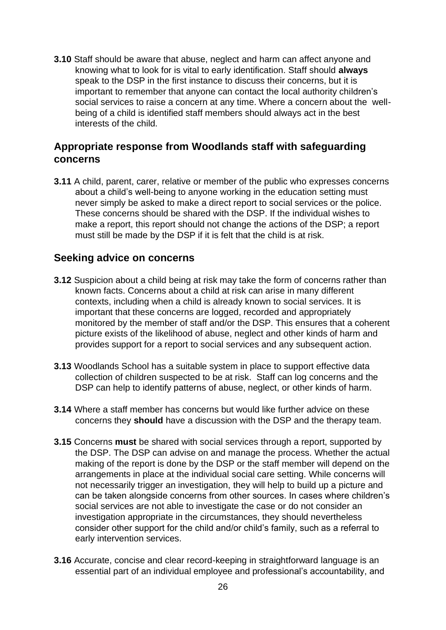**3.10** Staff should be aware that abuse, neglect and harm can affect anyone and knowing what to look for is vital to early identification. Staff should **always** speak to the DSP in the first instance to discuss their concerns, but it is important to remember that anyone can contact the local authority children's social services to raise a concern at any time. Where a concern about the wellbeing of a child is identified staff members should always act in the best interests of the child.

#### <span id="page-25-0"></span>**Appropriate response from Woodlands staff with safeguarding concerns**

**3.11** A child, parent, carer, relative or member of the public who expresses concerns about a child's well-being to anyone working in the education setting must never simply be asked to make a direct report to social services or the police. These concerns should be shared with the DSP. If the individual wishes to make a report, this report should not change the actions of the DSP; a report must still be made by the DSP if it is felt that the child is at risk.

#### <span id="page-25-1"></span>**Seeking advice on concerns**

- **3.12** Suspicion about a child being at risk may take the form of concerns rather than known facts. Concerns about a child at risk can arise in many different contexts, including when a child is already known to social services. It is important that these concerns are logged, recorded and appropriately monitored by the member of staff and/or the DSP. This ensures that a coherent picture exists of the likelihood of abuse, neglect and other kinds of harm and provides support for a report to social services and any subsequent action.
- **3.13** Woodlands School has a suitable system in place to support effective data collection of children suspected to be at risk. Staff can log concerns and the DSP can help to identify patterns of abuse, neglect, or other kinds of harm.
- **3.14** Where a staff member has concerns but would like further advice on these concerns they **should** have a discussion with the DSP and the therapy team.
- **3.15** Concerns **must** be shared with social services through a report, supported by the DSP. The DSP can advise on and manage the process. Whether the actual making of the report is done by the DSP or the staff member will depend on the arrangements in place at the individual social care setting. While concerns will not necessarily trigger an investigation, they will help to build up a picture and can be taken alongside concerns from other sources. In cases where children's social services are not able to investigate the case or do not consider an investigation appropriate in the circumstances, they should nevertheless consider other support for the child and/or child's family, such as a referral to early intervention services.
- **3.16** Accurate, concise and clear record-keeping in straightforward language is an essential part of an individual employee and professional's accountability, and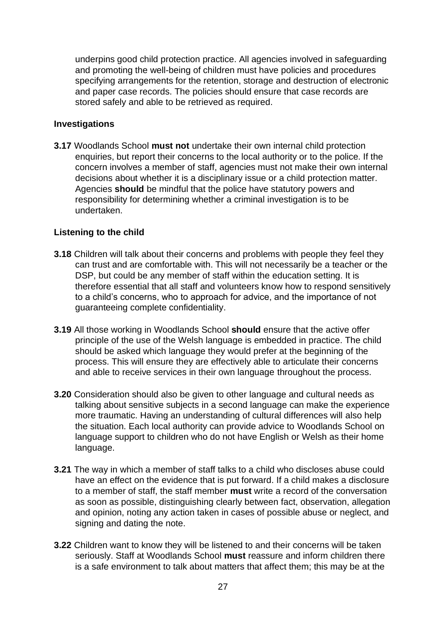underpins good child protection practice. All agencies involved in safeguarding and promoting the well-being of children must have policies and procedures specifying arrangements for the retention, storage and destruction of electronic and paper case records. The policies should ensure that case records are stored safely and able to be retrieved as required.

#### **Investigations**

**3.17** Woodlands School **must not** undertake their own internal child protection enquiries, but report their concerns to the local authority or to the police. If the concern involves a member of staff, agencies must not make their own internal decisions about whether it is a disciplinary issue or a child protection matter. Agencies **should** be mindful that the police have statutory powers and responsibility for determining whether a criminal investigation is to be undertaken.

#### **Listening to the child**

- **3.18** Children will talk about their concerns and problems with people they feel they can trust and are comfortable with. This will not necessarily be a teacher or the DSP, but could be any member of staff within the education setting. It is therefore essential that all staff and volunteers know how to respond sensitively to a child's concerns, who to approach for advice, and the importance of not guaranteeing complete confidentiality.
- **3.19** All those working in Woodlands School **should** ensure that the active offer principle of the use of the Welsh language is embedded in practice. The child should be asked which language they would prefer at the beginning of the process. This will ensure they are effectively able to articulate their concerns and able to receive services in their own language throughout the process.
- **3.20** Consideration should also be given to other language and cultural needs as talking about sensitive subjects in a second language can make the experience more traumatic. Having an understanding of cultural differences will also help the situation. Each local authority can provide advice to Woodlands School on language support to children who do not have English or Welsh as their home language.
- **3.21** The way in which a member of staff talks to a child who discloses abuse could have an effect on the evidence that is put forward. If a child makes a disclosure to a member of staff, the staff member **must** write a record of the conversation as soon as possible, distinguishing clearly between fact, observation, allegation and opinion, noting any action taken in cases of possible abuse or neglect, and signing and dating the note.
- **3.22** Children want to know they will be listened to and their concerns will be taken seriously. Staff at Woodlands School **must** reassure and inform children there is a safe environment to talk about matters that affect them; this may be at the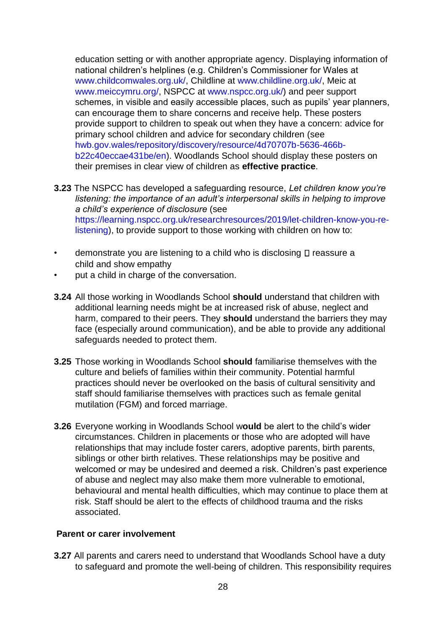education setting or with another appropriate agency. Displaying information of national children's helplines (e.g. Children's Commissioner for Wales at [www.childcomwales.org.uk/,](https://www.childcomwales.org.uk/) Childline at [www.childline.org.uk/,](https://www.childline.org.uk/) Meic at [www.meiccymru.org/,](https://www.meiccymru.org/) NSPCC at [www.nspcc.org.uk/\)](https://www.nspcc.org.uk/) and peer support schemes, in visible and easily accessible places, such as pupils' year planners, can encourage them to share concerns and receive help. These posters provide support to children to speak out when they have a concern: advice for primary school children and advice for secondary children (see [hwb.gov.wales/repository/discovery/resource/4d70707b-5636-466b](https://hwb.gov.wales/repository/discovery/resource/4d70707b-5636-466b-b22c-40eccae431be/en)[b22c40eccae431be/en\).](https://hwb.gov.wales/repository/discovery/resource/4d70707b-5636-466b-b22c-40eccae431be/en) Woodlands School should display these posters on their premises in clear view of children as **effective practice**.

- **3.23** The NSPCC has developed a safeguarding resource, *Let children know you're listening: the importance of an adult's interpersonal skills in helping to improve a child's experience of disclosure* (see [https://learning.nspcc.org.uk/researchresources/2019/let-children-know-you-re](https://learning.nspcc.org.uk/research-resources/2019/let-children-know-you-re-listening)[listening\),](https://learning.nspcc.org.uk/research-resources/2019/let-children-know-you-re-listening) to provide support to those working with children on how to:
- demonstrate you are listening to a child who is disclosing  $\square$  reassure a child and show empathy
- put a child in charge of the conversation.
- **3.24** All those working in Woodlands School **should** understand that children with additional learning needs might be at increased risk of abuse, neglect and harm, compared to their peers. They **should** understand the barriers they may face (especially around communication), and be able to provide any additional safeguards needed to protect them.
- **3.25** Those working in Woodlands School **should** familiarise themselves with the culture and beliefs of families within their community. Potential harmful practices should never be overlooked on the basis of cultural sensitivity and staff should familiarise themselves with practices such as female genital mutilation (FGM) and forced marriage.
- **3.26** Everyone working in Woodlands School w**ould** be alert to the child's wider circumstances. Children in placements or those who are adopted will have relationships that may include foster carers, adoptive parents, birth parents, siblings or other birth relatives. These relationships may be positive and welcomed or may be undesired and deemed a risk. Children's past experience of abuse and neglect may also make them more vulnerable to emotional, behavioural and mental health difficulties, which may continue to place them at risk. Staff should be alert to the effects of childhood trauma and the risks associated.

#### **Parent or carer involvement**

**3.27** All parents and carers need to understand that Woodlands School have a duty to safeguard and promote the well-being of children. This responsibility requires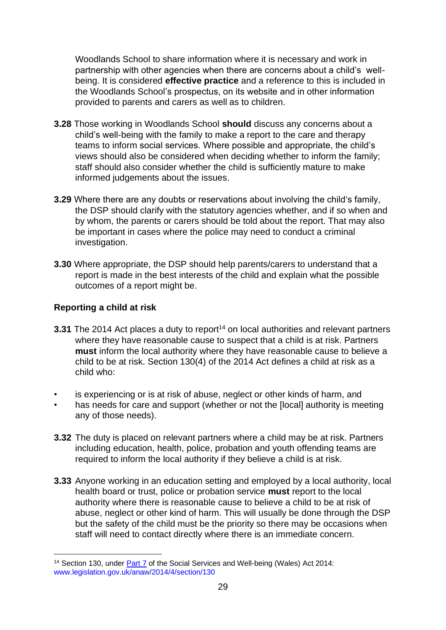Woodlands School to share information where it is necessary and work in partnership with other agencies when there are concerns about a child's wellbeing. It is considered **effective practice** and a reference to this is included in the Woodlands School's prospectus, on its website and in other information provided to parents and carers as well as to children.

- **3.28** Those working in Woodlands School **should** discuss any concerns about a child's well-being with the family to make a report to the care and therapy teams to inform social services. Where possible and appropriate, the child's views should also be considered when deciding whether to inform the family; staff should also consider whether the child is sufficiently mature to make informed judgements about the issues.
- **3.29** Where there are any doubts or reservations about involving the child's family, the DSP should clarify with the statutory agencies whether, and if so when and by whom, the parents or carers should be told about the report. That may also be important in cases where the police may need to conduct a criminal investigation.
- **3.30** Where appropriate, the DSP should help parents/carers to understand that a report is made in the best interests of the child and explain what the possible outcomes of a report might be.

#### **Reporting a child at risk**

- **3.31** The 2014 Act places a duty to report<sup>14</sup> on local authorities and relevant partners where they have reasonable cause to suspect that a child is at risk. Partners **must** inform the local authority where they have reasonable cause to believe a child to be at risk. Section 130(4) of the 2014 Act defines a child at risk as a child who:
- is experiencing or is at risk of abuse, neglect or other kinds of harm, and
- has needs for care and support (whether or not the [local] authority is meeting any of those needs).
- **3.32** The duty is placed on relevant partners where a child may be at risk. Partners including education, health, police, probation and youth offending teams are required to inform the local authority if they believe a child is at risk.
- **3.33** Anyone working in an education setting and employed by a local authority, local health board or trust, police or probation service **must** report to the local authority where there is reasonable cause to believe a child to be at risk of abuse, neglect or other kind of harm. This will usually be done through the DSP but the safety of the child must be the priority so there may be occasions when staff will need to contact directly where there is an immediate concern.

<sup>&</sup>lt;sup>14</sup> Section 130, unde[r Part 7](https://socialcare.wales/cms_assets/hub-downloads/Summary-Safeguarding-revised-March-2017.doc) of the Social Services and Well-being (Wales) Act 2014: [www.legislation.gov.uk/anaw/2014/4/section/130](https://www.legislation.gov.uk/anaw/2014/4/section/130)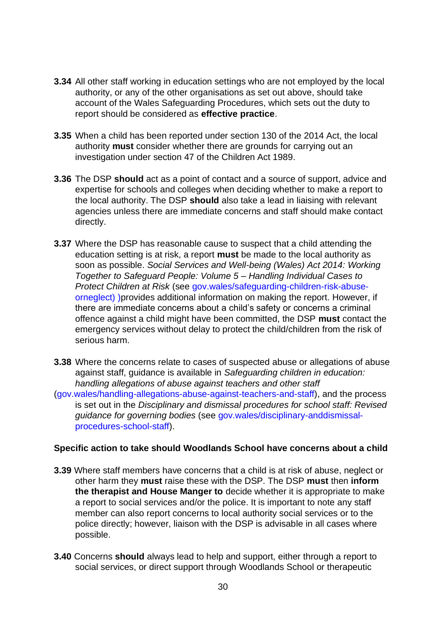- **3.34** All other staff working in education settings who are not employed by the local authority, or any of the other organisations as set out above, should take account of the Wales Safeguarding Procedures, which sets out the duty to report should be considered as **effective practice**.
- **3.35** When a child has been reported under section 130 of the 2014 Act, the local authority **must** consider whether there are grounds for carrying out an investigation under section 47 of the Children Act 1989.
- **3.36** The DSP **should** act as a point of contact and a source of support, advice and expertise for schools and colleges when deciding whether to make a report to the local authority. The DSP **should** also take a lead in liaising with relevant agencies unless there are immediate concerns and staff should make contact directly.
- **3.37** Where the DSP has reasonable cause to suspect that a child attending the education setting is at risk, a report **must** be made to the local authority as soon as possible. *Social Services and Well-being (Wales) Act 2014[:](http://gov.wales/docs/dhss/publications/180511childrenatrisken.pdf) [Working](http://gov.wales/docs/dhss/publications/180511childrenatrisken.pdf)  [Together to Safeguard People: Volume 5 –](http://gov.wales/docs/dhss/publications/180511childrenatrisken.pdf) [Handling Individual Cases to](http://gov.wales/docs/dhss/publications/180511childrenatrisken.pdf)  [Protect Children at Risk](http://gov.wales/docs/dhss/publications/180511childrenatrisken.pdf)* (see [gov.wales/safeguarding-children-risk-abuse](https://gov.wales/safeguarding-children-risk-abuse-or-neglect)[orneglect\)](https://gov.wales/safeguarding-children-risk-abuse-or-neglect) )provides additional information on making the report. However, if there are immediate concerns about a child's safety or concerns a criminal offence against a child might have been committed, the DSP **must** contact the emergency services without delay to protect the child/children from the risk of serious harm.
- **3.38** Where the concerns relate to cases of suspected abuse or allegations of abuse against staff, guidance is available in *Safeguarding children in education: handling allegations of abuse against teachers and other staff*
- [\(gov.wales/handling-allegations-abuse-against-teachers-and-staff\),](https://gov.wales/handling-allegations-abuse-against-teachers-and-staff) and the process is set out in the *Disciplinary and dismissal procedures for school staff: Revised guidance for governing bodies* (see [gov.wales/disciplinary-anddismissal](https://gov.wales/disciplinary-and-dismissal-procedures-school-staff)[procedures-school-staff\).](https://gov.wales/disciplinary-and-dismissal-procedures-school-staff)

#### **Specific action to take should Woodlands School have concerns about a child**

- **3.39** Where staff members have concerns that a child is at risk of abuse, neglect or other harm they **must** raise these with the DSP. The DSP **must** then **inform the therapist and House Manger to** decide whether it is appropriate to make a report to social services and/or the police. It is important to note any staff member can also report concerns to local authority social services or to the police directly; however, liaison with the DSP is advisable in all cases where possible.
- **3.40** Concerns **should** always lead to help and support, either through a report to social services, or direct support through Woodlands School or therapeutic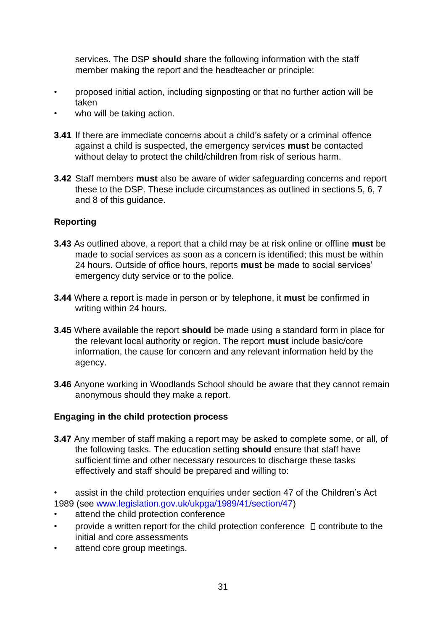services. The DSP **should** share the following information with the staff member making the report and the headteacher or principle:

- proposed initial action, including signposting or that no further action will be taken
- who will be taking action.
- **3.41** If there are immediate concerns about a child's safety or a criminal offence against a child is suspected, the emergency services **must** be contacted without delay to protect the child/children from risk of serious harm.
- **3.42** Staff members **must** also be aware of wider safeguarding concerns and report these to the DSP. These include circumstances as outlined in sections 5, 6, 7 and 8 of this guidance.

#### **Reporting**

- **3.43** As outlined above, a report that a child may be at risk online or offline **must** be made to social services as soon as a concern is identified; this must be within 24 hours. Outside of office hours, reports **must** be made to social services' emergency duty service or to the police.
- **3.44** Where a report is made in person or by telephone, it **must** be confirmed in writing within 24 hours.
- **3.45** Where available the report **should** be made using a standard form in place for the relevant local authority or region. The report **must** include basic/core information, the cause for concern and any relevant information held by the agency.
- **3.46** Anyone working in Woodlands School should be aware that they cannot remain anonymous should they make a report.

#### **Engaging in the child protection process**

- **3.47** Any member of staff making a report may be asked to complete some, or all, of the following tasks. The education setting **should** ensure that staff have sufficient time and other necessary resources to discharge these tasks effectively and staff should be prepared and willing to:
- assist in the child protection enquiries under section 47 of the Children's Act 1989 (se[e](https://www.legislation.gov.uk/ukpga/1989/41/section/47) [www.legislation.gov.uk/ukpga/1989/41/section/47\)](https://www.legislation.gov.uk/ukpga/1989/41/section/47)
- attend the child protection conference
- provide a written report for the child protection conference  $\Box$  contribute to the initial and core assessments
- attend core group meetings.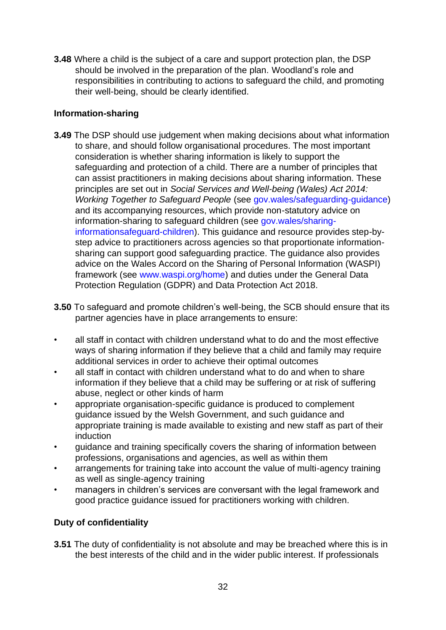**3.48** Where a child is the subject of a care and support protection plan, the DSP should be involved in the preparation of the plan. Woodland's role and responsibilities in contributing to actions to safeguard the child, and promoting their well-being, should be clearly identified.

#### **Information-sharing**

- **3.49** The DSP should use judgement when making decisions about what information to share, and should follow organisational procedures. The most important consideration is whether sharing information is likely to support the safeguarding and protection of a child. There are a number of principles that can assist practitioners in making decisions about sharing information. These principles are set out in *Social Services and Well-being (Wales) Act 2014: Working Together to Safeguard People* (se[e](https://gov.wales/safeguarding-guidance) [gov.wales/safeguarding-guidance\)](https://gov.wales/safeguarding-guidance) and its accompanying resources, which provide non-statutory advice on information-sharing to safeguard children (see [gov.wales/sharing](https://gov.wales/sharing-information-safeguard-children)[informationsafeguard-children\).](https://gov.wales/sharing-information-safeguard-children) This guidance and resource provides step-bystep advice to practitioners across agencies so that proportionate informationsharing can support good safeguarding practice. The guidance also provides advice on the Wales Accord on the Sharing of Personal Information (WASPI) framework (see [www.waspi.org/home\)](http://www.waspi.org/home) and duties under the General Data Protection Regulation (GDPR) and Data Protection Act 2018.
- **3.50** To safeguard and promote children's well-being, the SCB should ensure that its partner agencies have in place arrangements to ensure:
- all staff in contact with children understand what to do and the most effective ways of sharing information if they believe that a child and family may require additional services in order to achieve their optimal outcomes
- all staff in contact with children understand what to do and when to share information if they believe that a child may be suffering or at risk of suffering abuse, neglect or other kinds of harm
- appropriate organisation-specific guidance is produced to complement guidance issued by the Welsh Government, and such guidance and appropriate training is made available to existing and new staff as part of their induction
- guidance and training specifically covers the sharing of information between professions, organisations and agencies, as well as within them
- arrangements for training take into account the value of multi-agency training as well as single-agency training
- managers in children's services are conversant with the legal framework and good practice guidance issued for practitioners working with children.

#### **Duty of confidentiality**

**3.51** The duty of confidentiality is not absolute and may be breached where this is in the best interests of the child and in the wider public interest. If professionals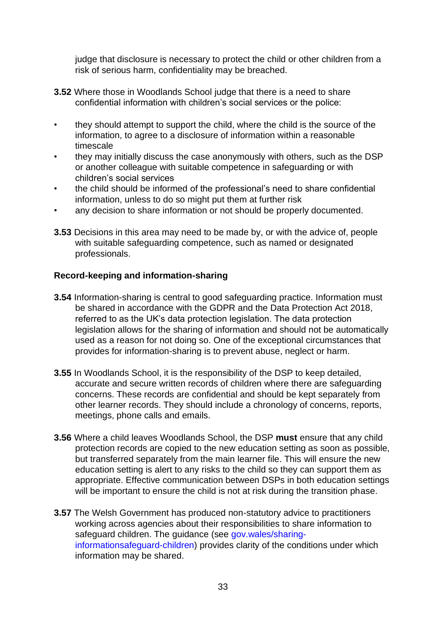judge that disclosure is necessary to protect the child or other children from a risk of serious harm, confidentiality may be breached.

- **3.52** Where those in Woodlands School judge that there is a need to share confidential information with children's social services or the police:
- they should attempt to support the child, where the child is the source of the information, to agree to a disclosure of information within a reasonable timescale
- they may initially discuss the case anonymously with others, such as the DSP or another colleague with suitable competence in safeguarding or with children's social services
- the child should be informed of the professional's need to share confidential information, unless to do so might put them at further risk
- any decision to share information or not should be properly documented.
- **3.53** Decisions in this area may need to be made by, or with the advice of, people with suitable safeguarding competence, such as named or designated professionals.

#### **Record-keeping and information-sharing**

- **3.54** Information-sharing is central to good safeguarding practice. Information must be shared in accordance with the GDPR and the Data Protection Act 2018, referred to as the UK's data protection legislation. The data protection legislation allows for the sharing of information and should not be automatically used as a reason for not doing so. One of the exceptional circumstances that provides for information-sharing is to prevent abuse, neglect or harm.
- **3.55** In Woodlands School, it is the responsibility of the DSP to keep detailed, accurate and secure written records of children where there are safeguarding concerns. These records are confidential and should be kept separately from other learner records. They should include a chronology of concerns, reports, meetings, phone calls and emails.
- **3.56** Where a child leaves Woodlands School, the DSP **must** ensure that any child protection records are copied to the new education setting as soon as possible, but transferred separately from the main learner file. This will ensure the new education setting is alert to any risks to the child so they can support them as appropriate. Effective communication between DSPs in both education settings will be important to ensure the child is not at risk during the transition phase.
- **3.57** The Welsh Government has produced non-statutory advice to practitioners working across agencies about their responsibilities to share information to safeguard children. The [guidance](https://gov.wales/sites/default/files/publications/2019-07/working-together-to-safeguard-people-information-sharing-to-safeguard-children.pdf) (see [gov.wales/sharing](https://gov.wales/sharing-information-safeguard-children)[informationsafeguard-children\)](https://gov.wales/sharing-information-safeguard-children) provides clarity of the conditions under which information may be shared.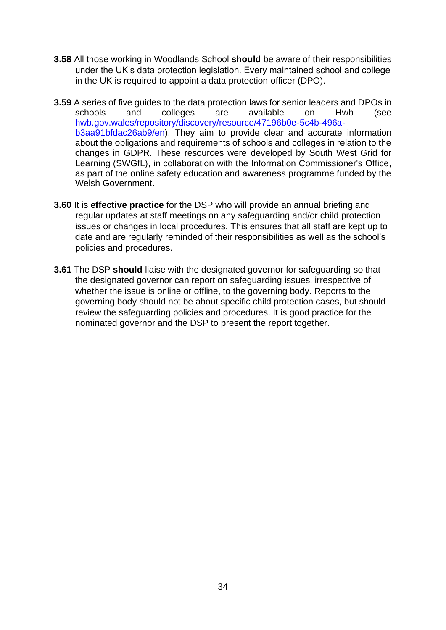- **3.58** All those working in Woodlands School **should** be aware of their responsibilities under the UK's data protection legislation. Every maintained school and college in the UK is required to [appoint a data protection officer](https://ico.org.uk/for-organisations/guide-to-the-general-data-protection-regulation-gdpr/accountability-and-governance/data-protection-officers/) (DPO).
- **3.59** A series of five guides to the data protection laws for senior leaders and DPOs in schools and colleges are available on [Hwb](https://eur01.safelinks.protection.outlook.com/?url=https%3A%2F%2Fhwb.gov.wales%2Frepository%2Fresource%2F47196b0e-5c4b-496a-b3aa-91bfdac26ab9%2Fen&data=02%7C01%7CHannah.Starkey%40gov.wales%7C186d23b170e047337c5c08d83ea8b57a%7Ca2cc36c592804ae78887d06dab89216b%7C0%7C0%7C637328241620025594&sdata=jIak%2BuLS3YUJ%2BJ4iBgAtuLQI%2BY0nZtcK%2Fe0TM3unO6s%3D&reserved=0) [\(](https://eur01.safelinks.protection.outlook.com/?url=https%3A%2F%2Fhwb.gov.wales%2Frepository%2Fresource%2F47196b0e-5c4b-496a-b3aa-91bfdac26ab9%2Fen&data=02%7C01%7CHannah.Starkey%40gov.wales%7C186d23b170e047337c5c08d83ea8b57a%7Ca2cc36c592804ae78887d06dab89216b%7C0%7C0%7C637328241620025594&sdata=jIak%2BuLS3YUJ%2BJ4iBgAtuLQI%2BY0nZtcK%2Fe0TM3unO6s%3D&reserved=0)see [hwb.gov.wales/repository/discovery/resource/47196b0e-5c4b-496a](https://hwb.gov.wales/repository/discovery/resource/47196b0e-5c4b-496a-b3aa-91bfdac26ab9/en)[b3aa91bfdac26ab9/en\).](https://hwb.gov.wales/repository/discovery/resource/47196b0e-5c4b-496a-b3aa-91bfdac26ab9/en) They aim to provide clear and accurate information about the obligations and requirements of schools and colleges in relation to the changes in GDPR. These resources were developed by South West Grid for Learning (SWGfL), in collaboration with the Information Commissioner's Office, as part of the online safety education and awareness programme funded by the Welsh Government.
- **3.60** It is **effective practice** for the DSP who will provide an annual briefing and regular updates at staff meetings on any safeguarding and/or child protection issues or changes in local procedures. This ensures that all staff are kept up to date and are regularly reminded of their responsibilities as well as the school's policies and procedures.
- **3.61** The DSP **should** liaise with the designated governor for safeguarding so that the designated governor can report on safeguarding issues, irrespective of whether the issue is online or offline, to the governing body. Reports to the governing body should not be about specific child protection cases, but should review the safeguarding policies and procedures. It is good practice for the nominated governor and the DSP to present the report together.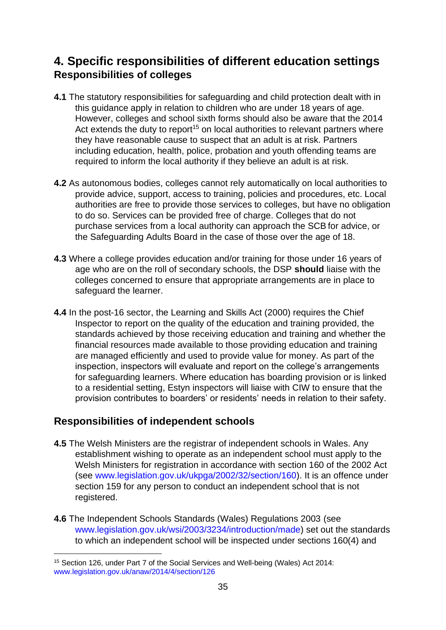# <span id="page-34-1"></span><span id="page-34-0"></span>**4. Specific responsibilities of different education settings Responsibilities of colleges**

- **4.1** The statutory responsibilities for safeguarding and child protection dealt with in this guidance apply in relation to children who are under 18 years of age. However, colleges and school sixth forms should also be aware that the 2014 Act extends the duty to report<sup>15</sup> on local authorities to relevant partners where they have reasonable cause to suspect that an adult is at risk. Partners including education, health, police, probation and youth offending teams are required to inform the local authority if they believe an adult is at risk.
- **4.2** As autonomous bodies, colleges cannot rely automatically on local authorities to provide advice, support, access to training, policies and procedures, etc. Local authorities are free to provide those services to colleges, but have no obligation to do so. Services can be provided free of charge. Colleges that do not purchase services from a local authority can approach the SCB for advice, or the Safeguarding Adults Board in the case of those over the age of 18.
- **4.3** Where a college provides education and/or training for those under 16 years of age who are on the roll of secondary schools, the DSP **should** liaise with the colleges concerned to ensure that appropriate arrangements are in place to safeguard the learner.
- **4.4** In the post-16 sector, the Learning and Skills Act (2000) requires the Chief Inspector to report on the quality of the education and training provided, the standards achieved by those receiving education and training and whether the financial resources made available to those providing education and training are managed efficiently and used to provide value for money. As part of the inspection, inspectors will evaluate and report on the college's arrangements for safeguarding learners. Where education has boarding provision or is linked to a residential setting, Estyn inspectors will liaise with CIW to ensure that the provision contributes to boarders' or residents' needs in relation to their safety.

# <span id="page-34-2"></span>**Responsibilities of independent schools**

- **4.5** The Welsh Ministers are the registrar of independent schools in Wales. Any establishment wishing to operate as an independent school must apply to the Welsh Ministers for registration in accordance with [section 160 of the 2002](http://www.legislation.gov.uk/ukpga/2002/32/section/160) [Act](http://www.legislation.gov.uk/ukpga/2002/32/section/160) (see [www.legislation.gov.uk/ukpga/2002/32/section/160\).](https://www.legislation.gov.uk/ukpga/2002/32/section/160) It is an offence under section 159 for any person to conduct an independent school that is not registered.
- **4.6** Th[e](http://www.legislation.gov.uk/wsi/2003/3234/introduction/made) [Independent Schools Standards \(Wales\) Regulations 2003](http://www.legislation.gov.uk/wsi/2003/3234/introduction/made) (see [www.legislation.gov.uk/wsi/2003/3234/introduction/made\)](https://www.legislation.gov.uk/wsi/2003/3234/introduction/made) set out the standards to which an independent school will be inspected under sections 160(4) and

<sup>&</sup>lt;sup>15</sup> Section 126, under Part 7 of the Social Services and Well-being (Wales) Act 2014: [www.legislation.gov.uk/anaw/2014/4/section/126](https://www.legislation.gov.uk/anaw/2014/4/section/126)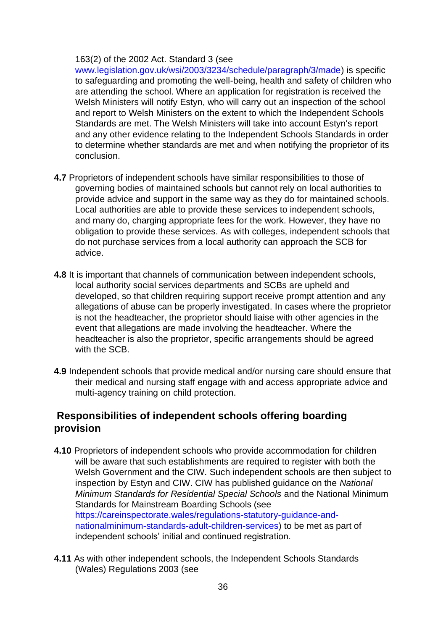#### 163(2) of the 2002 Act. Standard 3 (see

[www.legislation.gov.uk/wsi/2003/3234/schedule/paragraph/3/made\)](https://www.legislation.gov.uk/wsi/2003/3234/schedule/paragraph/3/made) is specific to safeguarding and promoting the well-being, health and safety of children who are attending the school. Where an application for registration is received the Welsh Ministers will notify Estyn, who will carry out an inspection of the school and report to Welsh Ministers on the extent to which the Independent Schools Standards are met. The Welsh Ministers will take into account Estyn's report and any other evidence relating to the Independent Schools Standards in order to determine whether standards are met and when notifying the proprietor of its conclusion.

- **4.7** Proprietors of independent schools have similar responsibilities to those of governing bodies of maintained schools but cannot rely on local authorities to provide advice and support in the same way as they do for maintained schools. Local authorities are able to provide these services to independent schools, and many do, charging appropriate fees for the work. However, they have no obligation to provide these services. As with colleges, independent schools that do not purchase services from a local authority can approach the SCB for advice.
- **4.8** It is important that channels of communication between independent schools, local authority social services departments and SCBs are upheld and developed, so that children requiring support receive prompt attention and any allegations of abuse can be properly investigated. In cases where the proprietor is not the headteacher, the proprietor should liaise with other agencies in the event that allegations are made involving the headteacher. Where the headteacher is also the proprietor, specific arrangements should be agreed with the SCB.
- **4.9** Independent schools that provide medical and/or nursing care should ensure that their medical and nursing staff engage with and access appropriate advice and multi-agency training on child protection.

#### <span id="page-35-0"></span>**Responsibilities of independent schools offering boarding provision**

- **4.10** Proprietors of independent schools who provide accommodation for children will be aware that such establishments are required to register with both the Welsh Government and the CIW. Such independent schools are then subject to inspection by Estyn and CIW. CIW has published guidance on the *National Minimum Standards for Residential Special Schools* and the National Minimum Standards for Mainstream Boarding Schools (see [https://careinspectorate.wales/regulations-statutory-guidance-and](https://careinspectorate.wales/regulations-statutory-guidance-and-national-minimum-standards-adult-children-services)[nationalminimum-standards-adult-children-services\)](https://careinspectorate.wales/regulations-statutory-guidance-and-national-minimum-standards-adult-children-services) to be met as part of independent schools' initial and continued registration.
- **4.11** As with other independent schools, the Independent Schools Standards (Wales) Regulations 2003 (see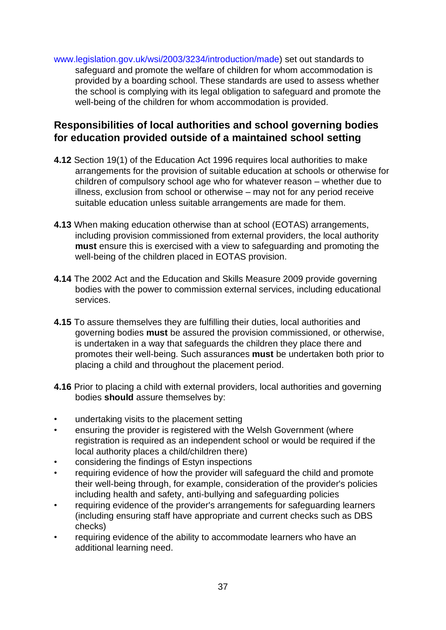[www.legislation.gov.uk/wsi/2003/3234/introduction/made\)](https://www.legislation.gov.uk/wsi/2003/3234/introduction/made) set out standards to safeguard and promote the welfare of children for whom accommodation is provided by a boarding school. These standards are used to assess whether the school is complying with its legal obligation to safeguard and promote the well-being of the children for whom accommodation is provided.

# **Responsibilities of local authorities and school governing bodies for education provided outside of a maintained school setting**

- **4.12** Section 19(1) of the Education Act 1996 requires local authorities to make arrangements for the provision of suitable education at schools or otherwise for children of compulsory school age who for whatever reason – whether due to illness, exclusion from school or otherwise – may not for any period receive suitable education unless suitable arrangements are made for them.
- **4.13** When making education otherwise than at school (EOTAS) arrangements, including provision commissioned from external providers, the local authority **must** ensure this is exercised with a view to safeguarding and promoting the well-being of the children placed in EOTAS provision.
- **4.14** The 2002 Act and the Education and Skills Measure 2009 provide governing bodies with the power to commission external services, including educational services.
- **4.15** To assure themselves they are fulfilling their duties, local authorities and governing bodies **must** be assured the provision commissioned, or otherwise, is undertaken in a way that safeguards the children they place there and promotes their well-being. Such assurances **must** be undertaken both prior to placing a child and throughout the placement period.
- **4.16** Prior to placing a child with external providers, local authorities and governing bodies **should** assure themselves by:
- undertaking visits to the placement setting
- ensuring the provider is registered with the Welsh Government (where registration is required as an independent school or would be required if the local authority places a child/children there)
- considering the findings of Estyn inspections
- requiring evidence of how the provider will safeguard the child and promote their well-being through, for example, consideration of the provider's policies including health and safety, anti-bullying and safeguarding policies
- requiring evidence of the provider's arrangements for safeguarding learners (including ensuring staff have appropriate and current checks such as DBS checks)
- requiring evidence of the ability to accommodate learners who have an additional learning need.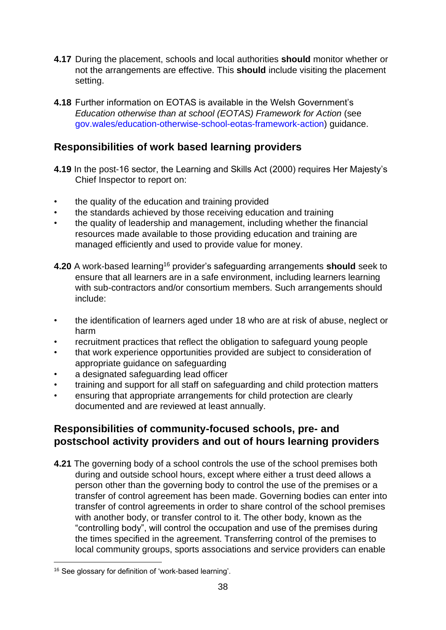- **4.17** During the placement, schools and local authorities **should** monitor whether or not the arrangements are effective. This **should** include visiting the placement setting.
- **4.18** Further information on EOTAS is available in the Welsh Government's *Education otherwise than at school (EOTAS) Framework for Action* (see [gov.wales/education-otherwise-school-eotas-framework-action\)](https://gov.wales/education-otherwise-school-eotas-framework-action) guidance.

# **Responsibilities of work based learning providers**

- **4.19** In the post-16 sector, the Learning and Skills Act (2000) requires Her Majesty's Chief Inspector to report on:
- the quality of the education and training provided
- the standards achieved by those receiving education and training
- the quality of leadership and management, including whether the financial resources made available to those providing education and training are managed efficiently and used to provide value for money.
- **4.20** A work-based learning<sup>16</sup> provider's safeguarding arrangements **should** seek to ensure that all learners are in a safe environment, including learners learning with sub-contractors and/or consortium members. Such arrangements should include:
- the identification of learners aged under 18 who are at risk of abuse, neglect or harm
- recruitment practices that reflect the obligation to safeguard young people
- that work experience opportunities provided are subject to consideration of appropriate guidance on safeguarding
- a designated safeguarding lead officer
- training and support for all staff on safeguarding and child protection matters
- ensuring that appropriate arrangements for child protection are clearly documented and are reviewed at least annually.

## **Responsibilities of community-focused schools, pre- and postschool activity providers and out of hours learning providers**

**4.21** The governing body of a school controls the use of the school premises both during and outside school hours, except where either a trust deed allows a person other than the governing body to control the use of the premises or a transfer of control agreement has been made. Governing bodies can enter into transfer of control agreements in order to share control of the school premises with another body, or transfer control to it. The other body, known as the "controlling body", will control the occupation and use of the premises during the times specified in the agreement. Transferring control of the premises to local community groups, sports associations and service providers can enable

<sup>16</sup> See glossary for definition of 'work-based learning'.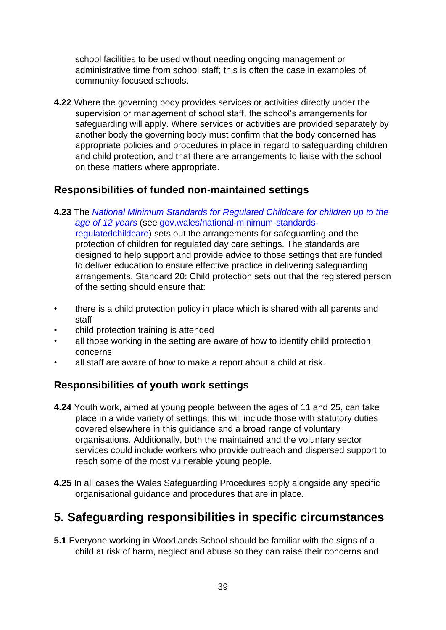school facilities to be used without needing ongoing management or administrative time from school staff; this is often the case in examples of community-focused schools.

**4.22** Where the governing body provides services or activities directly under the supervision or management of school staff, the school's arrangements for safeguarding will apply. Where services or activities are provided separately by another body the governing body must confirm that the body concerned has appropriate policies and procedures in place in regard to safeguarding children and child protection, and that there are arrangements to liaise with the school on these matters where appropriate.

# **Responsibilities of funded non-maintained settings**

- **4.23** The *[National Minimum Standards for Regulated Childcare for children up to the](https://careinspectorate.wales/sites/default/files/2018-01/160411regchildcareen.pdf)  [age of 12 years](https://careinspectorate.wales/sites/default/files/2018-01/160411regchildcareen.pdf)* [\(](https://careinspectorate.wales/sites/default/files/2018-01/160411regchildcareen.pdf)se[e](https://gov.wales/national-minimum-standards-regulated-childcare) [gov.wales/national-minimum-standards](https://gov.wales/national-minimum-standards-regulated-childcare)[regulatedchildcare\)](https://gov.wales/national-minimum-standards-regulated-childcare) sets out the arrangements for safeguarding and the protection of children for regulated day care settings. The standards are designed to help support and provide advice to those settings that are funded to deliver education to ensure effective practice in delivering safeguarding arrangements. Standard 20: Child protection sets out that the registered person of the setting should ensure that:
- there is a child protection policy in place which is shared with all parents and staff
- child protection training is attended
- all those working in the setting are aware of how to identify child protection concerns
- all staff are aware of how to make a report about a child at risk.

# **Responsibilities of youth work settings**

- **4.24** Youth work, aimed at young people between the ages of 11 and 25, can take place in a wide variety of settings; this will include those with statutory duties covered elsewhere in this guidance and a broad range of voluntary organisations. Additionally, both the maintained and the voluntary sector services could include workers who provide outreach and dispersed support to reach some of the most vulnerable young people.
- **4.25** In all cases the Wales Safeguarding Procedures apply alongside any specific organisational guidance and procedures that are in place.

# **5. Safeguarding responsibilities in specific circumstances**

**5.1** Everyone working in Woodlands School should be familiar with the signs of a child at risk of harm, neglect and abuse so they can raise their concerns and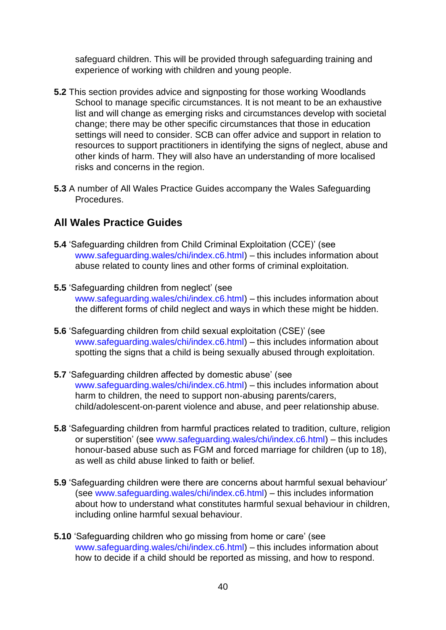safeguard children. This will be provided through safeguarding training and experience of working with children and young people.

- **5.2** This section provides advice and signposting for those working Woodlands School to manage specific circumstances. It is not meant to be an exhaustive list and will change as emerging risks and circumstances develop with societal change; there may be other specific circumstances that those in education settings will need to consider. SCB can offer advice and support in relation to resources to support practitioners in identifying the signs of neglect, abuse and other kinds of harm. They will also have an understanding of more localised risks and concerns in the region.
- **5.3** A number of All Wales Practice Guides accompany the Wales Safeguarding Procedures.

## **All Wales Practice Guides**

- **5.4** 'Safeguarding children from Child Criminal Exploitation (CCE)' (see [www.safeguarding.wales/chi/index.c6.html\)](https://www.safeguarding.wales/chi/index.c6.html) – this includes information about abuse related to county lines and other forms of criminal exploitation.
- **5.5** 'Safeguarding children from neglect' (see [www.safeguarding.wales/chi/index.c6.html\)](https://www.safeguarding.wales/chi/index.c6.html) – this includes information about the different forms of child neglect and ways in which these might be hidden.
- **5.6** 'Safeguarding children from child sexual exploitation (CSE)' (see [www.safeguarding.wales/chi/index.c6.html\)](https://www.safeguarding.wales/chi/index.c6.html) – this includes information about spotting the signs that a child is being sexually abused through exploitation.
- **5.7** 'Safeguarding children affected by domestic abuse' (see [www.safeguarding.wales/chi/index.c6.html\)](https://www.safeguarding.wales/chi/index.c6.html) – this includes information about harm to children, the need to support non-abusing parents/carers, child/adolescent-on-parent violence and abuse, and peer relationship abuse.
- **5.8** 'Safeguarding children from harmful practices related to tradition, culture, religion or superstition' (see [www.safeguarding.wales/chi/index.c6.html\)](https://www.safeguarding.wales/chi/index.c6.html) – this includes honour-based abuse such as FGM and forced marriage for children (up to 18), as well as child abuse linked to faith or belief.
- **5.9** 'Safeguarding children were there are concerns about harmful sexual behaviour' (se[e](https://www.safeguarding.wales/chi/index.c6.html) [www.safeguarding.wales/chi/index.c6.html\)](https://www.safeguarding.wales/chi/index.c6.html) – this includes information about how to understand what constitutes harmful sexual behaviour in children, including online harmful sexual behaviour.
- **5.10** 'Safeguarding children who go missing from home or care' (see [www.safeguarding.wales/chi/index.c6.html\)](https://www.safeguarding.wales/chi/index.c6.html) – this includes information about how to decide if a child should be reported as missing, and how to respond.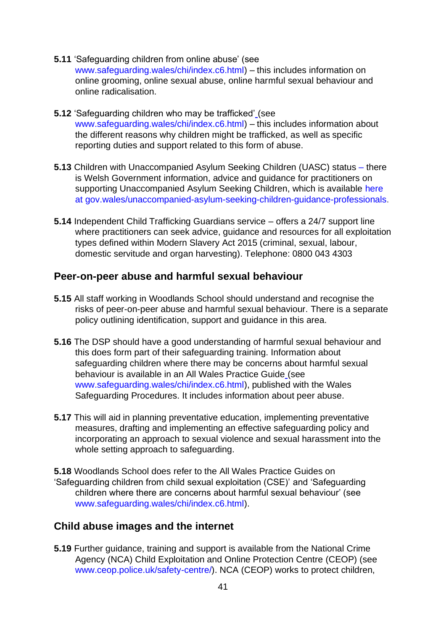- **5.11** 'Safeguarding children from online abuse' (see [www.safeguarding.wales/chi/index.c6.html\)](https://www.safeguarding.wales/chi/index.c6.html) – this includes information on online grooming, online sexual abuse, online harmful sexual behaviour and online radicalisation.
- **5.12** 'Safeguarding children who may be trafficked' (see [www.safeguarding.wales/chi/index.c6.html\)](https://www.safeguarding.wales/chi/index.c6.html) – this includes information about the different reasons why children might be trafficked, as well as specific reporting duties and support related to this form of abuse.
- **5.13** Children with Unaccompanied Asylum Seeking Children (UASC) status there is Welsh Government information, advice and guidance for practitioners on supporting Unaccompani[e](https://gov.wales/unaccompanied-asylum-seeking-children-guidance-professionals)d Asylum Seeking Children, which is available [here](https://gov.wales/unaccompanied-asylum-seeking-children-guidance-professionals) at [gov.wales/unaccompanied-asylum-seeking-children-guidance-professionals.](https://gov.wales/unaccompanied-asylum-seeking-children-guidance-professionals)
- **5.14** Independent Child Trafficking Guardians service offers a 24/7 support line where practitioners can seek advice, guidance and resources for all exploitation types defined within Modern Slavery Act 2015 (criminal, sexual, labour, domestic servitude and organ harvesting). Telephone: 0800 043 4303

### **Peer-on-peer abuse and harmful sexual behaviour**

- **5.15** All staff working in Woodlands School should understand and recognise the risks of peer-on-peer abuse and harmful sexual behaviour. There is a separate policy outlining identification, support and guidance in this area.
- **5.16** The DSP should have a good understanding of harmful sexual behaviour and this does form part of their safeguarding training. Information about safeguarding children where there may be concerns about harmful sexual behaviour is available in an All Wales Practice Guide (see [www.safeguarding.wales/chi/index.c6.html\),](https://www.safeguarding.wales/chi/index.c6.html) published with the Wales Safeguarding Procedures. It includes information about peer abuse.
- **5.17** This will aid in planning preventative education, implementing preventative measures, drafting and implementing an effective safeguarding policy and incorporating an approach to sexual violence and sexual harassment into the whole setting approach to safeguarding.
- **5.18** Woodlands School does refer to the All Wales Practice Guides on 'Safeguarding children from child sexual exploitation (CSE)' and 'Safeguarding children where there are concerns about harmful sexual behaviour' (see [www.safeguarding.wales/chi/index.c6.html\).](https://www.safeguarding.wales/chi/index.c6.html)

### **Child abuse images and the internet**

**5.19** Further guidance, training and support is available from the National Crime Agency (NCA) Child Exploitation and Online Protection Centre (CEOP) (see [www.ceop.police.uk/safety-centre/\).](https://www.ceop.police.uk/safety-centre/) NCA (CEOP) works to protect children,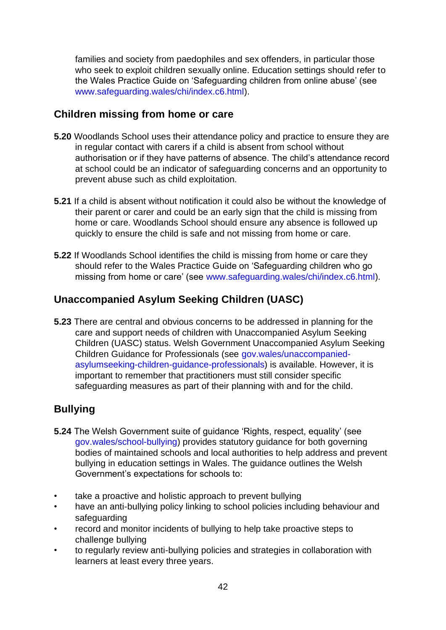families and society from paedophiles and sex offenders, in particular those who seek to exploit children sexually online. Education settings should refer to the Wales Practice Guide on 'Safeguarding children from online abuse' (see [www.safeguarding.wales/chi/index.c6.html\).](https://www.safeguarding.wales/chi/index.c6.html)

## **Children missing from home or care**

- **5.20** Woodlands School uses their attendance policy and practice to ensure they are in regular contact with carers if a child is absent from school without authorisation or if they have patterns of absence. The child's attendance record at school could be an indicator of safeguarding concerns and an opportunity to prevent abuse such as child exploitation.
- **5.21** If a child is absent without notification it could also be without the knowledge of their parent or carer and could be an early sign that the child is missing from home or care. Woodlands School should ensure any absence is followed up quickly to ensure the child is safe and not missing from home or care.
- **5.22** If Woodlands School identifies the child is missing from home or care they should refer to the Wales Practice Guide on 'Safeguarding children who go missing from home or care' (se[e](https://www.safeguarding.wales/chi/index.c6.html) [www.safeguarding.wales/chi/index.c6.html\).](https://www.safeguarding.wales/chi/index.c6.html)

# **Unaccompanied Asylum Seeking Children (UASC)**

**5.23** There are central and obvious concerns to be addressed in planning for the care and support needs of children with Unaccompanied Asylum Seeking Children (UASC) status. Welsh Government Unaccompanied Asylum Seeking Children Guidance for Professionals (see [gov.wales/unaccompanied](https://gov.wales/unaccompanied-asylum-seeking-children-guidance-professionals)[asylumseeking-children-guidance-professionals\)](https://gov.wales/unaccompanied-asylum-seeking-children-guidance-professionals) is available. However, it is important to remember that practitioners must still consider specific safeguarding measures as part of their planning with and for the child.

# **Bullying**

- **5.24** The Welsh Government suite of guidance 'Rights, respect, equality' (see [gov.wales/school-bullying\)](https://gov.wales/school-bullying) provides statutory guidance for both governing bodies of maintained schools and local authorities to help address and prevent bullying in education settings in Wales. The guidance outlines the Welsh Government's expectations for schools to:
- take a proactive and holistic approach to prevent bullying
- have an anti-bullying policy linking to school policies including behaviour and safeguarding
- record and monitor incidents of bullying to help take proactive steps to challenge bullying
- to regularly review anti-bullying policies and strategies in collaboration with learners at least every three years.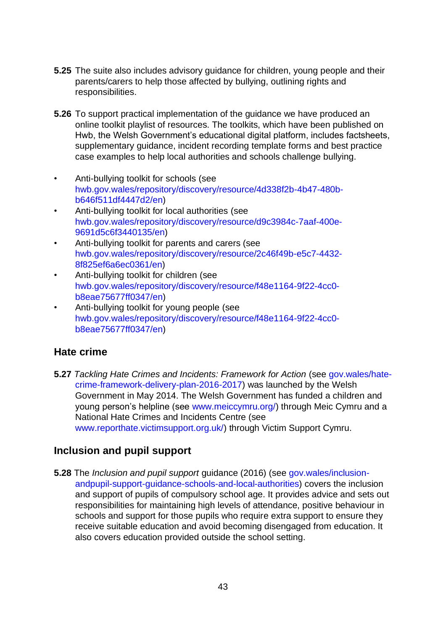- **5.25** The suite also includes advisory guidance for children, young people and their parents/carers to help those affected by bullying, outlining rights and responsibilities.
- **5.26** To support practical implementation of the guidance we have produced an online toolkit playlist of resources. The toolkits, which have been published on Hwb, the Welsh Government's educational digital platform, includes factsheets, supplementary guidance, incident recording template forms and best practice case examples to help local authorities and schools challenge bullying.
- Anti-bullying toolkit for schools (see [hwb.gov.wales/repository/discovery/resource/4d338f2b-4b47-480b](https://hwb.gov.wales/repository/discovery/resource/4d338f2b-4b47-480b-b646-f511df4447d2/en)[b646f511df4447d2/en\)](https://hwb.gov.wales/repository/discovery/resource/4d338f2b-4b47-480b-b646-f511df4447d2/en)
- Anti-bullying toolkit for local authorities (see [hwb.gov.wales/repository/discovery/resource/d9c3984c-7aaf-400e-](https://hwb.gov.wales/repository/discovery/resource/d9c3984c-7aaf-400e-9691-d5c6f3440135/en)[9691d5c6f3440135/en\)](https://hwb.gov.wales/repository/discovery/resource/d9c3984c-7aaf-400e-9691-d5c6f3440135/en)
- Anti-bullying toolkit for parents and carers (see [hwb.gov.wales/repository/discovery/resource/2c46f49b-e5c7-4432-](https://hwb.gov.wales/repository/discovery/resource/2c46f49b-e5c7-4432-8f82-5ef6a6ec0361/en) [8f825ef6a6ec0361/en\)](https://hwb.gov.wales/repository/discovery/resource/2c46f49b-e5c7-4432-8f82-5ef6a6ec0361/en)
- Anti-bullying toolkit for children (see [hwb.gov.wales/repository/discovery/resource/f48e1164-9f22-4cc0](https://hwb.gov.wales/repository/discovery/resource/f48e1164-9f22-4cc0-b8ea-e75677ff0347/en) [b8eae75677ff0347/en\)](https://hwb.gov.wales/repository/discovery/resource/f48e1164-9f22-4cc0-b8ea-e75677ff0347/en)
- Anti-bullying toolkit for young people (see [hwb.gov.wales/repository/discovery/resource/f48e1164-9f22-4cc0](https://hwb.gov.wales/repository/discovery/resource/f48e1164-9f22-4cc0-b8ea-e75677ff0347/en) [b8eae75677ff0347/en\)](https://hwb.gov.wales/repository/discovery/resource/f48e1164-9f22-4cc0-b8ea-e75677ff0347/en)

# **Hate crime**

**5.27** *Tackling Hate Crimes and Incidents: Framework for Action* (see [gov.wales/hate](https://gov.wales/hate-crime-framework-delivery-plan-2016-2017)[crime-framework-delivery-plan-2016-2017\)](https://gov.wales/hate-crime-framework-delivery-plan-2016-2017) was launched by the Welsh Government in May 2014. The Welsh Government has funded a children and young person's helpline (see [www.meiccymru.org/\)](https://www.meiccymru.org/) through Meic Cymru and a National Hate Crimes and Incidents Centre (see [www.reporthate.victimsupport.org.uk/\)](https://www.reporthate.victimsupport.org.uk/) through Victim Support Cymru.

# **Inclusion and pupil support**

**5.28** The *Inclusion and pupil support* guidance (2016) (see [gov.wales/inclusion](https://gov.wales/inclusion-and-pupil-support-guidance-schools-and-local-authorities)[andpupil-support-guidance-schools-and-local-authorities\)](https://gov.wales/inclusion-and-pupil-support-guidance-schools-and-local-authorities) covers the inclusion and support of pupils of compulsory school age. It provides advice and sets out responsibilities for maintaining high levels of attendance, positive behaviour in schools and support for those pupils who require extra support to ensure they receive suitable education and avoid becoming disengaged from education. It also covers education provided outside the school setting.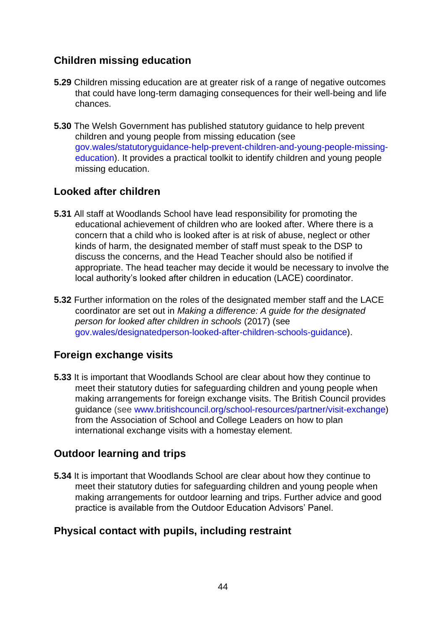# **Children missing education**

- **5.29** Children missing education are at greater risk of a range of negative outcomes that could have long-term damaging consequences for their well-being and life chances.
- **5.30** The Welsh Government has published statutory guidance to help prevent children and young people from missing education (se[e](https://eur01.safelinks.protection.outlook.com/?url=https%3A%2F%2Fgov.wales%2Fstatutory-guidance-help-prevent-children-and-young-people-missing-education&data=02%7C01%7CAndrew.Brown%40gov.wales%7C5827b06d7ef249dda8f908d86521a819%7Ca2cc36c592804ae78887d06dab89216b%7C0%7C0%7C637370542506228739&sdata=%2B8vMOgI7GIteDxrGQtsyyQP7QB57AksxG8gtbBJQOHc%3D&reserved=0) [gov.wales/statutoryguidance-help-prevent-children-and-young-people-missing](https://eur01.safelinks.protection.outlook.com/?url=https%3A%2F%2Fgov.wales%2Fstatutory-guidance-help-prevent-children-and-young-people-missing-education&data=02%7C01%7CAndrew.Brown%40gov.wales%7C5827b06d7ef249dda8f908d86521a819%7Ca2cc36c592804ae78887d06dab89216b%7C0%7C0%7C637370542506228739&sdata=%2B8vMOgI7GIteDxrGQtsyyQP7QB57AksxG8gtbBJQOHc%3D&reserved=0)[education\).](https://eur01.safelinks.protection.outlook.com/?url=https%3A%2F%2Fgov.wales%2Fstatutory-guidance-help-prevent-children-and-young-people-missing-education&data=02%7C01%7CAndrew.Brown%40gov.wales%7C5827b06d7ef249dda8f908d86521a819%7Ca2cc36c592804ae78887d06dab89216b%7C0%7C0%7C637370542506228739&sdata=%2B8vMOgI7GIteDxrGQtsyyQP7QB57AksxG8gtbBJQOHc%3D&reserved=0) It provides a practical toolkit to identify children and young people missing education.

# **Looked after children**

- **5.31** All staff at Woodlands School have lead responsibility for promoting the educational achievement of children who are looked after. Where there is a concern that a child who is looked after is at risk of abuse, neglect or other kinds of harm, the designated member of staff must speak to the DSP to discuss the concerns, and the Head Teacher should also be notified if appropriate. The head teacher may decide it would be necessary to involve the local authority's looked after children in education (LACE) coordinator.
- **5.32** Further information on the roles of the designated member staff and the LACE coordinator are set out in *Making a difference: A guide for the designated person for looked after children in schools* (2017) (se[e](https://gov.wales/designated-person-looked-after-children-schools-guidance) [gov.wales/designatedperson-looked-after-children-schools-guidance\).](https://gov.wales/designated-person-looked-after-children-schools-guidance)

# **Foreign exchange visits**

**5.33** It is important that Woodlands School are clear about how they continue to meet their statutory duties for safeguarding children and young people when making arrangements for foreign exchange visits. The British Council provides guidance (see [www.britishcouncil.org/school-resources/partner/visit-exchange\)](https://www.britishcouncil.org/school-resources/partner/visit-exchange) from the Association of School and College Leaders on how to plan international exchange visits with a homestay element.

# **Outdoor learning and trips**

**5.34** It is important that Woodlands School are clear about how they continue to meet their statutory duties for safeguarding children and young people when making arrangements for outdoor learning and trips. Further advice and good practice is available from the Outdoor Education Advisors' Panel.

# **Physical contact with pupils, including restraint**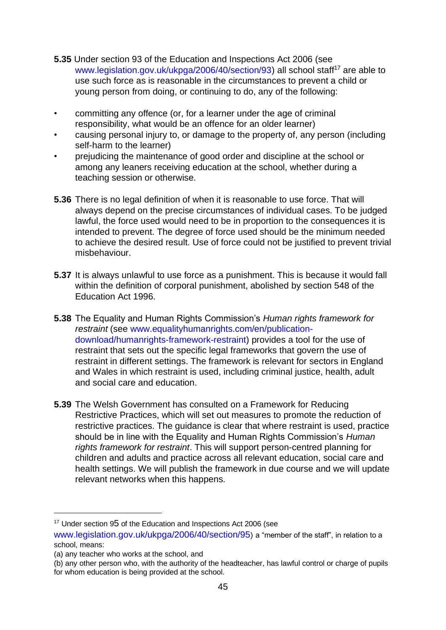- **5.35** Under section 93 of the Education and Inspections Act 2006 (see [www.legislation.gov.uk/ukpga/2006/40/section/93\)](https://www.legislation.gov.uk/ukpga/2006/40/section/93) all school staff<sup>17</sup> are able to use such force as is reasonable in the circumstances to prevent a child or young person from doing, or continuing to do, any of the following:
- committing any offence (or, for a learner under the age of criminal responsibility, what would be an offence for an older learner)
- causing personal injury to, or damage to the property of, any person (including self-harm to the learner)
- prejudicing the maintenance of good order and discipline at the school or among any leaners receiving education at the school, whether during a teaching session or otherwise.
- **5.36** There is no legal definition of when it is reasonable to use force. That will always depend on the precise circumstances of individual cases. To be judged lawful, the force used would need to be in proportion to the consequences it is intended to prevent. The degree of force used should be the minimum needed to achieve the desired result. Use of force could not be justified to prevent trivial misbehaviour.
- **5.37** It is always unlawful to use force as a punishment. This is because it would fall within the definition of corporal punishment, abolished by section 548 of the Education Act 1996.
- **5.38** The Equality and Human Rights Commission's *Human rights framework for restraint* (see [www.equalityhumanrights.com/en/publication](https://www.equalityhumanrights.com/en/publication-download/human-rights-framework-restraint)[download/humanrights-framework-restraint\)](https://www.equalityhumanrights.com/en/publication-download/human-rights-framework-restraint) provides a tool for the use of restraint that sets out the specific legal frameworks that govern the use of restraint in different settings. The framework is relevant for sectors in England and Wales in which restraint is used, including criminal justice, health, adult and social care and education.
- **5.39** The Welsh Government has consulted on a Framework for Reducing Restrictive Practices, which will set out measures to promote the reduction of restrictive practices. The guidance is clear that where restraint is used, practice should be in line with the Equality and Human Rights Commission's *Human rights framework for restraint*. This will support person-centred planning for children and adults and practice across all relevant education, social care and health settings. We will publish the framework in due course and we will update relevant networks when this happens.

<sup>&</sup>lt;sup>17</sup> Under section 95 of the Education and Inspections Act 2006 (see

[www.legislation.gov.uk/ukpga/2006/40/section/95](https://www.legislation.gov.uk/ukpga/2006/40/section/95)[\)](https://www.legislation.gov.uk/ukpga/2006/40/section/95) a "member of the staff", in relation to a school, means:

<sup>(</sup>a) any teacher who works at the school, and

<sup>(</sup>b) any other person who, with the authority of the headteacher, has lawful control or charge of pupils for whom education is being provided at the school.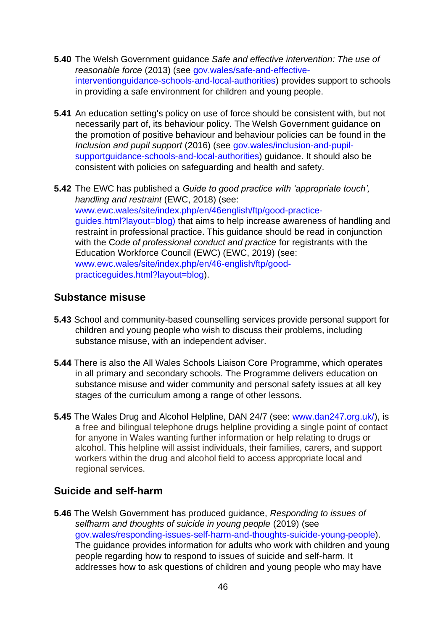- **5.40** The Welsh Government guidance *Safe and effective intervention: The use of reasonable force* (2013) (see [gov.wales/safe-and-effective](https://gov.wales/safe-and-effective-intervention-guidance-schools-and-local-authorities)[interventionguidance-schools-and-local-authorities\)](https://gov.wales/safe-and-effective-intervention-guidance-schools-and-local-authorities) provides support to schools in providing a safe environment for children and young people.
- **5.41** An education setting's policy on use of force should be consistent with, but not necessarily part of, its behaviour policy. The Welsh Government guidance on the promotion of positive behaviour and behaviour policies can be found in the *Inclusion and pupil support* (2016) (see [gov.wales/inclusion-and-pupil](https://gov.wales/inclusion-and-pupil-support-guidance-schools-and-local-authorities)[supportguidance-schools-and-local-authorities\)](https://gov.wales/inclusion-and-pupil-support-guidance-schools-and-local-authorities) guidance. It should also be consistent with policies on safeguarding and health and safety.
- **5.42** The EWC has published a *Guide to good practice with 'appropriate touch', handling and restraint* (EWC, 2018) (see[:](https://www.ewc.wales/site/index.php/en/46-english/ftp/good-practice-guides.html?layout=blog) [www.ewc.wales/site/index.php/en/46english/ftp/good-practice](https://www.ewc.wales/site/index.php/en/46-english/ftp/good-practice-guides.html?layout=blog)[guides.html?layout=blog\)](https://www.ewc.wales/site/index.php/en/46-english/ftp/good-practice-guides.html?layout=blog) that aims to help increase awareness of handling and restraint in professional practice. This guidance should be read in conjunction with the C*ode of professional conduct and practice* for registrants with the Education Workforce Council (EWC) (EWC, 2019) (see: [www.ewc.wales/site/index.php/en/46-english/ftp/good](https://www.ewc.wales/site/index.php/en/46-english/ftp/good-practice-guides.html?layout=blog)[practiceguides.html?layout=blog\).](https://www.ewc.wales/site/index.php/en/46-english/ftp/good-practice-guides.html?layout=blog)

### **Substance misuse**

- **5.43** School and community-based counselling services provide personal support for children and young people who wish to discuss their problems, including substance misuse, with an independent adviser.
- **5.44** There is also the All Wales Schools Liaison Core Programme, which operates in all primary and secondary schools. The Programme delivers education on substance misuse and wider community and personal safety issues at all key stages of the curriculum among a range of other lessons.
- **5.45** The Wales Drug and Alcohol Helpline, DAN 24/7 (see[:](http://www.dan247.org.uk/) [www.dan247.org.uk/\),](http://www.dan247.org.uk/) is a free and bilingual telephone drugs helpline providing a single point of contact for anyone in Wales wanting further information or help relating to drugs or alcohol. This helpline will assist individuals, their families, carers, and support workers within the drug and alcohol field to access appropriate local and regional services.

### **Suicide and self-harm**

**5.46** The Welsh Government has produced guidance, *Responding to issues of selfharm and thoughts of suicide in young people* (2019) (see [gov.wales/responding-issues-self-harm-and-thoughts-suicide-young-people\).](https://gov.wales/responding-issues-self-harm-and-thoughts-suicide-young-people) The guidance provides information for adults who work with children and young people regarding how to respond to issues of suicide and self-harm. It addresses how to ask questions of children and young people who may have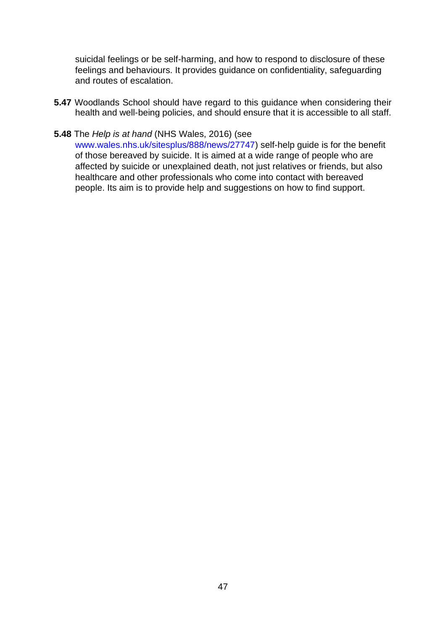suicidal feelings or be self-harming, and how to respond to disclosure of these feelings and behaviours. It provides guidance on confidentiality, safeguarding and routes of escalation.

**5.47** Woodlands School should have regard to this guidance when considering their health and well-being policies, and should ensure that it is accessible to all staff.

#### **5.48** The *Help is at hand* (NHS Wales, 2016) (see

[www.wales.nhs.uk/sitesplus/888/news/27747\)](http://www.wales.nhs.uk/sitesplus/888/news/27747) self-help guide is for the benefit of those bereaved by suicide. It is aimed at a wide range of people who are affected by suicide or unexplained death, not just relatives or friends, but also healthcare and other professionals who come into contact with bereaved people. Its aim is to provide help and suggestions on how to find support.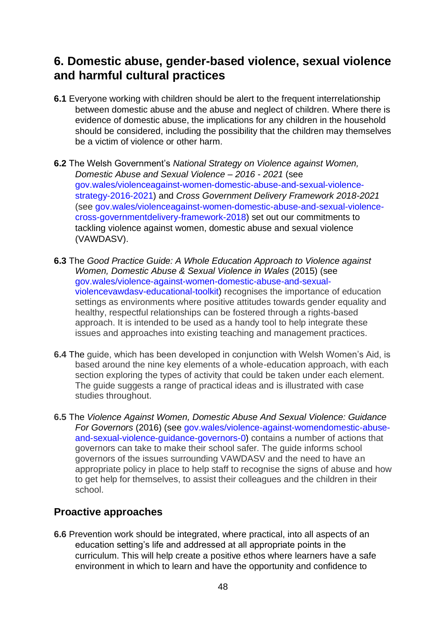# **6. Domestic abuse, gender-based violence, sexual violence and harmful cultural practices**

- **6.1** Everyone working with children should be alert to the frequent interrelationship between domestic abuse and the abuse and neglect of children. Where there is evidence of domestic abuse, the implications for any children in the household should be considered, including the possibility that the children may themselves be a victim of violence or other harm.
- **6.2** The Welsh Government's *National Strategy on Violence against Women, Domestic Abuse and Sexual Violence – 2016 - 2021* (see [gov.wales/violenceagainst-women-domestic-abuse-and-sexual-violence](https://eur01.safelinks.protection.outlook.com/?url=https%3A%2F%2Fgov.wales%2Fviolence-against-women-domestic-abuse-and-sexual-violence-strategy-2016-2021&data=02%7C01%7CMegan.Colley001%40gov.wales%7C67a7e8036a7f452ace4b08d85ade34fe%7Ca2cc36c592804ae78887d06dab89216b%7C0%7C0%7C637359257699557046&sdata=JoTOtYl4C8pyLmY2Xzxp8Ufo7dQMGNjBESMllcUwzys%3D&reserved=0)[strategy-2016-2021\)](https://eur01.safelinks.protection.outlook.com/?url=https%3A%2F%2Fgov.wales%2Fviolence-against-women-domestic-abuse-and-sexual-violence-strategy-2016-2021&data=02%7C01%7CMegan.Colley001%40gov.wales%7C67a7e8036a7f452ace4b08d85ade34fe%7Ca2cc36c592804ae78887d06dab89216b%7C0%7C0%7C637359257699557046&sdata=JoTOtYl4C8pyLmY2Xzxp8Ufo7dQMGNjBESMllcUwzys%3D&reserved=0) and *Cross Government Delivery Framework 2018-2021* (s[ee gov.wales/violenceagainst-women-domestic-abuse-and-sexual-violence](https://eur01.safelinks.protection.outlook.com/?url=https%3A%2F%2Fgov.wales%2Fviolence-against-women-domestic-abuse-and-sexual-violence-cross-government-delivery-framework-2018&data=02%7C01%7CMegan.Colley001%40gov.wales%7C67a7e8036a7f452ace4b08d85ade34fe%7Ca2cc36c592804ae78887d06dab89216b%7C0%7C0%7C637359257699557046&sdata=5AQiOqDC03Znz4llJt9I4Ag2HntF9MVngyK5H5cCIy8%3D&reserved=0)[cross-governmentdelivery-framework-2018\)](https://eur01.safelinks.protection.outlook.com/?url=https%3A%2F%2Fgov.wales%2Fviolence-against-women-domestic-abuse-and-sexual-violence-cross-government-delivery-framework-2018&data=02%7C01%7CMegan.Colley001%40gov.wales%7C67a7e8036a7f452ace4b08d85ade34fe%7Ca2cc36c592804ae78887d06dab89216b%7C0%7C0%7C637359257699557046&sdata=5AQiOqDC03Znz4llJt9I4Ag2HntF9MVngyK5H5cCIy8%3D&reserved=0) set out our commitments to tackling violence against women, domestic abuse and sexual violence (VAWDASV).
- **6.3** The *[Good Practice Guide: A Whole Education Approach to Violence against](https://www.cardiff.ac.uk/__data/assets/pdf_file/0007/522394/A-Whole-Education-Approach-to-Violence-Against-Women,-Domestic-Abuse-and-Sexual-Violence-in-Wales.pdf)  [Women, Domestic Abuse & Sexual Violence in Wales](https://www.cardiff.ac.uk/__data/assets/pdf_file/0007/522394/A-Whole-Education-Approach-to-Violence-Against-Women,-Domestic-Abuse-and-Sexual-Violence-in-Wales.pdf)* (2015) (see [gov.wales/violence-against-women-domestic-abuse-and-sexual](https://gov.wales/violence-against-women-domestic-abuse-and-sexual-violence-vawdasv-educational-toolkit)[violencevawdasv-educational-toolkit\)](https://gov.wales/violence-against-women-domestic-abuse-and-sexual-violence-vawdasv-educational-toolkit) recognises the importance of education settings as environments where positive attitudes towards gender equality and healthy, respectful relationships can be fostered through a rights-based approach. It is intended to be used as a handy tool to help integrate these issues and approaches into existing teaching and management practices.
- **6.4** The guide, which has been developed in conjunction with Welsh Women's Aid, is based around the nine key elements of a whole-education approach, with each section exploring the types of activity that could be taken under each element. The guide suggests a range of practical ideas and is illustrated with case studies throughout.
- **6.5** The *Violence Against Women, Domestic Abuse And Sexual Violence: Guidance For Governors* (2016) (se[e](https://gov.wales/violence-against-women-domestic-abuse-and-sexual-violence-guidance-governors-0) [gov.wales/violence-against-womendomestic-abuse](https://gov.wales/violence-against-women-domestic-abuse-and-sexual-violence-guidance-governors-0)[and-sexual-violence-guidance-governors-0\)](https://gov.wales/violence-against-women-domestic-abuse-and-sexual-violence-guidance-governors-0) contains a number of actions that governors can take to make their school safer. The guide informs school governors of the issues surrounding VAWDASV and the need to have an appropriate policy in place to help staff to recognise the signs of abuse and how to get help for themselves, to assist their colleagues and the children in their school.

# **Proactive approaches**

**6.6** Prevention work should be integrated, where practical, into all aspects of an education setting's life and addressed at all appropriate points in the curriculum. This will help create a positive ethos where learners have a safe environment in which to learn and have the opportunity and confidence to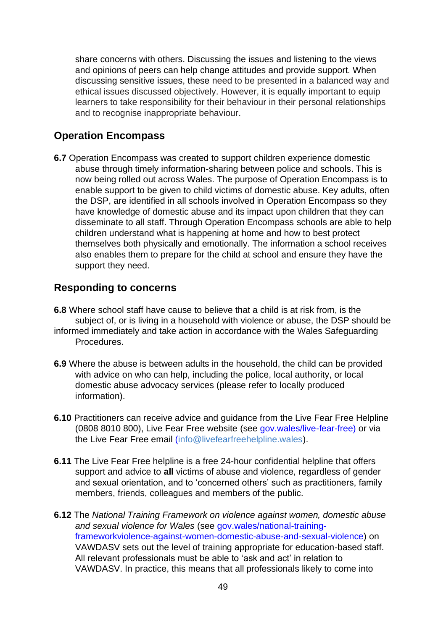share concerns with others. Discussing the issues and listening to the views and opinions of peers can help change attitudes and provide support. When discussing sensitive issues, these need to be presented in a balanced way and ethical issues discussed objectively. However, it is equally important to equip learners to take responsibility for their behaviour in their personal relationships and to recognise inappropriate behaviour.

### **Operation Encompass**

**6.7** Operation Encompass was created to support children experience domestic abuse through timely information-sharing between police and schools. This is now being rolled out across Wales. The purpose of Operation Encompass is to enable support to be given to child victims of domestic abuse. Key adults, often the DSP, are identified in all schools involved in Operation Encompass so they have knowledge of domestic abuse and its impact upon children that they can disseminate to all staff. Through Operation Encompass schools are able to help children understand what is happening at home and how to best protect themselves both physically and emotionally. The information a school receives also enables them to prepare for the child at school and ensure they have the support they need.

### **Responding to concerns**

- **6.8** Where school staff have cause to believe that a child is at risk from, is the subject of, or is living in a household with violence or abuse, the DSP should be informed immediately and take action in accordance with the Wales Safeguarding Procedures.
- **6.9** Where the abuse is between adults in the household, the child can be provided with advice on who can help, including the police, local authority, or local domestic abuse advocacy services (please refer to locally produced information).
- **6.10** Practitioners can receive advice and guidance from the Live Fear Free Helpline (0808 8010 800), Live Fear Free website (se[e](https://gov.wales/live-fear-free) [gov.wales/live-fear-free\)](https://gov.wales/live-fear-free) or via the Live Fear Free email (info@livefearfreehelpline.wales).
- **6.11** The Live Fear Free helpline is a free 24-hour confidential helpline that offers support and advice to **all** victims of abuse and violence, regardless of gender and sexual orientation, and to 'concerned others' such as practitioners, family members, friends, colleagues and members of the public.
- **6.12** The *National Training Framework on violence against women, domestic abuse and sexual violence for Wales* (see [gov.wales/national-training](https://gov.wales/national-training-framework-violence-against-women-domestic-abuse-and-sexual-violence)[frameworkviolence-against-women-domestic-abuse-and-sexual-violence\)](https://gov.wales/national-training-framework-violence-against-women-domestic-abuse-and-sexual-violence) on VAWDASV sets out the level of training appropriate for education-based staff. All relevant professionals must be able to 'ask and act' in relation to VAWDASV. In practice, this means that all professionals likely to come into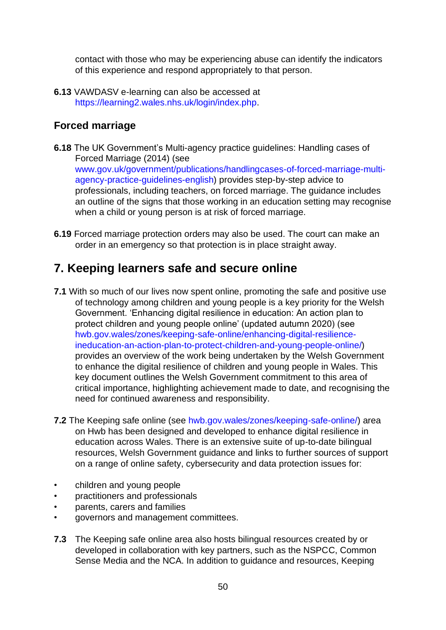contact with those who may be experiencing abuse can identify the indicators of this experience and respond appropriately to that person.

**6.13** VAWDASV e-learning can also be accessed at [https://learning2.wales.nhs.uk/login/index.php.](https://learning2.wales.nhs.uk/login/index.php)

# **Forced marriage**

- **6.18** The UK Government's [Multi-agency practice guidelines: Handling cases of](https://assets.publishing.service.gov.uk/government/uploads/system/uploads/attachment_data/file/322307/HMG_MULTI_AGENCY_PRACTICE_GUIDELINES_v1_180614_FINAL.pdf)  [Forced Marriage](https://assets.publishing.service.gov.uk/government/uploads/system/uploads/attachment_data/file/322307/HMG_MULTI_AGENCY_PRACTICE_GUIDELINES_v1_180614_FINAL.pdf) (2014) (see [www.gov.uk/government/publications/handlingcases-of-forced-marriage-multi](https://eur01.safelinks.protection.outlook.com/?url=https%3A%2F%2Fwww.gov.uk%2Fgovernment%2Fpublications%2Fhandling-cases-of-forced-marriage-multi-agency-practice-guidelines-english&data=02%7C01%7CMegan.Colley001%40gov.wales%7Ccec91327052041873e2b08d8549d41d1%7Ca2cc36c592804ae78887d06dab89216b%7C0%7C0%7C637352381668739350&sdata=wpkOIM37hJxs6D8BMz%2BSLZaXL9%2BdcA8mViqFBSOyo5I%3D&reserved=0)[agency-practice-guidelines-english\)](https://eur01.safelinks.protection.outlook.com/?url=https%3A%2F%2Fwww.gov.uk%2Fgovernment%2Fpublications%2Fhandling-cases-of-forced-marriage-multi-agency-practice-guidelines-english&data=02%7C01%7CMegan.Colley001%40gov.wales%7Ccec91327052041873e2b08d8549d41d1%7Ca2cc36c592804ae78887d06dab89216b%7C0%7C0%7C637352381668739350&sdata=wpkOIM37hJxs6D8BMz%2BSLZaXL9%2BdcA8mViqFBSOyo5I%3D&reserved=0) provides step-by-step advice to professionals, including teachers, on forced marriage. The guidance includes an outline of the signs that those working in an education setting may recognise when a child or young person is at risk of forced marriage.
- **6.19** Forced marriage protection orders may also be used. The court can make an order in an emergency so that protection is in place straight away.

# **7. Keeping learners safe and secure online**

- **7.1** With so much of our lives now spent online, promoting the safe and positive use of technology among children and young people is a key priority for the Welsh Government. 'Enhancing digital resilience in education: An action plan to protect children and young people online' (updated autumn 2020) (see [hwb.gov.wales/zones/keeping-safe-online/enhancing-digital-resilience](https://hwb.gov.wales/zones/keeping-safe-online/enhancing-digital-resilience-in-education-an-action-plan-to-protect-children-and-young-people-online/)[ineducation-an-action-plan-to-protect-children-and-young-people-online/\)](https://hwb.gov.wales/zones/keeping-safe-online/enhancing-digital-resilience-in-education-an-action-plan-to-protect-children-and-young-people-online/) provides an overview of the work being undertaken by the Welsh Government to enhance the digital resilience of children and young people in Wales. This key document outlines the Welsh Government commitment to this area of critical importance, highlighting achievement made to date, and recognising the need for continued awareness and responsibility.
- **7.2** The Keeping safe online (see [hwb.gov.wales/zones/keeping-safe-online/\)](https://hwb.gov.wales/zones/keeping-safe-online/) area on Hwb has been designed and developed to enhance digital resilience in education across Wales. There is an extensive suite of up-to-date bilingual resources, Welsh Government guidance and links to further sources of support on a range of online safety, cybersecurity and data protection issues for:
- children and young people
- practitioners and professionals
- parents, carers and families
- governors and management committees.
- **7.3** The Keeping safe online area also hosts bilingual resources created by or developed in collaboration with key partners, such as the NSPCC, Common Sense Media and the NCA. In addition to guidance and resources, Keeping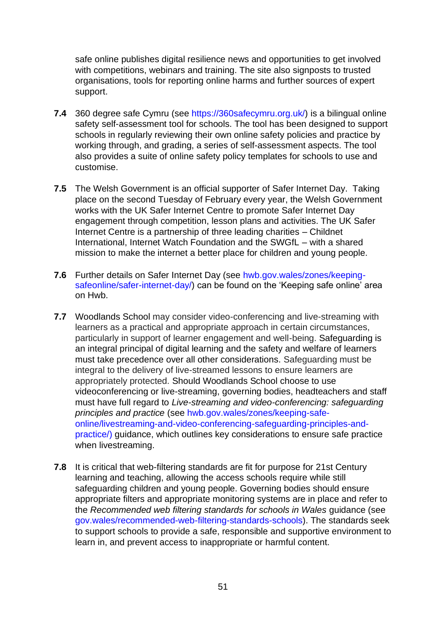safe online publishes digital resilience news and opportunities to get involved with competitions, webinars and training. The site also signposts to trusted organisations, tools for reporting online harms and further sources of expert support.

- **7.4** 360 degree safe Cymru (see [https://360safecymru.org.uk/\)](https://360safecymru.org.uk/) is a bilingual online safety self-assessment tool for schools. The tool has been designed to support schools in regularly reviewing their own online safety policies and practice by working through, and grading, a series of self-assessment aspects. The tool also provides a suite of online safety policy templates for schools to use and customise.
- **7.5** The Welsh Government is an official supporter of Safer Internet Day. Taking place on the second Tuesday of February every year, the Welsh Government works with the UK Safer Internet Centre to promote Safer Internet Day engagement through competition, lesson plans and activities. The UK Safer Internet Centre is a partnership of three leading charities – Childnet International, Internet Watch Foundation and the SWGfL – with a shared mission to make the internet a better place for children and young people.
- **7.6** Further details on Safer Internet Day (see [hwb.gov.wales/zones/keeping](https://hwb.gov.wales/zones/keeping-safe-online/safer-internet-day/)[safeonline/safer-internet-day/\)](https://hwb.gov.wales/zones/keeping-safe-online/safer-internet-day/) can be found on the 'Keeping safe online' area on Hwb.
- **7.7** Woodlands School may consider video-conferencing and live-streaming with learners as a practical and appropriate approach in certain circumstances, particularly in support of learner engagement and well-being. Safeguarding is an integral principal of digital learning and the safety and welfare of learners must take precedence over all other considerations. Safeguarding must be integral to the delivery of live-streamed lessons to ensure learners are appropriately protected. Should Woodlands School choose to use videoconferencing or live-streaming, governing bodies, headteachers and staff must have full regard to *Live-streaming and video-conferencing: safeguarding principles and practice* (se[e](https://hwb.gov.wales/zones/keeping-safe-online/live-streaming-and-video-conferencing-safeguarding-principles-and-practice/) [hwb.gov.wales/zones/keeping-safe](https://hwb.gov.wales/zones/keeping-safe-online/live-streaming-and-video-conferencing-safeguarding-principles-and-practice/)[online/livestreaming-and-video-conferencing-safeguarding-principles-and](https://hwb.gov.wales/zones/keeping-safe-online/live-streaming-and-video-conferencing-safeguarding-principles-and-practice/)[practice/\)](https://hwb.gov.wales/zones/keeping-safe-online/live-streaming-and-video-conferencing-safeguarding-principles-and-practice/) guidance, which outlines key considerations to ensure safe practice when livestreaming.
- **7.8** It is critical that web-filtering standards are fit for purpose for 21st Century learning and teaching, allowing the access schools require while still safeguarding children and young people. Governing bodies should ensure appropriate filters and appropriate monitoring systems are in place and refer to the *Recommended web filtering standards for schools in Wales* guidance (see [gov.wales/recommended-web-filtering-standards-schools\).](https://gov.wales/recommended-web-filtering-standards-schools) The standards seek to support schools to provide a safe, responsible and supportive environment to learn in, and prevent access to inappropriate or harmful content.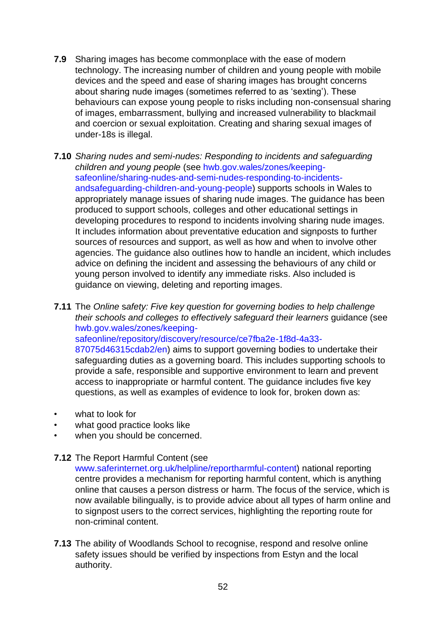- **7.9** Sharing images has become commonplace with the ease of modern technology. The increasing number of children and young people with mobile devices and the speed and ease of sharing images has brought concerns about sharing nude images (sometimes referred to as 'sexting'). These behaviours can expose young people to risks including non-consensual sharing of images, embarrassment, bullying and increased vulnerability to blackmail and coercion or sexual exploitation. Creating and sharing sexual images of under-18s is illegal.
- **7.10** *Sharing nudes and semi-nudes: Responding to incidents and safeguarding children and young people* (se[e](https://hwb.gov.wales/zones/keeping-safe-online/sharing-nudes-and-semi-nudes-responding-to-incidents-and-safeguarding-children-and-young-people) [hwb.gov.wales/zones/keeping](https://hwb.gov.wales/zones/keeping-safe-online/sharing-nudes-and-semi-nudes-responding-to-incidents-and-safeguarding-children-and-young-people)[safeonline/sharing-nudes-and-semi-nudes-responding-to-incidents](https://hwb.gov.wales/zones/keeping-safe-online/sharing-nudes-and-semi-nudes-responding-to-incidents-and-safeguarding-children-and-young-people)[andsafeguarding-children-and-young-people\)](https://hwb.gov.wales/zones/keeping-safe-online/sharing-nudes-and-semi-nudes-responding-to-incidents-and-safeguarding-children-and-young-people) supports schools in Wales to appropriately manage issues of sharing nude images. The guidance has been produced to support schools, colleges and other educational settings in developing procedures to respond to incidents involving sharing nude images. It includes information about preventative education and signposts to further sources of resources and support, as well as how and when to involve other agencies. The guidance also outlines how to handle an incident, which includes advice on defining the incident and assessing the behaviours of any child or young person involved to identify any immediate risks. Also included is guidance on viewing, deleting and reporting images.

**7.11** The *Online* s*afety: Five key question for governing bodies to help challenge their schools and colleges to effectively safeguard their learners* guidance (see [hwb.gov.wales/zones/keeping](https://hwb.gov.wales/zones/keeping-safe-online/repository/discovery/resource/ce7fba2e-1f8d-4a33-8707-5d46315cdab2/en)[safeonline/repository/discovery/resource/ce7fba2e-1f8d-4a33-](https://hwb.gov.wales/zones/keeping-safe-online/repository/discovery/resource/ce7fba2e-1f8d-4a33-8707-5d46315cdab2/en) [87075d46315cdab2/en\)](https://hwb.gov.wales/zones/keeping-safe-online/repository/discovery/resource/ce7fba2e-1f8d-4a33-8707-5d46315cdab2/en) aims to support governing bodies to undertake their safeguarding duties as a governing board. This includes supporting schools to provide a safe, responsible and supportive environment to learn and prevent access to inappropriate or harmful content. The guidance includes five key questions, as well as examples of evidence to look for, broken down as:

- what to look for
- what good practice looks like
- when you should be concerned.
- **7.12** The Report Harmful Content (see

[www.saferinternet.org.uk/helpline/reportharmful-content\)](https://www.saferinternet.org.uk/helpline/report-harmful-content) national reporting centre provides a mechanism for reporting harmful content, which is anything online that causes a person distress or harm. The focus of the service, which is now available bilingually, is to provide advice about all types of harm online and to signpost users to the correct services, highlighting the reporting route for non-criminal content.

**7.13** The ability of Woodlands School to recognise, respond and resolve online safety issues should be verified by inspections from Estyn and the local authority.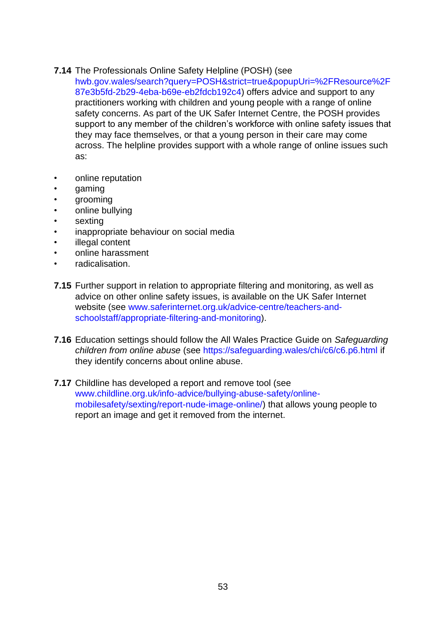### **7.14** The Professionals Online Safety Helpline (POSH) (see

[hwb.gov.wales/search?query=POSH&strict=true&popupUri=%2FResource%2F](https://eur01.safelinks.protection.outlook.com/?url=https%3A%2F%2Fhwb.gov.wales%2Fsearch%3Fquery%3DPOSH%26strict%3Dtrue%26popupUri%3D%252FResource%252F87e3b5fd-2b29-4eba-b69e-eb2fdcb192c4&data=02%7C01%7CMegan.Colley001%40gov.wales%7C704daa89ca3d488d5bfc08d85890cfeb%7Ca2cc36c592804ae78887d06dab89216b%7C0%7C0%7C637356726263762361&sdata=Aiu9s9lRWZyZTCz06Ws6kCVkTkzy%2BHnASSrdbhQUUd8%3D&reserved=0)  [87e3b5fd-2b29-4eba-b69e-eb2fdcb192c4\)](https://eur01.safelinks.protection.outlook.com/?url=https%3A%2F%2Fhwb.gov.wales%2Fsearch%3Fquery%3DPOSH%26strict%3Dtrue%26popupUri%3D%252FResource%252F87e3b5fd-2b29-4eba-b69e-eb2fdcb192c4&data=02%7C01%7CMegan.Colley001%40gov.wales%7C704daa89ca3d488d5bfc08d85890cfeb%7Ca2cc36c592804ae78887d06dab89216b%7C0%7C0%7C637356726263762361&sdata=Aiu9s9lRWZyZTCz06Ws6kCVkTkzy%2BHnASSrdbhQUUd8%3D&reserved=0) offers advice and support to any practitioners working with children and young people with a range of online safety concerns. As part of the UK Safer Internet Centre, the POSH provides support to any member of the children's workforce with online safety issues that they may face themselves, or that a young person in their care may come across. The helpline provides support with a whole range of online issues such as:

- online reputation
- gaming
- grooming
- online bullying
- sexting
- inappropriate behaviour on social media
- illegal content
- online harassment
- radicalisation.
- **7.15** Further support in relation to appropriate filtering and monitoring, as well as advice on other online safety issues, is available on the UK Safer Internet website (see [www.saferinternet.org.uk/advice-centre/teachers-and](https://www.saferinternet.org.uk/advice-centre/teachers-and-school-staff/appropriate-filtering-and-monitoring)[schoolstaff/appropriate-filtering-and-monitoring\).](https://www.saferinternet.org.uk/advice-centre/teachers-and-school-staff/appropriate-filtering-and-monitoring)
- **7.16** Education settings should follow the All Wales Practice Guide on *Safeguarding children from online abuse* (see [https://safeguarding.wales/chi/c6/c6.p6.html](https://eur01.safelinks.protection.outlook.com/?url=https%3A%2F%2Fsafeguarding.wales%2Fchi%2Fc6%2Fc6.p6.html&data=02%7C01%7CMegan.Colley001%40gov.wales%7C704daa89ca3d488d5bfc08d85890cfeb%7Ca2cc36c592804ae78887d06dab89216b%7C0%7C0%7C637356726263752406&sdata=ikFHJc3CEWQhaWtTwf%2Bq%2FLIgGLC%2FtQnk5NdJJ5I6B10%3D&reserved=0) if they identify concerns about online abuse.
- **7.17** Childline has developed a report and remove tool (see [www.childline.org.uk/info-advice/bullying-abuse-safety/online](https://www.childline.org.uk/info-advice/bullying-abuse-safety/online-mobile-safety/sexting/report-nude-image-online/)[mobilesafety/sexting/report-nude-image-online/\)](https://www.childline.org.uk/info-advice/bullying-abuse-safety/online-mobile-safety/sexting/report-nude-image-online/) that allows young people to report an image and get it removed from the internet.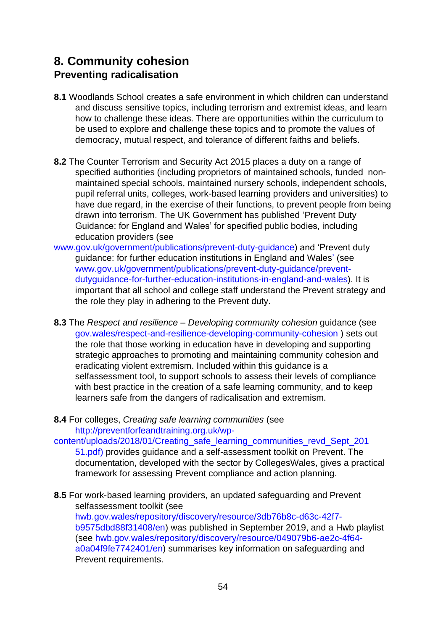# **8. Community cohesion Preventing radicalisation**

- **8.1** Woodlands School creates a safe environment in which children can understand and discuss sensitive topics, including terrorism and extremist ideas, and learn how to challenge these ideas. There are opportunities within the curriculum to be used to explore and challenge these topics and to promote the values of democracy, mutual respect, and tolerance of different faiths and beliefs.
- **8.2** The Counter Terrorism and Security Act 2015 places a duty on a range of specified authorities (including proprietors of maintained schools, funded nonmaintained special schools, maintained nursery schools, independent schools, pupil referral units, colleges, work-based learning providers and universities) to have due regard, in the exercise of their functions, to prevent people from being drawn into terrorism. The UK Government has published 'Prevent Duty Guidance: for England and Wales' for specified public bodies, including education providers (see
- [www.gov.uk/government/publications/prevent-duty-guidance\)](https://www.gov.uk/government/publications/prevent-duty-guidance) and 'Prevent duty guidance: for further education institutions in England and Wales' (see [www.gov.uk/government/publications/prevent-duty-guidance/prevent](https://www.gov.uk/government/publications/prevent-duty-guidance/prevent-duty-guidance-for-further-education-institutions-in-england-and-wales)[dutyguidance-for-further-education-institutions-in-england-and-wales\).](https://www.gov.uk/government/publications/prevent-duty-guidance/prevent-duty-guidance-for-further-education-institutions-in-england-and-wales) It is important that all school and college staff understand the Prevent strategy and the role they play in adhering to the Prevent duty.
- **8.3** The *Respect and resilience – Developing community cohesion* guidance (see [gov.wales/respect-and-resilience-developing-community-cohesion](https://eur01.safelinks.protection.outlook.com/?url=https%3A%2F%2Fgov.wales%2Frespect-and-resilience-developing-community-cohesion&data=02%7C01%7CMegan.Colley001%40gov.wales%7Ce8a882fe5e3a417bf22708d856596223%7Ca2cc36c592804ae78887d06dab89216b%7C0%7C0%7C637354289176857071&sdata=IZZIunok9Eu9TgDWuBD71iJYx4v9pINzjFHeneFoZaw%3D&reserved=0) [\)](https://eur01.safelinks.protection.outlook.com/?url=https%3A%2F%2Fgov.wales%2Frespect-and-resilience-developing-community-cohesion&data=02%7C01%7CMegan.Colley001%40gov.wales%7Ce8a882fe5e3a417bf22708d856596223%7Ca2cc36c592804ae78887d06dab89216b%7C0%7C0%7C637354289176857071&sdata=IZZIunok9Eu9TgDWuBD71iJYx4v9pINzjFHeneFoZaw%3D&reserved=0) sets out the role that those working in education have in developing and supporting strategic approaches to promoting and maintaining community cohesion and eradicating violent extremism. Included within this guidance is a selfassessment tool, to support schools to assess their levels of compliance with best practice in the creation of a safe learning community, and to keep learners safe from the dangers of radicalisation and extremism.
- **8.4** For colleges, *Creating safe learning communities* (see [http://preventforfeandtraining.org.uk/wp-](http://preventforfeandtraining.org.uk/wp-content/uploads/2018/01/Creating_safe_learning_communities_revd_Sept_20151.pdf)

[content/uploads/2018/01/Creating\\_safe\\_learning\\_communities\\_revd\\_Sept\\_201](http://preventforfeandtraining.org.uk/wp-content/uploads/2018/01/Creating_safe_learning_communities_revd_Sept_20151.pdf)  [51.pdf\)](http://preventforfeandtraining.org.uk/wp-content/uploads/2018/01/Creating_safe_learning_communities_revd_Sept_20151.pdf) provides guidance and a self-assessment toolkit on Prevent. The documentation, developed with the sector by CollegesWales, gives a practical framework for assessing Prevent compliance and action planning.

**8.5** For work-based learning providers, an updated safeguarding and Prevent selfassessment toolkit (see [hwb.gov.wales/repository/discovery/resource/3db76b8c-d63c-42f7](https://hwb.gov.wales/repository/discovery/resource/3db76b8c-d63c-42f7-b957-5dbd88f31408/en) [b9575dbd88f31408/en\)](https://hwb.gov.wales/repository/discovery/resource/3db76b8c-d63c-42f7-b957-5dbd88f31408/en) was published in September 2019, and a Hwb playlist (see [hwb.gov.wales/repository/discovery/resource/049079b6-ae2c-4f64](https://hwb.gov.wales/repository/discovery/resource/049079b6-ae2c-4f64-a0a0-4f9fe7742401/en) [a0a04f9fe7742401/en\)](https://hwb.gov.wales/repository/discovery/resource/049079b6-ae2c-4f64-a0a0-4f9fe7742401/en) summarises key information on safeguarding and Prevent requirements.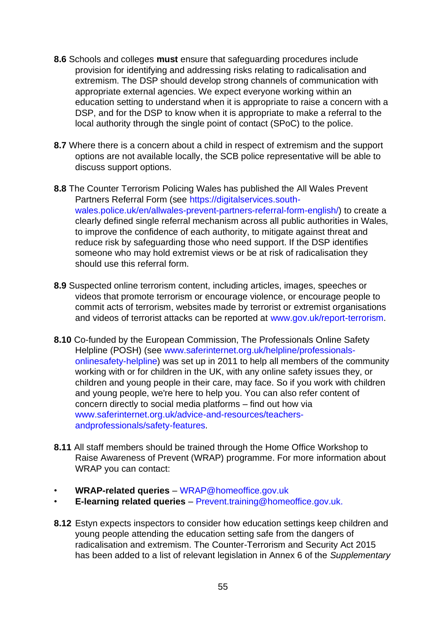- **8.6** Schools and colleges **must** ensure that safeguarding procedures include provision for identifying and addressing risks relating to radicalisation and extremism. The DSP should develop strong channels of communication with appropriate external agencies. We expect everyone working within an education setting to understand when it is appropriate to raise a concern with a DSP, and for the DSP to know when it is appropriate to make a referral to the local authority through the single point of contact (SPoC) to the police.
- **8.7** Where there is a concern about a child in respect of extremism and the support options are not available locally, the SCB police representative will be able to discuss support options.
- **8.8** The Counter Terrorism Policing Wales has published the All Wales Prevent Partners Referral Form (se[e](https://digitalservices.south-wales.police.uk/en/all-wales-prevent-partners-referral-form-english/) [https://digitalservices.south](https://digitalservices.south-wales.police.uk/en/all-wales-prevent-partners-referral-form-english/)[wales.police.uk/en/allwales-prevent-partners-referral-form-english/\)](https://digitalservices.south-wales.police.uk/en/all-wales-prevent-partners-referral-form-english/) to create a clearly defined single referral mechanism across all public authorities in Wales, to improve the confidence of each authority, to mitigate against threat and reduce risk by safeguarding those who need support. If the DSP identifies someone who may hold extremist views or be at risk of radicalisation they should use this referral form.
- **8.9** Suspected online terrorism content, including articles, images, speeches or videos that promote terrorism or encourage violence, or encourage people to commit acts of terrorism, websites made by terrorist or extremist organisations and videos of terrorist attacks can be reported at [www.gov.uk/report-terrorism.](https://www.gov.uk/report-terrorism)
- **8.10** Co-funded by the European Commission, The Professionals Online Safety Helpline (POSH) (see [www.saferinternet.org.uk/helpline/professionals](https://www.saferinternet.org.uk/helpline/professionals-online-safety-helpline)[onlinesafety-helpline\)](https://www.saferinternet.org.uk/helpline/professionals-online-safety-helpline) was set up in 2011 to help all members of the community working with or for children in the UK, with any online safety issues they, or children and young people in their care, may face. So if you work with children and young people, we're here to help you. You can also refer content of concern directly to social media platforms – find out how via [www.saferinternet.org.uk/advice-and-resources/teachers](http://www.saferinternet.org.uk/advice-and-resources/teachers-and-professionals/safety-features)[andprofessionals/safety-features.](http://www.saferinternet.org.uk/advice-and-resources/teachers-and-professionals/safety-features)
- **8.11** All staff members should be trained through the Home Office Workshop to Raise Awareness of Prevent (WRAP) programme. For more information about WRAP you can contact:
- **WRAP-related queries** WRAP@homeoffice.gov.uk
- **E-learning related queries** Prevent.training@homeoffice.gov.uk.
- **8.12** Estyn expects inspectors to consider how education settings keep children and young people attending the education setting safe from the dangers of radicalisation and extremism. The Counter-Terrorism and Security Act 2015 has been added to a list of relevant legislation in Annex 6 of the *Supplementary*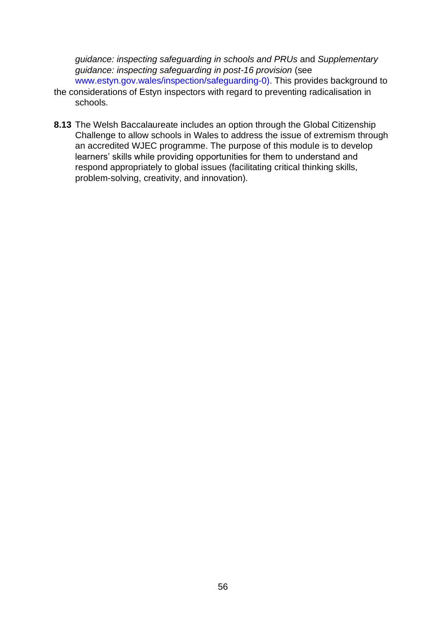*guidance: inspecting safeguarding in schools and PRUs* and *Supplementary guidance: inspecting safeguarding in post-16 provision* (see [www.estyn.gov.wales/inspection/safeguarding-0\).](https://www.estyn.gov.wales/inspection/safeguarding-0) This provides background to

- the considerations of Estyn inspectors with regard to preventing radicalisation in schools.
- **8.13** The Welsh Baccalaureate includes an option through the Global Citizenship Challenge to allow schools in Wales to address the issue of extremism through an accredited WJEC programme. The purpose of this module is to develop learners' skills while providing opportunities for them to understand and respond appropriately to global issues (facilitating critical thinking skills, problem-solving, creativity, and innovation).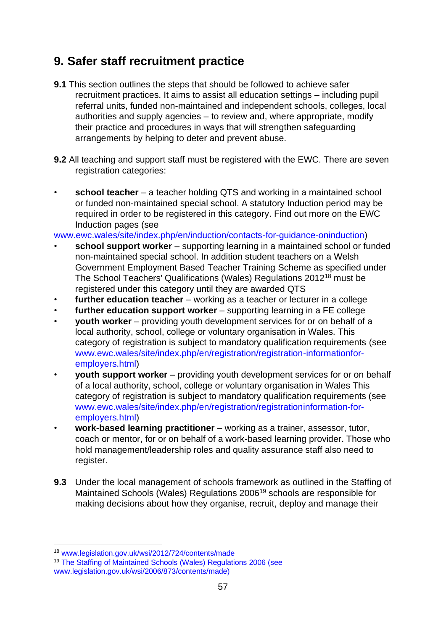# **9. Safer staff recruitment practice**

- **9.1** This section outlines the steps that should be followed to achieve safer recruitment practices. It aims to assist all education settings – including pupil referral units, funded non-maintained and independent schools, colleges, local authorities and supply agencies – to review and, where appropriate, modify their practice and procedures in ways that will strengthen safeguarding arrangements by helping to deter and prevent abuse.
- **9.2** All teaching and support staff must be registered with the EWC. There are seven registration categories:
- **school teacher** a teacher holding QTS and working in a maintained school or funded non-maintained special school. A statutory Induction period may be required in order to be registered in this category. Find out more on the EWC Induction pages (see

[www.ewc.wales/site/index.php/en/induction/contacts-for-guidance-oninduction\)](http://www.ewc.wales/site/index.php/en/induction/contacts-for-guidance-on-induction)

- **school support worker**  supporting learning in a maintained school or funded non-maintained special school. In addition student teachers on a Welsh Government Employment Based Teacher Training Scheme as specified under The School Teachers' Qualifications (Wales) Regulations 2012<sup>18</sup> must be registered under this category until they are awarded QTS
- **further education teacher** working as a teacher or lecturer in a college
- **further education support worker** supporting learning in a FE college
- **youth worker** providing youth development services for or on behalf of a local authority, school, college or voluntary organisation in Wales. This category of registration is subject to mandatory qualification requirements (se[e](http://www.ewc.wales/site/index.php/en/registration/registration-information-for-employers.html) [www.ewc.wales/site/index.php/en/registration/registration-informationfor](http://www.ewc.wales/site/index.php/en/registration/registration-information-for-employers.html)[employers.html\)](http://www.ewc.wales/site/index.php/en/registration/registration-information-for-employers.html)
- **youth support worker** providing youth development services for or on behalf of a local authority, school, college or voluntary organisation in Wales This category of registration is subject to mandatory qualification requirements (se[e](http://www.ewc.wales/site/index.php/en/registration/registration-information-for-employers.html) [www.ewc.wales/site/index.php/en/registration/registrationinformation-for](http://www.ewc.wales/site/index.php/en/registration/registration-information-for-employers.html)[employers.html\)](http://www.ewc.wales/site/index.php/en/registration/registration-information-for-employers.html)
- **work-based learning practitioner** working as a trainer, assessor, tutor, coach or mentor, for or on behalf of a work-based learning provider. Those who hold management/leadership roles and quality assurance staff also need to register.
- **9.3** Under the local management of schools framework as outlined in the Staffing of Maintained Schools (Wales) Regulations 2006<sup>19</sup> schools are responsible for making decisions about how they organise, recruit, deploy and manage their

<sup>18</sup> [www.legislation.gov.uk/wsi/2012/724/contents/made](http://www.legislation.gov.uk/wsi/2012/724/contents/made)

<sup>19</sup> The Staffing of Maintained Schools (Wales) Regulations 2006 (see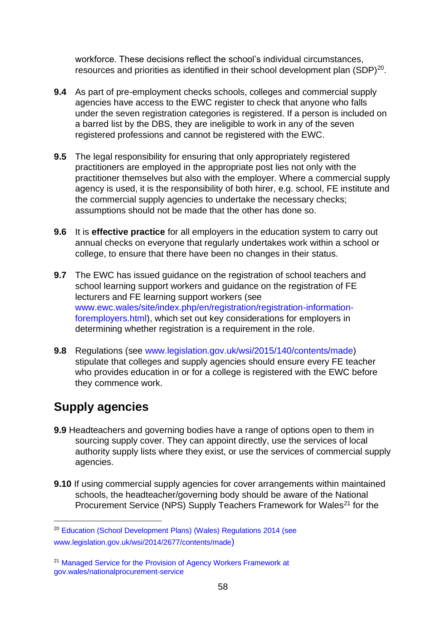workforce. These decisions reflect the school's individual circumstances, resources and priorities as identified in their school development plan  $(SDP)^{20}$ .

- **9.4** As part of pre-employment checks schools, colleges and commercial supply agencies have access to the EWC register to check that anyone who falls under the seven registration categories is registered. If a person is included on a barred list by the DBS, they are ineligible to work in any of the seven registered professions and cannot be registered with the EWC.
- **9.5** The legal responsibility for ensuring that only appropriately registered practitioners are employed in the appropriate post lies not only with the practitioner themselves but also with the employer. Where a commercial supply agency is used, it is the responsibility of both hirer, e.g. school, FE institute and the commercial supply agencies to undertake the necessary checks; assumptions should not be made that the other has done so.
- **9.6** It is **effective practice** for all employers in the education system to carry out annual checks on everyone that regularly undertakes work within a school or college, to ensure that there have been no changes in their status.
- **9.7** The EWC has issued guidance on the registration of school teachers and school learning support workers and guidance on the registration of FE lecturers and FE learning support workers (see [www.ewc.wales/site/index.php/en/registration/registration-information](https://www.ewc.wales/site/index.php/en/registration/registration-information-for-employers.html)[foremployers.html\),](https://www.ewc.wales/site/index.php/en/registration/registration-information-for-employers.html) which set out key considerations for employers in determining whether registration is a requirement in the role.
- **9.8** Regulations (see [www.legislation.gov.uk/wsi/2015/140/contents/made\)](https://www.legislation.gov.uk/wsi/2015/140/contents/made) stipulate that colleges and supply agencies should ensure every FE teacher who provides education in or for a college is registered with the EWC before they commence work.

# **Supply agencies**

- **9.9** Headteachers and governing bodies have a range of options open to them in sourcing supply cover. They can appoint directly, use the services of local authority supply lists where they exist, or use the services of commercial supply agencies.
- **9.10** If using commercial supply agencies for cover arrangements within maintained schools, the headteacher/governing body should be aware of the National Procurement Service (NPS) Supply Teachers Framework for Wales<sup>21</sup> for the

<sup>20</sup> Education (School Development Plans) (Wales) Regulations 2014 (see [www.legislation.gov.uk/wsi/2014/2677/contents/made](https://www.legislation.gov.uk/wsi/2014/2677/contents/made)[\)](https://www.legislation.gov.uk/wsi/2014/2677/contents/made)

<sup>&</sup>lt;sup>21</sup> Managed Service for the Provision of Agency Workers Framework at [gov.wales/nationalprocurement-service](https://gov.wales/national-procurement-service)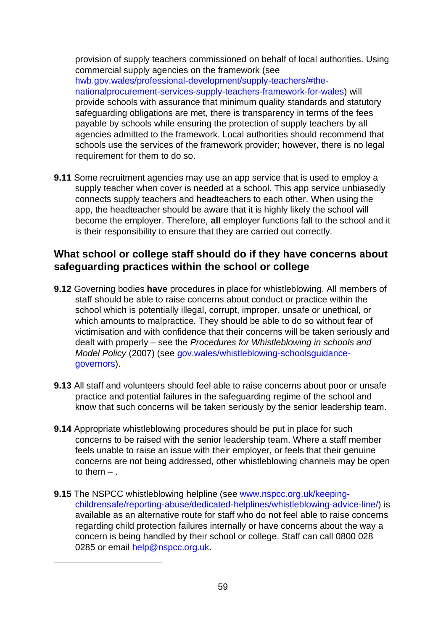provision of supply teachers commissioned on behalf of local authorities. Using commercial supply agencies on the framework (see [hwb.gov.wales/professional-development/supply-teachers/#the](https://hwb.gov.wales/professional-development/supply-teachers/#the-national-procurement-services-supply-teachers-framework-for-wales)[nationalprocurement-services-supply-teachers-framework-for-wales\)](https://hwb.gov.wales/professional-development/supply-teachers/#the-national-procurement-services-supply-teachers-framework-for-wales) will provide schools with assurance that minimum quality standards and statutory safeguarding obligations are met, there is transparency in terms of the fees payable by schools while ensuring the protection of supply teachers by all agencies admitted to the framework. Local authorities should recommend that schools use the services of the framework provider; however, there is no legal requirement for them to do so.

**9.11** Some recruitment agencies may use an app service that is used to employ a supply teacher when cover is needed at a school. This app service unbiasedly connects supply teachers and headteachers to each other. When using the app, the headteacher should be aware that it is highly likely the school will become the employer. Therefore, **all** employer functions fall to the school and it is their responsibility to ensure that they are carried out correctly.

## **What school or college staff should do if they have concerns about safeguarding practices within the school or college**

- **9.12** Governing bodies **have** procedures in place for whistleblowing. All members of staff should be able to raise concerns about conduct or practice within the school which is potentially illegal, corrupt, improper, unsafe or unethical, or which amounts to malpractice. They should be able to do so without fear of victimisation and with confidence that their concerns will be taken seriously and dealt with properly – see the *Procedures for Whistleblowing in schools and Model Policy* (2007) (see [gov.wales/whistleblowing-schoolsguidance](https://gov.wales/whistleblowing-schools-guidance-governors)[governors\).](https://gov.wales/whistleblowing-schools-guidance-governors)
- **9.13** All staff and volunteers should feel able to raise concerns about poor or unsafe practice and potential failures in the safeguarding regime of the school and know that such concerns will be taken seriously by the senior leadership team.
- **9.14** Appropriate whistleblowing procedures should be put in place for such concerns to be raised with the senior leadership team. Where a staff member feels unable to raise an issue with their employer, or feels that their genuine concerns are not being addressed, other whistleblowing channels may be open to them  $-$ .
- **9.15** The NSPCC whistleblowing helpline (see [www.nspcc.org.uk/keeping](https://www.nspcc.org.uk/keeping-children-safe/reporting-abuse/dedicated-helplines/whistleblowing-advice-line/)[childrensafe/reporting-abuse/dedicated-helplines/whistleblowing-advice-line/\)](https://www.nspcc.org.uk/keeping-children-safe/reporting-abuse/dedicated-helplines/whistleblowing-advice-line/) is available as an alternative route for staff who do not feel able to raise concerns regarding child protection failures internally or have concerns about the way a concern is being handled by their school or college. Staff can call 0800 028 0285 or email help@nspcc.org.uk.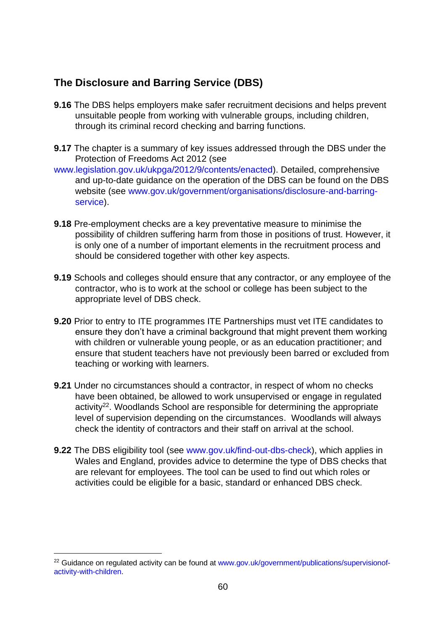# **The Disclosure and Barring Service (DBS)**

- **9.16** The DBS helps employers make safer recruitment decisions and helps prevent unsuitable people from working with vulnerable groups, including children, through its criminal record checking and barring functions.
- **9.17** The chapter is a summary of key issues addressed through the DBS under the Protection of Freedoms Act 2012 (see
- [www.legislation.gov.uk/ukpga/2012/9/contents/enacted\).](https://www.legislation.gov.uk/ukpga/2012/9/contents/enacted) Detailed, comprehensive and up-to-date guidance on the operation of the DBS can be found on the DBS website (see [www.gov.uk/government/organisations/disclosure-and-barring](https://www.gov.uk/government/organisations/disclosure-and-barring-service)[service\).](https://www.gov.uk/government/organisations/disclosure-and-barring-service)
- **9.18** Pre-employment checks are a key preventative measure to minimise the possibility of children suffering harm from those in positions of trust. However, it is only one of a number of important elements in the recruitment process and should be considered together with other key aspects.
- **9.19** Schools and colleges should ensure that any contractor, or any employee of the contractor, who is to work at the school or college has been subject to the appropriate level of DBS check.
- **9.20** Prior to entry to ITE programmes ITE Partnerships must vet ITE candidates to ensure they don't have a criminal background that might prevent them working with children or vulnerable young people, or as an education practitioner; and ensure that student teachers have not previously been barred or excluded from teaching or working with learners.
- **9.21** Under no circumstances should a contractor, in respect of whom no checks have been obtained, be allowed to work unsupervised or engage in regulated activity<sup>22</sup>. Woodlands School are responsible for determining the appropriate level of supervision depending on the circumstances. Woodlands will always check the identity of contractors and their staff on arrival at the school.
- **9.22** The DBS eligibility tool (see [www.gov.uk/find-out-dbs-check\),](https://www.gov.uk/find-out-dbs-check) which applies in Wales and England, provides advice to determine the type of DBS checks that are relevant for employees. The tool can be used to find out which roles or activities could be eligible for a basic, standard or enhanced DBS check.

<sup>&</sup>lt;sup>22</sup> Guidance on regula[t](https://www.gov.uk/government/publications/supervision-of-activity-with-children)ed activity can be found at [www.gov.uk/government/publications/supervisionof](https://www.gov.uk/government/publications/supervision-of-activity-with-children)[activity-with-children.](https://www.gov.uk/government/publications/supervision-of-activity-with-children)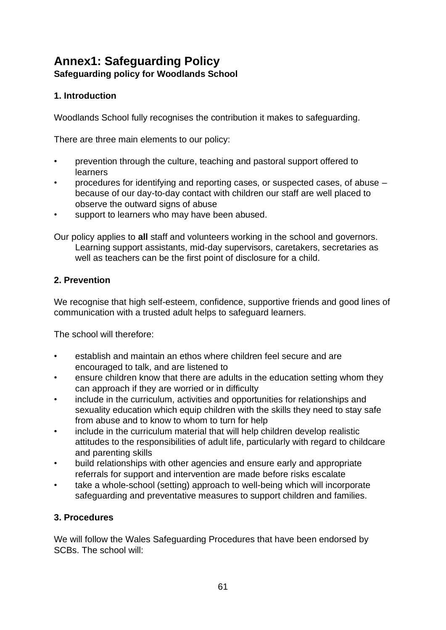# **Annex1: Safeguarding Policy Safeguarding policy for Woodlands School**

### **1. Introduction**

Woodlands School fully recognises the contribution it makes to safeguarding.

There are three main elements to our policy:

- prevention through the culture, teaching and pastoral support offered to learners
- procedures for identifying and reporting cases, or suspected cases, of abuse because of our day-to-day contact with children our staff are well placed to observe the outward signs of abuse
- support to learners who may have been abused.

Our policy applies to **all** staff and volunteers working in the school and governors. Learning support assistants, mid-day supervisors, caretakers, secretaries as well as teachers can be the first point of disclosure for a child.

### **2. Prevention**

We recognise that high self-esteem, confidence, supportive friends and good lines of communication with a trusted adult helps to safeguard learners.

The school will therefore:

- establish and maintain an ethos where children feel secure and are encouraged to talk, and are listened to
- ensure children know that there are adults in the education setting whom they can approach if they are worried or in difficulty
- include in the curriculum, activities and opportunities for relationships and sexuality education which equip children with the skills they need to stay safe from abuse and to know to whom to turn for help
- include in the curriculum material that will help children develop realistic attitudes to the responsibilities of adult life, particularly with regard to childcare and parenting skills
- build relationships with other agencies and ensure early and appropriate referrals for support and intervention are made before risks escalate
- take a whole-school (setting) approach to well-being which will incorporate safeguarding and preventative measures to support children and families.

### **3. Procedures**

We will follow the Wales Safeguarding Procedures that have been endorsed by SCBs. The school will: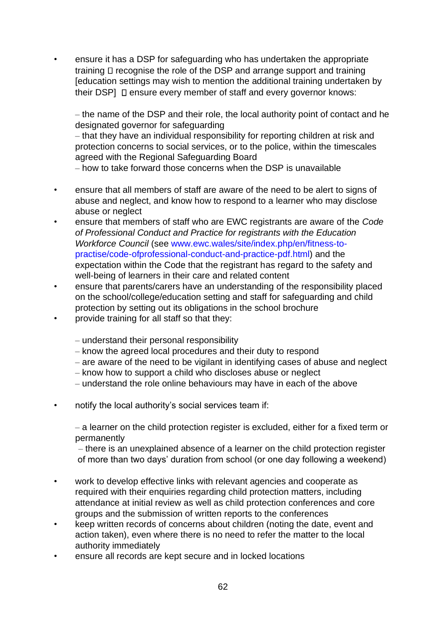• ensure it has a DSP for safeguarding who has undertaken the appropriate training  $\Box$  recognise the role of the DSP and arrange support and training [education settings may wish to mention the additional training undertaken by their DSP]  $\Box$  ensure every member of staff and every governor knows:

– the name of the DSP and their role, the local authority point of contact and he designated governor for safeguarding

‒ that they have an individual responsibility for reporting children at risk and protection concerns to social services, or to the police, within the timescales agreed with the Regional Safeguarding Board

‒ how to take forward those concerns when the DSP is unavailable

- ensure that all members of staff are aware of the need to be alert to signs of abuse and neglect, and know how to respond to a learner who may disclose abuse or neglect
- ensure that members of staff who are EWC registrants are aware of the *Code of Professional Conduct and Practice for registrants with the Education Workforce Council* (see [www.ewc.wales/site/index.php/en/fitness-to](https://www.ewc.wales/site/index.php/en/fitness-to-practise/code-of-professional-conduct-and-practice-pdf.html)[practise/code-ofprofessional-conduct-and-practice-pdf.html\)](https://www.ewc.wales/site/index.php/en/fitness-to-practise/code-of-professional-conduct-and-practice-pdf.html) and the expectation within the Code that the registrant has regard to the safety and well-being of learners in their care and related content
- ensure that parents/carers have an understanding of the responsibility placed on the school/college/education setting and staff for safeguarding and child protection by setting out its obligations in the school brochure
- provide training for all staff so that they:
	- ‒ understand their personal responsibility
	- ‒ know the agreed local procedures and their duty to respond
	- are aware of the need to be vigilant in identifying cases of abuse and neglect
	- ‒ know how to support a child who discloses abuse or neglect
	- ‒ understand the role online behaviours may have in each of the above
- notify the local authority's social services team if:

‒ a learner on the child protection register is excluded, either for a fixed term or permanently

‒ there is an unexplained absence of a learner on the child protection register of more than two days' duration from school (or one day following a weekend)

- work to develop effective links with relevant agencies and cooperate as required with their enquiries regarding child protection matters, including attendance at initial review as well as child protection conferences and core groups and the submission of written reports to the conferences
- keep written records of concerns about children (noting the date, event and action taken), even where there is no need to refer the matter to the local authority immediately
- ensure all records are kept secure and in locked locations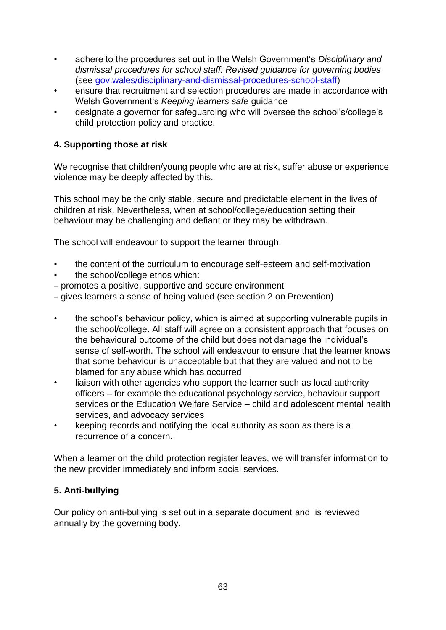- adhere to the procedures set out in the Welsh Government's *[Disciplinary and](https://gov.wales/disciplinary-and-dismissal-procedures-school-staff)  [dismissal procedures for school staff: Revised guidance for governing bodies](https://gov.wales/disciplinary-and-dismissal-procedures-school-staff)* (see [gov.wales/disciplinary-and-dismissal-procedures-school-staff\)](https://gov.wales/disciplinary-and-dismissal-procedures-school-staff)
- ensure that recruitment and selection procedures are made in accordance with Welsh Government's *Keeping learners safe* guidance
- designate a governor for safeguarding who will oversee the school's/college's child protection policy and practice.

### **4. Supporting those at risk**

We recognise that children/young people who are at risk, suffer abuse or experience violence may be deeply affected by this.

This school may be the only stable, secure and predictable element in the lives of children at risk. Nevertheless, when at school/college/education setting their behaviour may be challenging and defiant or they may be withdrawn.

The school will endeavour to support the learner through:

- the content of the curriculum to encourage self-esteem and self-motivation
- the school/college ethos which:
- ‒ promotes a positive, supportive and secure environment
- ‒ gives learners a sense of being valued (see section 2 on Prevention)
- the school's behaviour policy, which is aimed at supporting vulnerable pupils in the school/college. All staff will agree on a consistent approach that focuses on the behavioural outcome of the child but does not damage the individual's sense of self-worth. The school will endeavour to ensure that the learner knows that some behaviour is unacceptable but that they are valued and not to be blamed for any abuse which has occurred
- liaison with other agencies who support the learner such as local authority officers – for example the educational psychology service, behaviour support services or the Education Welfare Service – child and adolescent mental health services, and advocacy services
- keeping records and notifying the local authority as soon as there is a recurrence of a concern.

When a learner on the child protection register leaves, we will transfer information to the new provider immediately and inform social services.

### **5. Anti-bullying**

Our policy on anti-bullying is set out in a separate document and is reviewed annually by the governing body.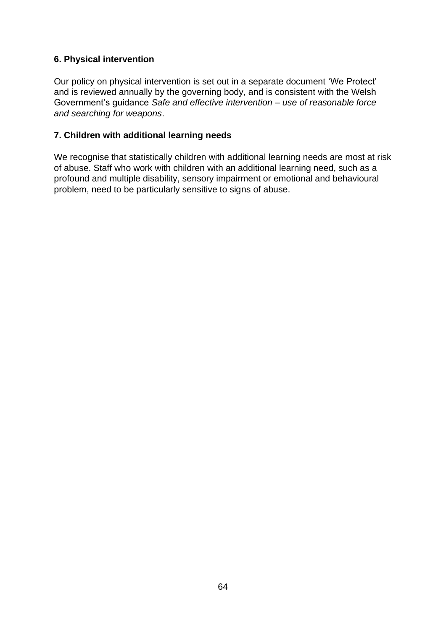### **6. Physical intervention**

Our policy on physical intervention is set out in a separate document 'We Protect' and is reviewed annually by the governing body, and is consistent with the Welsh Government's guidance *Safe and effective intervention – use of reasonable force and searching for weapons*.

### **7. Children with additional learning needs**

We recognise that statistically children with additional learning needs are most at risk of abuse. Staff who work with children with an additional learning need, such as a profound and multiple disability, sensory impairment or emotional and behavioural problem, need to be particularly sensitive to signs of abuse.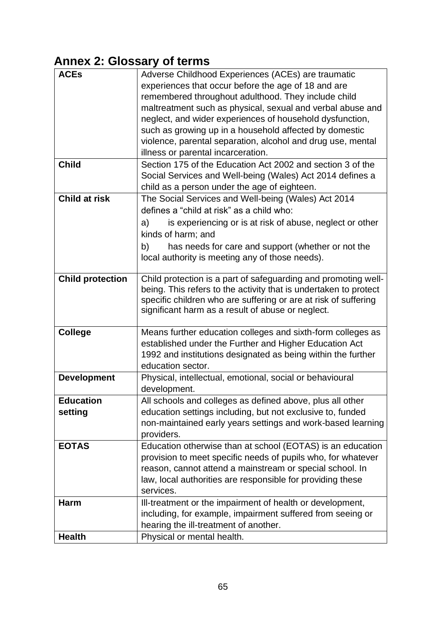# **Annex 2: Glossary of terms**

| <b>ACEs</b>             | Adverse Childhood Experiences (ACEs) are traumatic               |
|-------------------------|------------------------------------------------------------------|
|                         | experiences that occur before the age of 18 and are              |
|                         | remembered throughout adulthood. They include child              |
|                         |                                                                  |
|                         | maltreatment such as physical, sexual and verbal abuse and       |
|                         | neglect, and wider experiences of household dysfunction,         |
|                         | such as growing up in a household affected by domestic           |
|                         | violence, parental separation, alcohol and drug use, mental      |
|                         | illness or parental incarceration.                               |
| <b>Child</b>            | Section 175 of the Education Act 2002 and section 3 of the       |
|                         | Social Services and Well-being (Wales) Act 2014 defines a        |
|                         | child as a person under the age of eighteen.                     |
| <b>Child at risk</b>    | The Social Services and Well-being (Wales) Act 2014              |
|                         | defines a "child at risk" as a child who:                        |
|                         |                                                                  |
|                         | is experiencing or is at risk of abuse, neglect or other<br>a)   |
|                         | kinds of harm; and                                               |
|                         | has needs for care and support (whether or not the<br>b)         |
|                         | local authority is meeting any of those needs).                  |
|                         |                                                                  |
| <b>Child protection</b> | Child protection is a part of safeguarding and promoting well-   |
|                         | being. This refers to the activity that is undertaken to protect |
|                         | specific children who are suffering or are at risk of suffering  |
|                         | significant harm as a result of abuse or neglect.                |
|                         |                                                                  |
| <b>College</b>          | Means further education colleges and sixth-form colleges as      |
|                         | established under the Further and Higher Education Act           |
|                         | 1992 and institutions designated as being within the further     |
|                         | education sector.                                                |
| <b>Development</b>      | Physical, intellectual, emotional, social or behavioural         |
|                         | development.                                                     |
| <b>Education</b>        | All schools and colleges as defined above, plus all other        |
| setting                 | education settings including, but not exclusive to, funded       |
|                         | non-maintained early years settings and work-based learning      |
|                         |                                                                  |
|                         | providers.                                                       |
| <b>EOTAS</b>            | Education otherwise than at school (EOTAS) is an education       |
|                         | provision to meet specific needs of pupils who, for whatever     |
|                         | reason, cannot attend a mainstream or special school. In         |
|                         | law, local authorities are responsible for providing these       |
|                         | services.                                                        |
| <b>Harm</b>             | Ill-treatment or the impairment of health or development,        |
|                         | including, for example, impairment suffered from seeing or       |
|                         | hearing the ill-treatment of another.                            |
| <b>Health</b>           | Physical or mental health.                                       |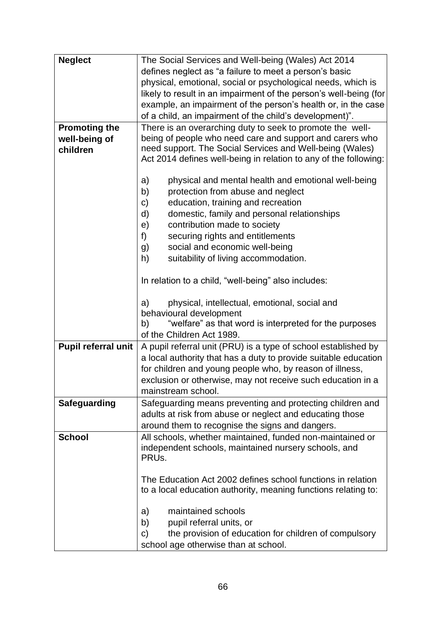| <b>Neglect</b>       | The Social Services and Well-being (Wales) Act 2014               |
|----------------------|-------------------------------------------------------------------|
|                      | defines neglect as "a failure to meet a person's basic            |
|                      | physical, emotional, social or psychological needs, which is      |
|                      | likely to result in an impairment of the person's well-being (for |
|                      | example, an impairment of the person's health or, in the case     |
|                      | of a child, an impairment of the child's development)".           |
| <b>Promoting the</b> | There is an overarching duty to seek to promote the well-         |
| well-being of        | being of people who need care and support and carers who          |
| children             | need support. The Social Services and Well-being (Wales)          |
|                      | Act 2014 defines well-being in relation to any of the following:  |
|                      |                                                                   |
|                      | a)<br>physical and mental health and emotional well-being         |
|                      | b)<br>protection from abuse and neglect                           |
|                      | education, training and recreation<br>C)                          |
|                      | domestic, family and personal relationships<br>d)                 |
|                      | contribution made to society<br>e)                                |
|                      | f)<br>securing rights and entitlements                            |
|                      | social and economic well-being<br>g)                              |
|                      | suitability of living accommodation.<br>h)                        |
|                      |                                                                   |
|                      | In relation to a child, "well-being" also includes:               |
|                      | physical, intellectual, emotional, social and<br>a)               |
|                      | behavioural development                                           |
|                      | "welfare" as that word is interpreted for the purposes<br>b)      |
|                      | of the Children Act 1989.                                         |
| Pupil referral unit  | A pupil referral unit (PRU) is a type of school established by    |
|                      | a local authority that has a duty to provide suitable education   |
|                      | for children and young people who, by reason of illness,          |
|                      | exclusion or otherwise, may not receive such education in a       |
|                      | mainstream school.                                                |
| <b>Safeguarding</b>  | Safeguarding means preventing and protecting children and         |
|                      | adults at risk from abuse or neglect and educating those          |
|                      | around them to recognise the signs and dangers.                   |
| <b>School</b>        | All schools, whether maintained, funded non-maintained or         |
|                      | independent schools, maintained nursery schools, and              |
|                      | PRU <sub>s</sub> .                                                |
|                      |                                                                   |
|                      | The Education Act 2002 defines school functions in relation       |
|                      | to a local education authority, meaning functions relating to:    |
|                      |                                                                   |
|                      | maintained schools<br>a)                                          |
|                      | b)<br>pupil referral units, or                                    |
|                      | the provision of education for children of compulsory<br>C)       |
|                      | school age otherwise than at school.                              |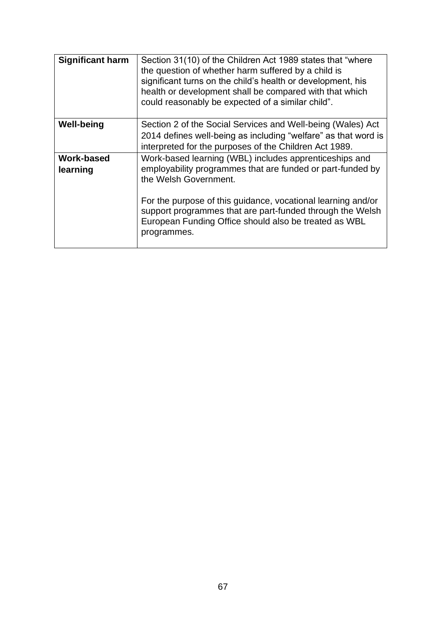| <b>Significant harm</b> | Section 31(10) of the Children Act 1989 states that "where"<br>the question of whether harm suffered by a child is<br>significant turns on the child's health or development, his<br>health or development shall be compared with that which<br>could reasonably be expected of a similar child".                                                  |
|-------------------------|----------------------------------------------------------------------------------------------------------------------------------------------------------------------------------------------------------------------------------------------------------------------------------------------------------------------------------------------------|
| <b>Well-being</b>       | Section 2 of the Social Services and Well-being (Wales) Act<br>2014 defines well-being as including "welfare" as that word is<br>interpreted for the purposes of the Children Act 1989.                                                                                                                                                            |
| Work-based<br>learning  | Work-based learning (WBL) includes apprenticeships and<br>employability programmes that are funded or part-funded by<br>the Welsh Government.<br>For the purpose of this guidance, vocational learning and/or<br>support programmes that are part-funded through the Welsh<br>European Funding Office should also be treated as WBL<br>programmes. |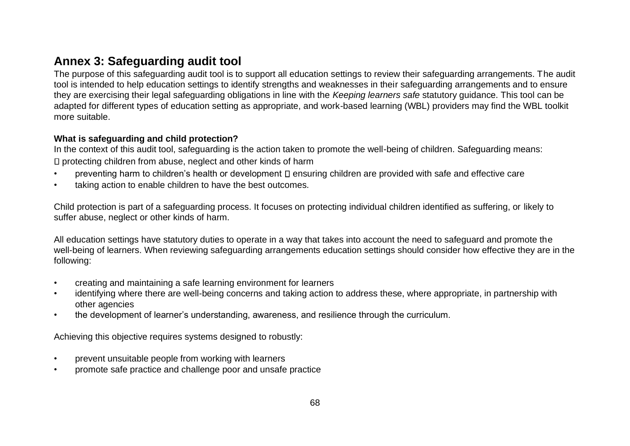# **Annex 3: Safeguarding audit tool**

The purpose of this safeguarding audit tool is to support all education settings to review their safeguarding arrangements. The audit tool is intended to help education settings to identify strengths and weaknesses in their safeguarding arrangements and to ensure they are exercising their legal safeguarding obligations in line with the *Keeping learners safe* statutory guidance. This tool can be adapted for different types of education setting as appropriate, and work-based learning (WBL) providers may find the WBL toolkit more suitable.

#### **What is safeguarding and child protection?**

In the context of this audit tool, safeguarding is the action taken to promote the well-being of children. Safeguarding means: D protecting children from abuse, neglect and other kinds of harm

- preventing harm to children's health or development  $\square$  ensuring children are provided with safe and effective care
- taking action to enable children to have the best outcomes.

Child protection is part of a safeguarding process. It focuses on protecting individual children identified as suffering, or likely to suffer abuse, neglect or other kinds of harm.

All education settings have statutory duties to operate in a way that takes into account the need to safeguard and promote the well-being of learners. When reviewing safeguarding arrangements education settings should consider how effective they are in the following:

- creating and maintaining a safe learning environment for learners
- identifying where there are well-being concerns and taking action to address these, where appropriate, in partnership with other agencies
- the development of learner's understanding, awareness, and resilience through the curriculum.

Achieving this objective requires systems designed to robustly:

- prevent unsuitable people from working with learners
- promote safe practice and challenge poor and unsafe practice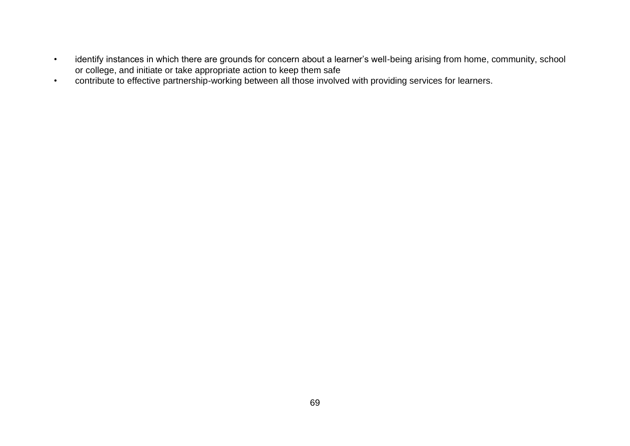- identify instances in which there are grounds for concern about a learner's well-being arising from home, community, school or college, and initiate or take appropriate action to keep them safe
- contribute to effective partnership-working between all those involved with providing services for learners.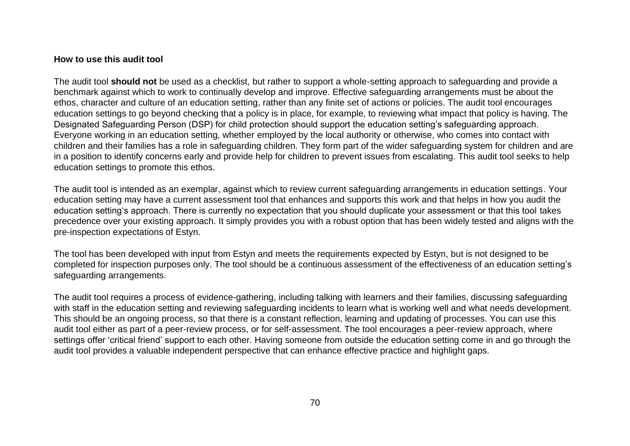#### **How to use this audit tool**

The audit tool **should not** be used as a checklist, but rather to support a whole-setting approach to safeguarding and provide a benchmark against which to work to continually develop and improve. Effective safeguarding arrangements must be about the ethos, character and culture of an education setting, rather than any finite set of actions or policies. The audit tool encourages education settings to go beyond checking that a policy is in place, for example, to reviewing what impact that policy is having. The Designated Safeguarding Person (DSP) for child protection should support the education setting's safeguarding approach. Everyone working in an education setting, whether employed by the local authority or otherwise, who comes into contact with children and their families has a role in safeguarding children. They form part of the wider safeguarding system for children and are in a position to identify concerns early and provide help for children to prevent issues from escalating. This audit tool seeks to help education settings to promote this ethos.

The audit tool is intended as an exemplar, against which to review current safeguarding arrangements in education settings. Your education setting may have a current assessment tool that enhances and supports this work and that helps in how you audit the education setting's approach. There is currently no expectation that you should duplicate your assessment or that this tool takes precedence over your existing approach. It simply provides you with a robust option that has been widely tested and aligns with the pre-inspection expectations of Estyn.

The tool has been developed with input from Estyn and meets the requirements expected by Estyn, but is not designed to be completed for inspection purposes only. The tool should be a continuous assessment of the effectiveness of an education setting's safeguarding arrangements.

The audit tool requires a process of evidence-gathering, including talking with learners and their families, discussing safeguarding with staff in the education setting and reviewing safeguarding incidents to learn what is working well and what needs development. This should be an ongoing process, so that there is a constant reflection, learning and updating of processes. You can use this audit tool either as part of a peer-review process, or for self-assessment. The tool encourages a peer-review approach, where settings offer 'critical friend' support to each other. Having someone from outside the education setting come in and go through the audit tool provides a valuable independent perspective that can enhance effective practice and highlight gaps.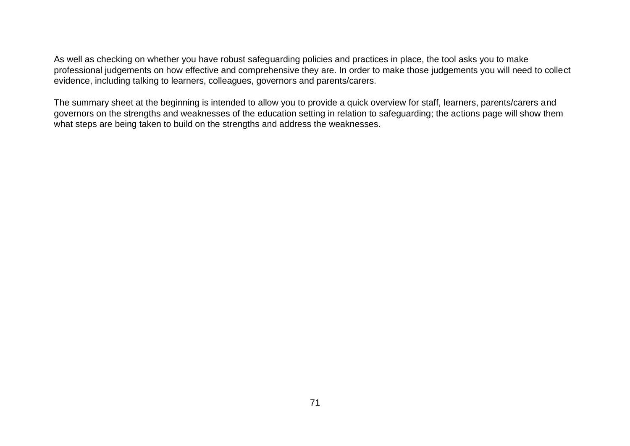As well as checking on whether you have robust safeguarding policies and practices in place, the tool asks you to make professional judgements on how effective and comprehensive they are. In order to make those judgements you will need to collect evidence, including talking to learners, colleagues, governors and parents/carers.

The summary sheet at the beginning is intended to allow you to provide a quick overview for staff, learners, parents/carers and governors on the strengths and weaknesses of the education setting in relation to safeguarding; the actions page will show them what steps are being taken to build on the strengths and address the weaknesses.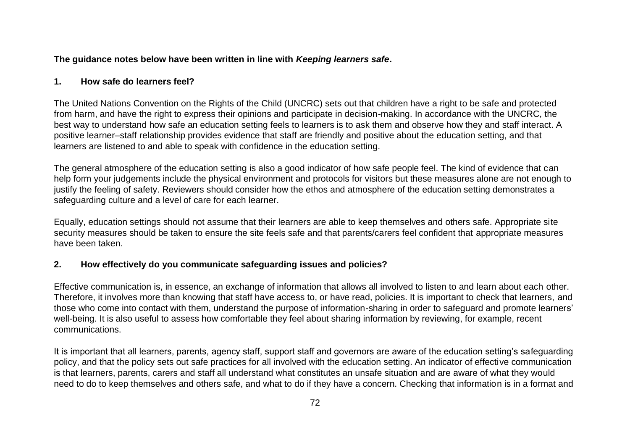#### **The guidance notes below have been written in line with** *Keeping learners safe***.**

#### **1. How safe do learners feel?**

The United Nations Convention on the Rights of the Child (UNCRC) sets out that children have a right to be safe and protected from harm, and have the right to express their opinions and participate in decision-making. In accordance with the UNCRC, the best way to understand how safe an education setting feels to learners is to ask them and observe how they and staff interact. A positive learner–staff relationship provides evidence that staff are friendly and positive about the education setting, and that learners are listened to and able to speak with confidence in the education setting.

The general atmosphere of the education setting is also a good indicator of how safe people feel. The kind of evidence that can help form your judgements include the physical environment and protocols for visitors but these measures alone are not enough to justify the feeling of safety. Reviewers should consider how the ethos and atmosphere of the education setting demonstrates a safeguarding culture and a level of care for each learner.

Equally, education settings should not assume that their learners are able to keep themselves and others safe. Appropriate site security measures should be taken to ensure the site feels safe and that parents/carers feel confident that appropriate measures have been taken.

### **2. How effectively do you communicate safeguarding issues and policies?**

Effective communication is, in essence, an exchange of information that allows all involved to listen to and learn about each other. Therefore, it involves more than knowing that staff have access to, or have read, policies. It is important to check that learners, and those who come into contact with them, understand the purpose of information-sharing in order to safeguard and promote learners' well-being. It is also useful to assess how comfortable they feel about sharing information by reviewing, for example, recent communications.

It is important that all learners, parents, agency staff, support staff and governors are aware of the education setting's safeguarding policy, and that the policy sets out safe practices for all involved with the education setting. An indicator of effective communication is that learners, parents, carers and staff all understand what constitutes an unsafe situation and are aware of what they would need to do to keep themselves and others safe, and what to do if they have a concern. Checking that information is in a format and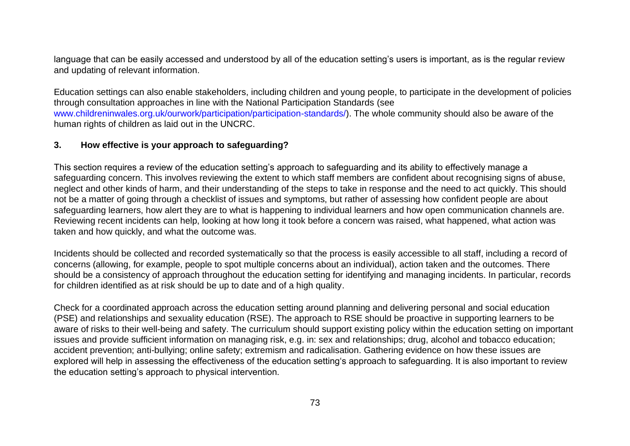language that can be easily accessed and understood by all of the education setting's users is important, as is the regular review and updating of relevant information.

Education settings can also enable stakeholders, including children and young people, to participate in the development of policies through consultation approaches in line with the National Participation Standards (se[e](http://www.childreninwales.org.uk/our-work/participation/participation-standards/) [www.childreninwales.org.uk/ourwork/participation/participation-standards/\).](http://www.childreninwales.org.uk/our-work/participation/participation-standards/) The whole community should also be aware of the human rights of children as laid out in the UNCRC.

### **3. How effective is your approach to safeguarding?**

This section requires a review of the education setting's approach to safeguarding and its ability to effectively manage a safeguarding concern. This involves reviewing the extent to which staff members are confident about recognising signs of abuse, neglect and other kinds of harm, and their understanding of the steps to take in response and the need to act quickly. This should not be a matter of going through a checklist of issues and symptoms, but rather of assessing how confident people are about safeguarding learners, how alert they are to what is happening to individual learners and how open communication channels are. Reviewing recent incidents can help, looking at how long it took before a concern was raised, what happened, what action was taken and how quickly, and what the outcome was.

Incidents should be collected and recorded systematically so that the process is easily accessible to all staff, including a record of concerns (allowing, for example, people to spot multiple concerns about an individual), action taken and the outcomes. There should be a consistency of approach throughout the education setting for identifying and managing incidents. In particular, records for children identified as at risk should be up to date and of a high quality.

Check for a coordinated approach across the education setting around planning and delivering personal and social education (PSE) and relationships and sexuality education (RSE). The approach to RSE should be proactive in supporting learners to be aware of risks to their well-being and safety. The curriculum should support existing policy within the education setting on important issues and provide sufficient information on managing risk, e.g. in: sex and relationships; drug, alcohol and tobacco education; accident prevention; anti-bullying; online safety; extremism and radicalisation. Gathering evidence on how these issues are explored will help in assessing the effectiveness of the education setting's approach to safeguarding. It is also important to review the education setting's approach to physical intervention.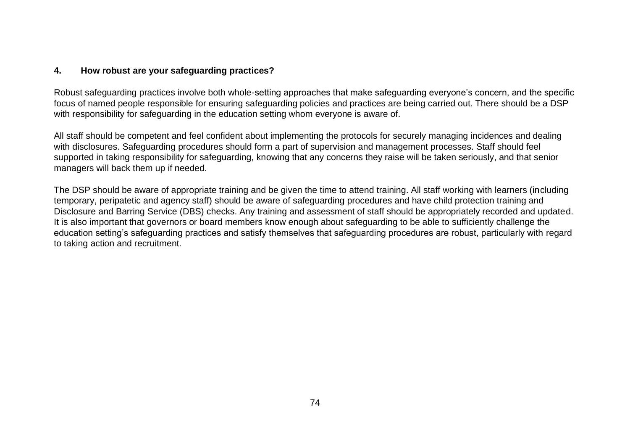### **4. How robust are your safeguarding practices?**

Robust safeguarding practices involve both whole-setting approaches that make safeguarding everyone's concern, and the specific focus of named people responsible for ensuring safeguarding policies and practices are being carried out. There should be a DSP with responsibility for safeguarding in the education setting whom everyone is aware of.

All staff should be competent and feel confident about implementing the protocols for securely managing incidences and dealing with disclosures. Safeguarding procedures should form a part of supervision and management processes. Staff should feel supported in taking responsibility for safeguarding, knowing that any concerns they raise will be taken seriously, and that senior managers will back them up if needed.

The DSP should be aware of appropriate training and be given the time to attend training. All staff working with learners (including temporary, peripatetic and agency staff) should be aware of safeguarding procedures and have child protection training and Disclosure and Barring Service (DBS) checks. Any training and assessment of staff should be appropriately recorded and updated. It is also important that governors or board members know enough about safeguarding to be able to sufficiently challenge the education setting's safeguarding practices and satisfy themselves that safeguarding procedures are robust, particularly with regard to taking action and recruitment.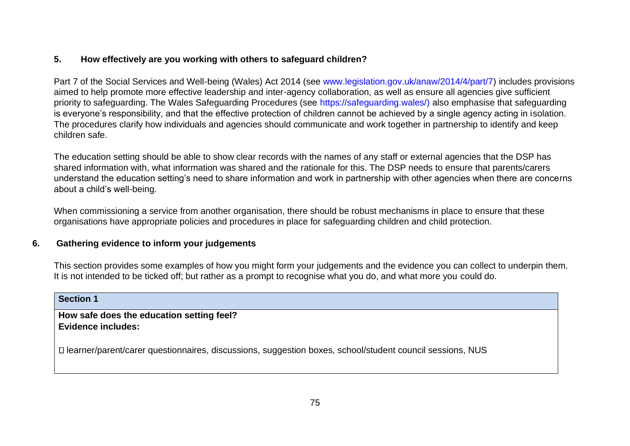# **5. How effectively are you working with others to safeguard children?**

Part 7 of the Social Services and Well-being (Wales) Act 2014 (se[e](https://www.legislation.gov.uk/anaw/2014/4/part/7) [www.legislation.gov.uk/anaw/2014/4/part/7\)](https://www.legislation.gov.uk/anaw/2014/4/part/7) includes provisions aimed to help promote more effective leadership and inter-agency collaboration, as well as ensure all agencies give sufficient priority to safeguarding. The Wales Safeguarding Procedures (see [https://safeguarding.wales/\)](https://safeguarding.wales/) also emphasise that safeguarding is everyone's responsibility, and that the effective protection of children cannot be achieved by a single agency acting in isolation. The procedures clarify how individuals and agencies should communicate and work together in partnership to identify and keep children safe.

The education setting should be able to show clear records with the names of any staff or external agencies that the DSP has shared information with, what information was shared and the rationale for this. The DSP needs to ensure that parents/carers understand the education setting's need to share information and work in partnership with other agencies when there are concerns about a child's well-being.

When commissioning a service from another organisation, there should be robust mechanisms in place to ensure that these organisations have appropriate policies and procedures in place for safeguarding children and child protection.

# **6. Gathering evidence to inform your judgements**

This section provides some examples of how you might form your judgements and the evidence you can collect to underpin them. It is not intended to be ticked off; but rather as a prompt to recognise what you do, and what more you could do.

#### **Section 1**

**How safe does the education setting feel? Evidence includes:** 

learner/parent/carer questionnaires, discussions, suggestion boxes, school/student council sessions, NUS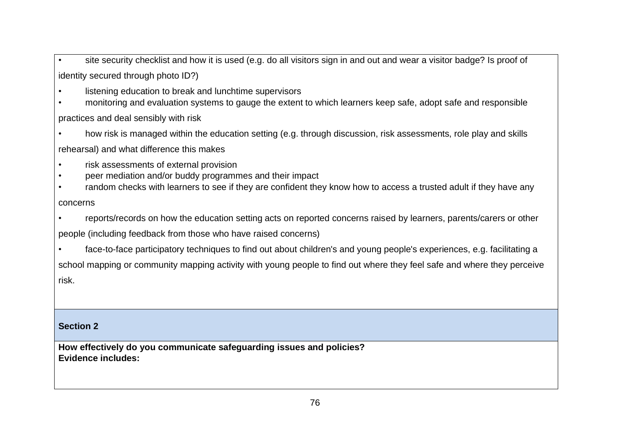• site security checklist and how it is used (e.g. do all visitors sign in and out and wear a visitor badge? Is proof of identity secured through photo ID?)

- listening education to break and lunchtime supervisors
- monitoring and evaluation systems to gauge the extent to which learners keep safe, adopt safe and responsible practices and deal sensibly with risk
- how risk is managed within the education setting (e.g. through discussion, risk assessments, role play and skills rehearsal) and what difference this makes
- risk assessments of external provision
- peer mediation and/or buddy programmes and their impact
- random checks with learners to see if they are confident they know how to access a trusted adult if they have any concerns
- reports/records on how the education setting acts on reported concerns raised by learners, parents/carers or other

people (including feedback from those who have raised concerns)

• face-to-face participatory techniques to find out about children's and young people's experiences, e.g. facilitating a

school mapping or community mapping activity with young people to find out where they feel safe and where they perceive risk.

# **Section 2**

**How effectively do you communicate safeguarding issues and policies? Evidence includes:**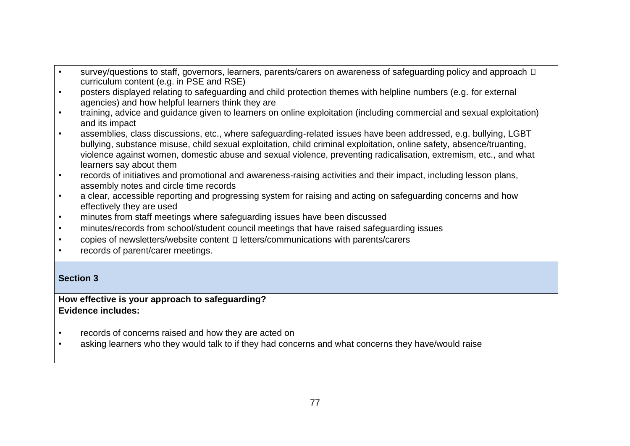- survey/questions to staff, governors, learners, parents/carers on awareness of safeguarding policy and approach  $\Box$ curriculum content (e.g. in PSE and RSE)
- posters displayed relating to safeguarding and child protection themes with helpline numbers (e.g. for external agencies) and how helpful learners think they are
- training, advice and guidance given to learners on online exploitation (including commercial and sexual exploitation) and its impact
- assemblies, class discussions, etc., where safeguarding-related issues have been addressed, e.g. bullying, LGBT bullying, substance misuse, child sexual exploitation, child criminal exploitation, online safety, absence/truanting, violence against women, domestic abuse and sexual violence, preventing radicalisation, extremism, etc., and what learners say about them
- records of initiatives and promotional and awareness-raising activities and their impact, including lesson plans, assembly notes and circle time records
- a clear, accessible reporting and progressing system for raising and acting on safeguarding concerns and how effectively they are used
- minutes from staff meetings where safeguarding issues have been discussed
- minutes/records from school/student council meetings that have raised safeguarding issues
- copies of newsletters/website content  $\square$  letters/communications with parents/carers
- records of parent/carer meetings.

# **Section 3**

# **How effective is your approach to safeguarding? Evidence includes:**

- records of concerns raised and how they are acted on
- asking learners who they would talk to if they had concerns and what concerns they have/would raise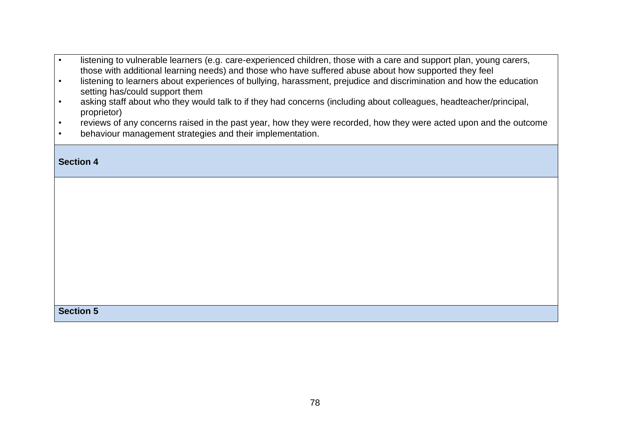- listening to vulnerable learners (e.g. care-experienced children, those with a care and support plan, young carers, those with additional learning needs) and those who have suffered abuse about how supported they feel
- listening to learners about experiences of bullying, harassment, prejudice and discrimination and how the education setting has/could support them
- asking staff about who they would talk to if they had concerns (including about colleagues, headteacher/principal, proprietor)
- reviews of any concerns raised in the past year, how they were recorded, how they were acted upon and the outcome
- behaviour management strategies and their implementation.

#### **Section 4**

**Section 5**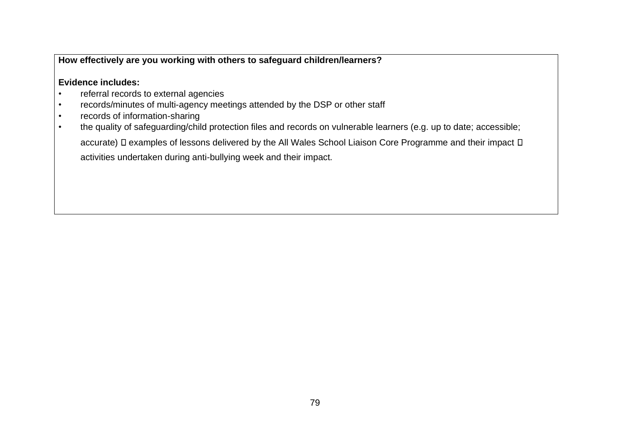# **How effectively are you working with others to safeguard children/learners?**

# **Evidence includes:**

- referral records to external agencies
- records/minutes of multi-agency meetings attended by the DSP or other staff
- records of information-sharing
- the quality of safeguarding/child protection files and records on vulnerable learners (e.g. up to date; accessible; accurate) D examples of lessons delivered by the All Wales School Liaison Core Programme and their impact D activities undertaken during anti-bullying week and their impact.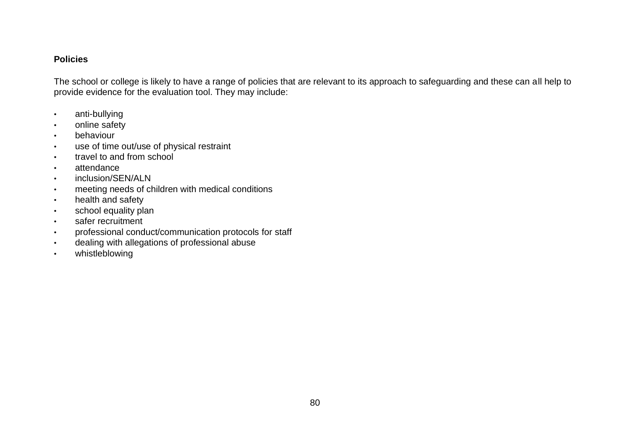# **Policies**

The school or college is likely to have a range of policies that are relevant to its approach to safeguarding and these can all help to provide evidence for the evaluation tool. They may include:

- anti-bullying
- online safety
- behaviour
- use of time out/use of physical restraint
- travel to and from school
- attendance
- inclusion/SEN/ALN
- meeting needs of children with medical conditions
- health and safety
- school equality plan
- safer recruitment
- professional conduct/communication protocols for staff
- dealing with allegations of professional abuse
- whistleblowing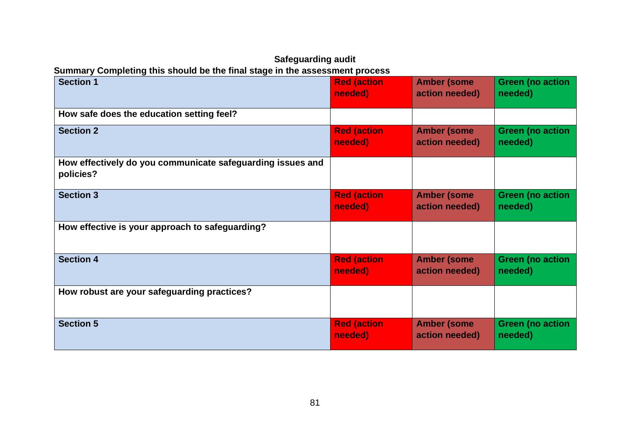# **Safeguarding audit Summary Completing this should be the final stage in the assessment process**

| <b>Section 1</b>                                                        | <b>Red (action</b> | <b>Amber (some</b> | <b>Green (no action</b> |
|-------------------------------------------------------------------------|--------------------|--------------------|-------------------------|
|                                                                         | needed)            | action needed)     | needed)                 |
| How safe does the education setting feel?                               |                    |                    |                         |
| <b>Section 2</b>                                                        | <b>Red (action</b> | <b>Amber (some</b> | <b>Green (no action</b> |
|                                                                         | needed)            | action needed)     | needed)                 |
| How effectively do you communicate safeguarding issues and<br>policies? |                    |                    |                         |
| <b>Section 3</b>                                                        | <b>Red (action</b> | <b>Amber (some</b> | <b>Green (no action</b> |
|                                                                         | needed)            | action needed)     | needed)                 |
| How effective is your approach to safeguarding?                         |                    |                    |                         |
| <b>Section 4</b>                                                        | <b>Red (action</b> | <b>Amber (some</b> | <b>Green (no action</b> |
|                                                                         | needed)            | action needed)     | needed)                 |
| How robust are your safeguarding practices?                             |                    |                    |                         |
| <b>Section 5</b>                                                        | <b>Red (action</b> | <b>Amber (some</b> | <b>Green (no action</b> |
|                                                                         | needed)            | action needed)     | needed)                 |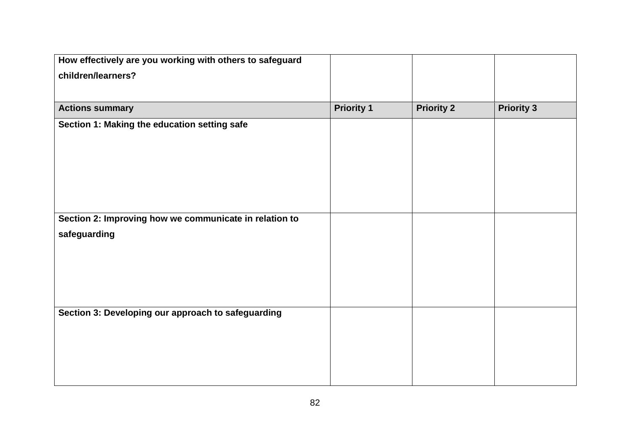| How effectively are you working with others to safeguard |                   |                   |                   |
|----------------------------------------------------------|-------------------|-------------------|-------------------|
| children/learners?                                       |                   |                   |                   |
|                                                          |                   |                   |                   |
| <b>Actions summary</b>                                   | <b>Priority 1</b> | <b>Priority 2</b> | <b>Priority 3</b> |
| Section 1: Making the education setting safe             |                   |                   |                   |
|                                                          |                   |                   |                   |
|                                                          |                   |                   |                   |
|                                                          |                   |                   |                   |
|                                                          |                   |                   |                   |
|                                                          |                   |                   |                   |
| Section 2: Improving how we communicate in relation to   |                   |                   |                   |
| safeguarding                                             |                   |                   |                   |
|                                                          |                   |                   |                   |
|                                                          |                   |                   |                   |
|                                                          |                   |                   |                   |
|                                                          |                   |                   |                   |
| Section 3: Developing our approach to safeguarding       |                   |                   |                   |
|                                                          |                   |                   |                   |
|                                                          |                   |                   |                   |
|                                                          |                   |                   |                   |
|                                                          |                   |                   |                   |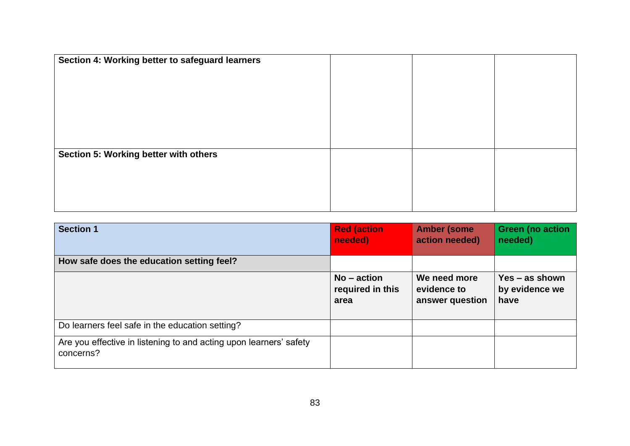| Section 4: Working better to safeguard learners |  |  |
|-------------------------------------------------|--|--|
| Section 5: Working better with others           |  |  |

| <b>Section 1</b>                                                                | <b>Red (action</b><br>needed)             | <b>Amber (some</b><br>action needed)           | <b>Green (no action</b><br>needed)         |
|---------------------------------------------------------------------------------|-------------------------------------------|------------------------------------------------|--------------------------------------------|
| How safe does the education setting feel?                                       |                                           |                                                |                                            |
|                                                                                 | $No - action$<br>required in this<br>area | We need more<br>evidence to<br>answer question | $Yes - as shown$<br>by evidence we<br>have |
| Do learners feel safe in the education setting?                                 |                                           |                                                |                                            |
| Are you effective in listening to and acting upon learners' safety<br>concerns? |                                           |                                                |                                            |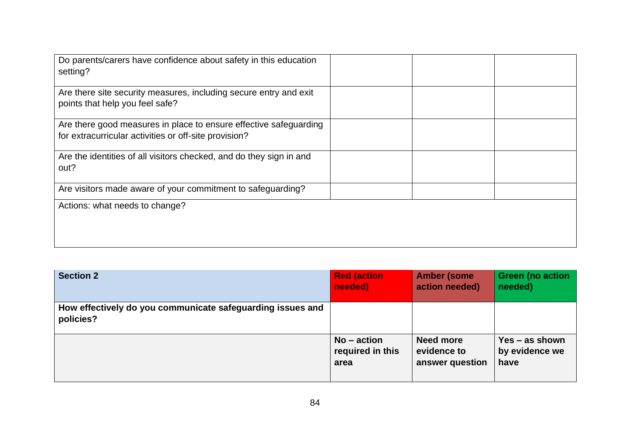| Do parents/carers have confidence about safety in this education<br>setting?                                               |  |
|----------------------------------------------------------------------------------------------------------------------------|--|
| Are there site security measures, including secure entry and exit<br>points that help you feel safe?                       |  |
| Are there good measures in place to ensure effective safeguarding<br>for extracurricular activities or off-site provision? |  |
| Are the identities of all visitors checked, and do they sign in and<br>out?                                                |  |
| Are visitors made aware of your commitment to safeguarding?                                                                |  |
| Actions: what needs to change?                                                                                             |  |

| <b>Section 2</b>                                                        | <b>Red (action</b> | <b>Amber (some</b> | <b>Green (no action</b> |
|-------------------------------------------------------------------------|--------------------|--------------------|-------------------------|
|                                                                         | needed)            | action needed)     | needed)                 |
| How effectively do you communicate safeguarding issues and<br>policies? |                    |                    |                         |
|                                                                         | $No - action$      | <b>Need more</b>   | $Yes - as shown$        |
|                                                                         | required in this   | evidence to        | by evidence we          |
|                                                                         | area               | answer question    | have                    |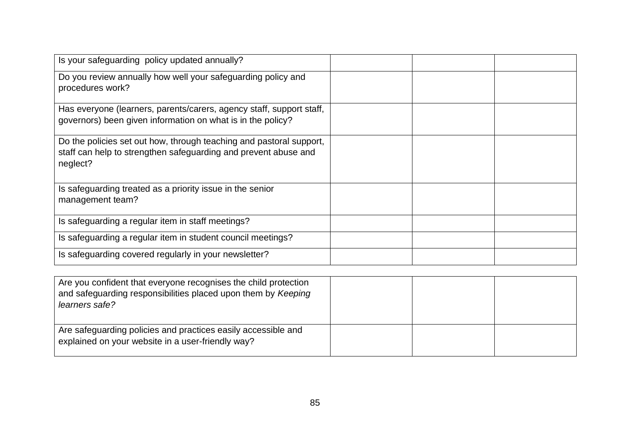| Is your safeguarding policy updated annually?                                                                                                      |  |
|----------------------------------------------------------------------------------------------------------------------------------------------------|--|
| Do you review annually how well your safeguarding policy and<br>procedures work?                                                                   |  |
| Has everyone (learners, parents/carers, agency staff, support staff,<br>governors) been given information on what is in the policy?                |  |
| Do the policies set out how, through teaching and pastoral support,<br>staff can help to strengthen safeguarding and prevent abuse and<br>neglect? |  |
| Is safeguarding treated as a priority issue in the senior<br>management team?                                                                      |  |
| Is safeguarding a regular item in staff meetings?                                                                                                  |  |
| Is safeguarding a regular item in student council meetings?                                                                                        |  |
| Is safeguarding covered regularly in your newsletter?                                                                                              |  |

| Are you confident that everyone recognises the child protection<br>and safeguarding responsibilities placed upon them by Keeping<br>learners safe? |  |  |
|----------------------------------------------------------------------------------------------------------------------------------------------------|--|--|
| Are safeguarding policies and practices easily accessible and<br>explained on your website in a user-friendly way?                                 |  |  |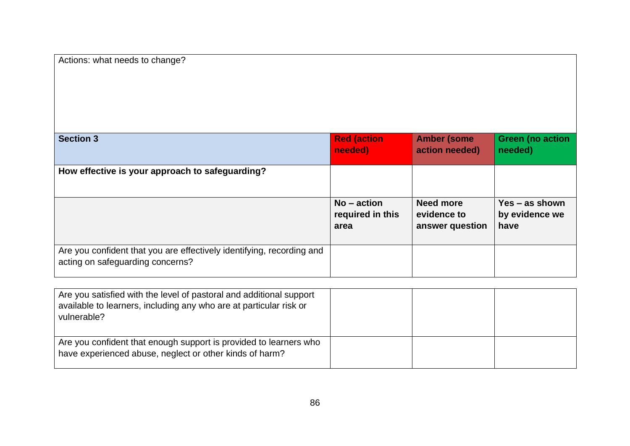| Actions: what needs to change?                                                                            |                                           |                                                    |                                            |
|-----------------------------------------------------------------------------------------------------------|-------------------------------------------|----------------------------------------------------|--------------------------------------------|
|                                                                                                           |                                           |                                                    |                                            |
| <b>Section 3</b>                                                                                          | <b>Red (action</b><br>needed)             | <b>Amber (some</b><br>action needed)               | <b>Green (no action</b><br>needed)         |
| How effective is your approach to safeguarding?                                                           |                                           |                                                    |                                            |
|                                                                                                           | $No - action$<br>required in this<br>area | <b>Need more</b><br>evidence to<br>answer question | $Yes - as shown$<br>by evidence we<br>have |
| Are you confident that you are effectively identifying, recording and<br>acting on safeguarding concerns? |                                           |                                                    |                                            |

| Are you satisfied with the level of pastoral and additional support<br>available to learners, including any who are at particular risk or<br>vulnerable? |  |  |
|----------------------------------------------------------------------------------------------------------------------------------------------------------|--|--|
| Are you confident that enough support is provided to learners who<br>have experienced abuse, neglect or other kinds of harm?                             |  |  |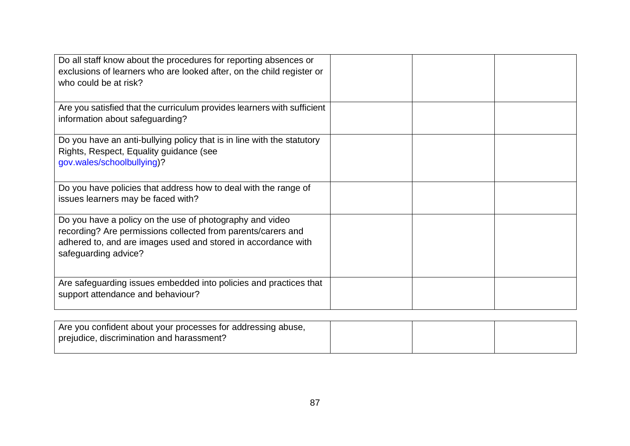| Do all staff know about the procedures for reporting absences or<br>exclusions of learners who are looked after, on the child register or<br>who could be at risk?                                                |  |  |
|-------------------------------------------------------------------------------------------------------------------------------------------------------------------------------------------------------------------|--|--|
| Are you satisfied that the curriculum provides learners with sufficient<br>information about safeguarding?                                                                                                        |  |  |
| Do you have an anti-bullying policy that is in line with the statutory<br>Rights, Respect, Equality guidance (see<br>gov.wales/schoolbullying)?                                                                   |  |  |
| Do you have policies that address how to deal with the range of<br>issues learners may be faced with?                                                                                                             |  |  |
| Do you have a policy on the use of photography and video<br>recording? Are permissions collected from parents/carers and<br>adhered to, and are images used and stored in accordance with<br>safeguarding advice? |  |  |
| Are safeguarding issues embedded into policies and practices that<br>support attendance and behaviour?                                                                                                            |  |  |

| Are you confident about your processes for addressing abuse, |  |  |
|--------------------------------------------------------------|--|--|
| prejudice, discrimination and harassment?                    |  |  |
|                                                              |  |  |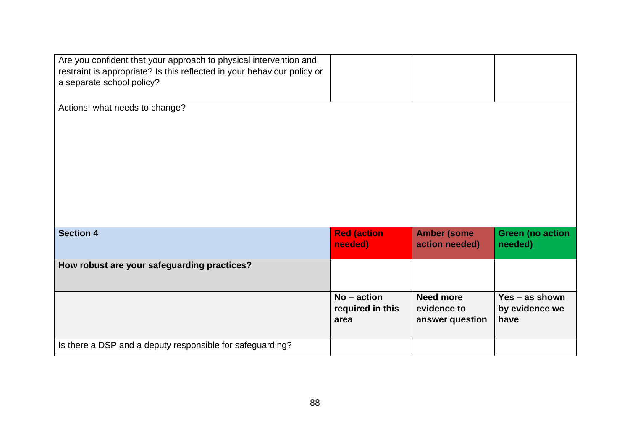| Are you confident that your approach to physical intervention and<br>restraint is appropriate? Is this reflected in your behaviour policy or<br>a separate school policy? |                                           |                                                    |                                          |
|---------------------------------------------------------------------------------------------------------------------------------------------------------------------------|-------------------------------------------|----------------------------------------------------|------------------------------------------|
| Actions: what needs to change?                                                                                                                                            |                                           |                                                    |                                          |
|                                                                                                                                                                           |                                           |                                                    |                                          |
|                                                                                                                                                                           |                                           |                                                    |                                          |
| <b>Section 4</b>                                                                                                                                                          | <b>Red (action</b>                        | <b>Amber (some</b>                                 | <b>Green (no action</b>                  |
|                                                                                                                                                                           | needed)                                   | action needed)                                     | needed)                                  |
| How robust are your safeguarding practices?                                                                                                                               |                                           |                                                    |                                          |
|                                                                                                                                                                           | $No - action$<br>required in this<br>area | <b>Need more</b><br>evidence to<br>answer question | Yes - as shown<br>by evidence we<br>have |
| Is there a DSP and a deputy responsible for safeguarding?                                                                                                                 |                                           |                                                    |                                          |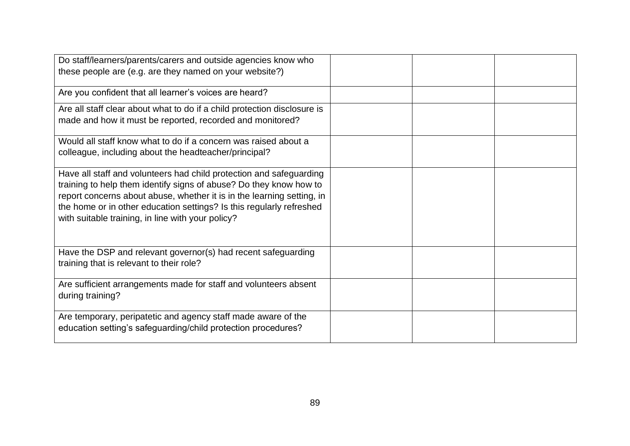| Do staff/learners/parents/carers and outside agencies know who<br>these people are (e.g. are they named on your website?)                                                                                                                                                                                                                        |  |
|--------------------------------------------------------------------------------------------------------------------------------------------------------------------------------------------------------------------------------------------------------------------------------------------------------------------------------------------------|--|
| Are you confident that all learner's voices are heard?                                                                                                                                                                                                                                                                                           |  |
| Are all staff clear about what to do if a child protection disclosure is<br>made and how it must be reported, recorded and monitored?                                                                                                                                                                                                            |  |
| Would all staff know what to do if a concern was raised about a<br>colleague, including about the headteacher/principal?                                                                                                                                                                                                                         |  |
| Have all staff and volunteers had child protection and safeguarding<br>training to help them identify signs of abuse? Do they know how to<br>report concerns about abuse, whether it is in the learning setting, in<br>the home or in other education settings? Is this regularly refreshed<br>with suitable training, in line with your policy? |  |
| Have the DSP and relevant governor(s) had recent safeguarding<br>training that is relevant to their role?                                                                                                                                                                                                                                        |  |
| Are sufficient arrangements made for staff and volunteers absent<br>during training?                                                                                                                                                                                                                                                             |  |
| Are temporary, peripatetic and agency staff made aware of the<br>education setting's safeguarding/child protection procedures?                                                                                                                                                                                                                   |  |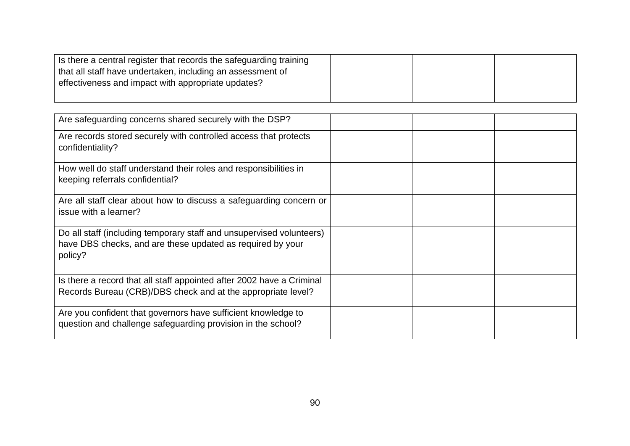| Is there a central register that records the safeguarding training |  |  |
|--------------------------------------------------------------------|--|--|
| that all staff have undertaken, including an assessment of         |  |  |
| effectiveness and impact with appropriate updates?                 |  |  |
|                                                                    |  |  |

| Are safeguarding concerns shared securely with the DSP?                                                                                       |  |
|-----------------------------------------------------------------------------------------------------------------------------------------------|--|
| Are records stored securely with controlled access that protects<br>confidentiality?                                                          |  |
| How well do staff understand their roles and responsibilities in<br>keeping referrals confidential?                                           |  |
| Are all staff clear about how to discuss a safeguarding concern or<br>issue with a learner?                                                   |  |
| Do all staff (including temporary staff and unsupervised volunteers)<br>have DBS checks, and are these updated as required by your<br>policy? |  |
| Is there a record that all staff appointed after 2002 have a Criminal<br>Records Bureau (CRB)/DBS check and at the appropriate level?         |  |
| Are you confident that governors have sufficient knowledge to<br>question and challenge safeguarding provision in the school?                 |  |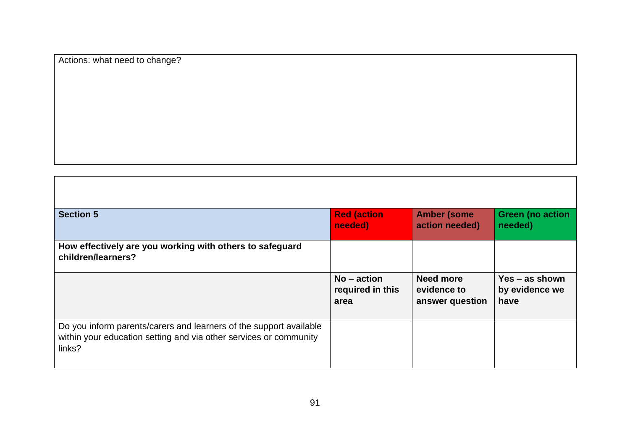Actions: what need to change?

| <b>Section 5</b>                                                               | <b>Red (action</b><br>needed)     | <b>Amber (some</b><br>action needed) | <b>Green (no action</b><br>needed) |
|--------------------------------------------------------------------------------|-----------------------------------|--------------------------------------|------------------------------------|
| How effectively are you working with others to safeguard<br>children/learners? |                                   |                                      |                                    |
|                                                                                | $No - action$<br>required in this | <b>Need more</b><br>evidence to      | $Yes - as shown$<br>by evidence we |
|                                                                                | area                              | answer question                      | have                               |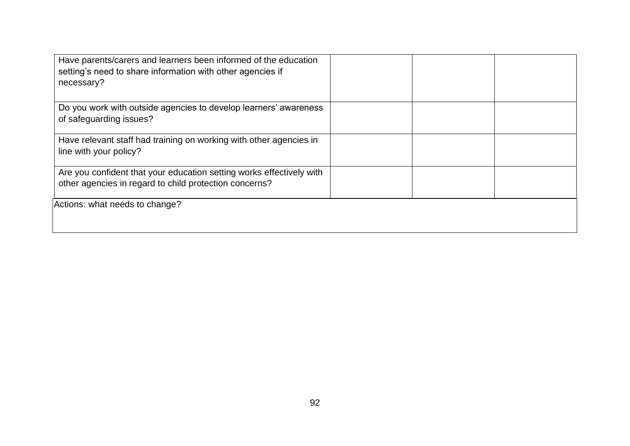| Have parents/carers and learners been informed of the education<br>setting's need to share information with other agencies if<br>necessary? |  |
|---------------------------------------------------------------------------------------------------------------------------------------------|--|
| Do you work with outside agencies to develop learners' awareness<br>of safeguarding issues?                                                 |  |
| Have relevant staff had training on working with other agencies in<br>line with your policy?                                                |  |
| Are you confident that your education setting works effectively with<br>other agencies in regard to child protection concerns?              |  |
| Actions: what needs to change?                                                                                                              |  |